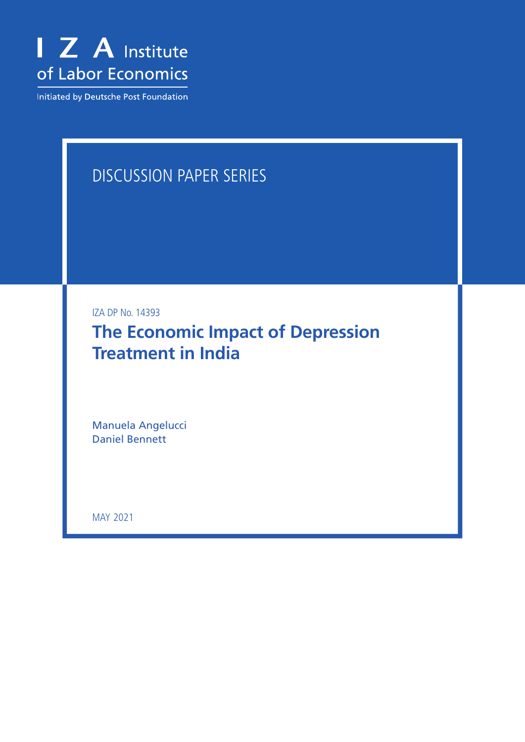

Initiated by Deutsche Post Foundation

# DISCUSSION PAPER SERIES

IZA DP No. 14393

**The Economic Impact of Depression Treatment in India**

Manuela Angelucci Daniel Bennett

MAY 2021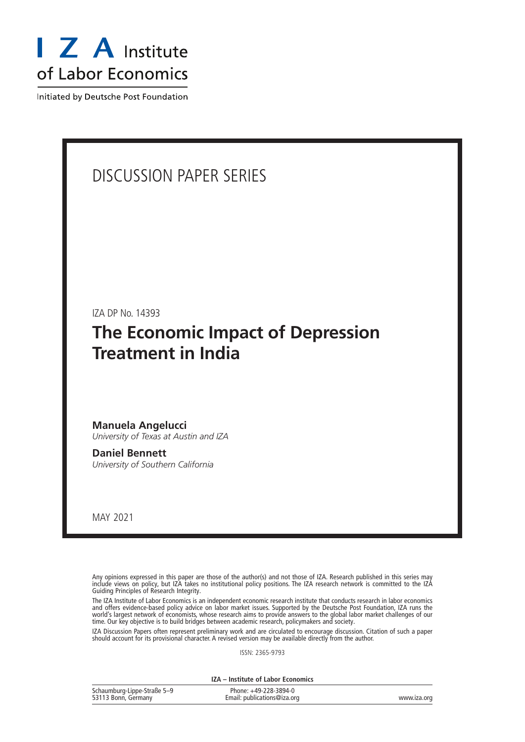

Initiated by Deutsche Post Foundation

## DISCUSSION PAPER SERIES

IZA DP No. 14393

## **The Economic Impact of Depression Treatment in India**

**Manuela Angelucci** *University of Texas at Austin and IZA*

**Daniel Bennett** *University of Southern California*

MAY 2021

Any opinions expressed in this paper are those of the author(s) and not those of IZA. Research published in this series may include views on policy, but IZA takes no institutional policy positions. The IZA research network is committed to the IZA Guiding Principles of Research Integrity.

The IZA Institute of Labor Economics is an independent economic research institute that conducts research in labor economics and offers evidence-based policy advice on labor market issues. Supported by the Deutsche Post Foundation, IZA runs the world's largest network of economists, whose research aims to provide answers to the global labor market challenges of our time. Our key objective is to build bridges between academic research, policymakers and society.

IZA Discussion Papers often represent preliminary work and are circulated to encourage discussion. Citation of such a paper should account for its provisional character. A revised version may be available directly from the author.

ISSN: 2365-9793

**IZA – Institute of Labor Economics**

| Schaumburg-Lippe-Straße 5-9 | Phone: +49-228-3894-0       |             |
|-----------------------------|-----------------------------|-------------|
| 53113 Bonn, Germany         | Email: publications@iza.org | www.iza.org |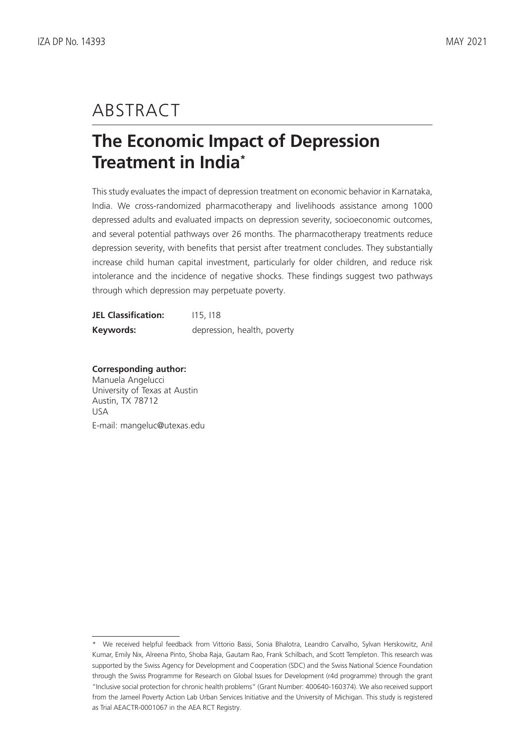## ABSTRACT

# **The Economic Impact of Depression Treatment in India\***

This study evaluates the impact of depression treatment on economic behavior in Karnataka, India. We cross-randomized pharmacotherapy and livelihoods assistance among 1000 depressed adults and evaluated impacts on depression severity, socioeconomic outcomes, and several potential pathways over 26 months. The pharmacotherapy treatments reduce depression severity, with benefits that persist after treatment concludes. They substantially increase child human capital investment, particularly for older children, and reduce risk intolerance and the incidence of negative shocks. These findings suggest two pathways through which depression may perpetuate poverty.

| <b>JEL Classification:</b> | 115.118                     |
|----------------------------|-----------------------------|
| Keywords:                  | depression, health, poverty |

**Corresponding author:** Manuela Angelucci University of Texas at Austin Austin, TX 78712 USA

E-mail: mangeluc@utexas.edu

<sup>\*</sup> We received helpful feedback from Vittorio Bassi, Sonia Bhalotra, Leandro Carvalho, Sylvan Herskowitz, Anil Kumar, Emily Nix, Alreena Pinto, Shoba Raja, Gautam Rao, Frank Schilbach, and Scott Templeton. This research was supported by the Swiss Agency for Development and Cooperation (SDC) and the Swiss National Science Foundation through the Swiss Programme for Research on Global Issues for Development (r4d programme) through the grant "Inclusive social protection for chronic health problems" (Grant Number: 400640-160374). We also received support from the Jameel Poverty Action Lab Urban Services Initiative and the University of Michigan. This study is registered as Trial AEACTR-0001067 in the AEA RCT Registry.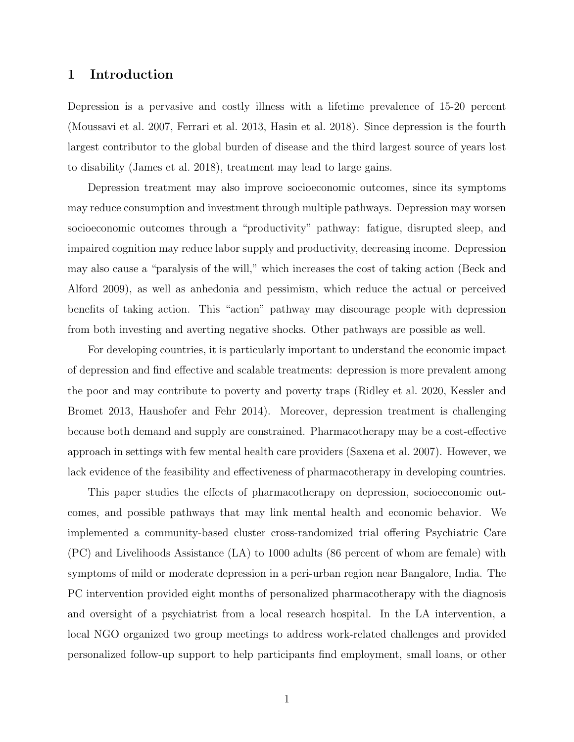#### 1 Introduction

Depression is a pervasive and costly illness with a lifetime prevalence of 15-20 percent (Moussavi et al. 2007, Ferrari et al. 2013, Hasin et al. 2018). Since depression is the fourth largest contributor to the global burden of disease and the third largest source of years lost to disability (James et al. 2018), treatment may lead to large gains.

Depression treatment may also improve socioeconomic outcomes, since its symptoms may reduce consumption and investment through multiple pathways. Depression may worsen socioeconomic outcomes through a "productivity" pathway: fatigue, disrupted sleep, and impaired cognition may reduce labor supply and productivity, decreasing income. Depression may also cause a "paralysis of the will," which increases the cost of taking action (Beck and Alford 2009), as well as anhedonia and pessimism, which reduce the actual or perceived benefits of taking action. This "action" pathway may discourage people with depression from both investing and averting negative shocks. Other pathways are possible as well.

For developing countries, it is particularly important to understand the economic impact of depression and find effective and scalable treatments: depression is more prevalent among the poor and may contribute to poverty and poverty traps (Ridley et al. 2020, Kessler and Bromet 2013, Haushofer and Fehr 2014). Moreover, depression treatment is challenging because both demand and supply are constrained. Pharmacotherapy may be a cost-effective approach in settings with few mental health care providers (Saxena et al. 2007). However, we lack evidence of the feasibility and effectiveness of pharmacotherapy in developing countries.

This paper studies the effects of pharmacotherapy on depression, socioeconomic outcomes, and possible pathways that may link mental health and economic behavior. We implemented a community-based cluster cross-randomized trial offering Psychiatric Care (PC) and Livelihoods Assistance (LA) to 1000 adults (86 percent of whom are female) with symptoms of mild or moderate depression in a peri-urban region near Bangalore, India. The PC intervention provided eight months of personalized pharmacotherapy with the diagnosis and oversight of a psychiatrist from a local research hospital. In the LA intervention, a local NGO organized two group meetings to address work-related challenges and provided personalized follow-up support to help participants find employment, small loans, or other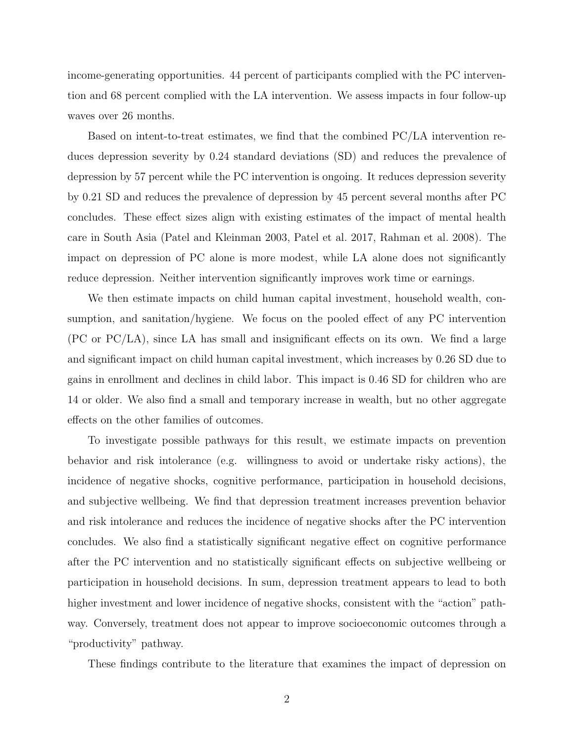income-generating opportunities. 44 percent of participants complied with the PC intervention and 68 percent complied with the LA intervention. We assess impacts in four follow-up waves over 26 months.

Based on intent-to-treat estimates, we find that the combined PC/LA intervention reduces depression severity by 0.24 standard deviations (SD) and reduces the prevalence of depression by 57 percent while the PC intervention is ongoing. It reduces depression severity by 0.21 SD and reduces the prevalence of depression by 45 percent several months after PC concludes. These effect sizes align with existing estimates of the impact of mental health care in South Asia (Patel and Kleinman 2003, Patel et al. 2017, Rahman et al. 2008). The impact on depression of PC alone is more modest, while LA alone does not significantly reduce depression. Neither intervention significantly improves work time or earnings.

We then estimate impacts on child human capital investment, household wealth, consumption, and sanitation/hygiene. We focus on the pooled effect of any PC intervention (PC or PC/LA), since LA has small and insignificant effects on its own. We find a large and significant impact on child human capital investment, which increases by 0.26 SD due to gains in enrollment and declines in child labor. This impact is 0.46 SD for children who are 14 or older. We also find a small and temporary increase in wealth, but no other aggregate effects on the other families of outcomes.

To investigate possible pathways for this result, we estimate impacts on prevention behavior and risk intolerance (e.g. willingness to avoid or undertake risky actions), the incidence of negative shocks, cognitive performance, participation in household decisions, and subjective wellbeing. We find that depression treatment increases prevention behavior and risk intolerance and reduces the incidence of negative shocks after the PC intervention concludes. We also find a statistically significant negative effect on cognitive performance after the PC intervention and no statistically significant effects on subjective wellbeing or participation in household decisions. In sum, depression treatment appears to lead to both higher investment and lower incidence of negative shocks, consistent with the "action" pathway. Conversely, treatment does not appear to improve socioeconomic outcomes through a "productivity" pathway.

These findings contribute to the literature that examines the impact of depression on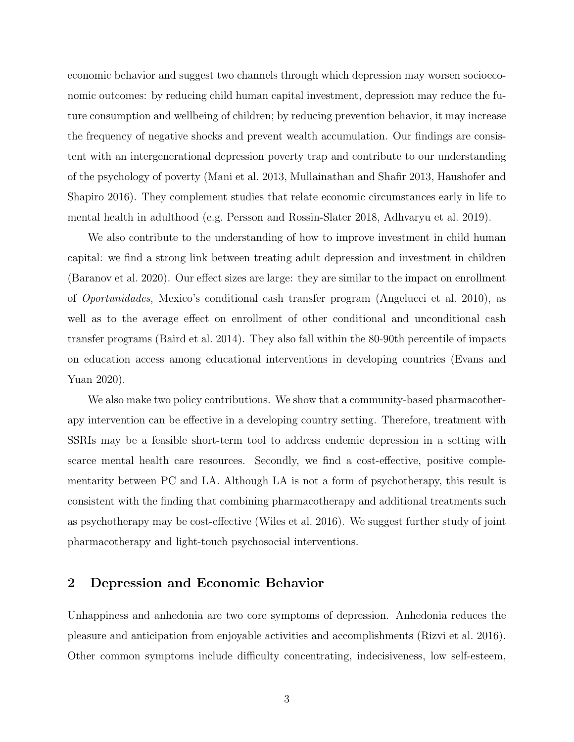economic behavior and suggest two channels through which depression may worsen socioeconomic outcomes: by reducing child human capital investment, depression may reduce the future consumption and wellbeing of children; by reducing prevention behavior, it may increase the frequency of negative shocks and prevent wealth accumulation. Our findings are consistent with an intergenerational depression poverty trap and contribute to our understanding of the psychology of poverty (Mani et al. 2013, Mullainathan and Shafir 2013, Haushofer and Shapiro 2016). They complement studies that relate economic circumstances early in life to mental health in adulthood (e.g. Persson and Rossin-Slater 2018, Adhvaryu et al. 2019).

We also contribute to the understanding of how to improve investment in child human capital: we find a strong link between treating adult depression and investment in children (Baranov et al. 2020). Our effect sizes are large: they are similar to the impact on enrollment of Oportunidades, Mexico's conditional cash transfer program (Angelucci et al. 2010), as well as to the average effect on enrollment of other conditional and unconditional cash transfer programs (Baird et al. 2014). They also fall within the 80-90th percentile of impacts on education access among educational interventions in developing countries (Evans and Yuan 2020).

We also make two policy contributions. We show that a community-based pharmacotherapy intervention can be effective in a developing country setting. Therefore, treatment with SSRIs may be a feasible short-term tool to address endemic depression in a setting with scarce mental health care resources. Secondly, we find a cost-effective, positive complementarity between PC and LA. Although LA is not a form of psychotherapy, this result is consistent with the finding that combining pharmacotherapy and additional treatments such as psychotherapy may be cost-effective (Wiles et al. 2016). We suggest further study of joint pharmacotherapy and light-touch psychosocial interventions.

#### 2 Depression and Economic Behavior

Unhappiness and anhedonia are two core symptoms of depression. Anhedonia reduces the pleasure and anticipation from enjoyable activities and accomplishments (Rizvi et al. 2016). Other common symptoms include difficulty concentrating, indecisiveness, low self-esteem,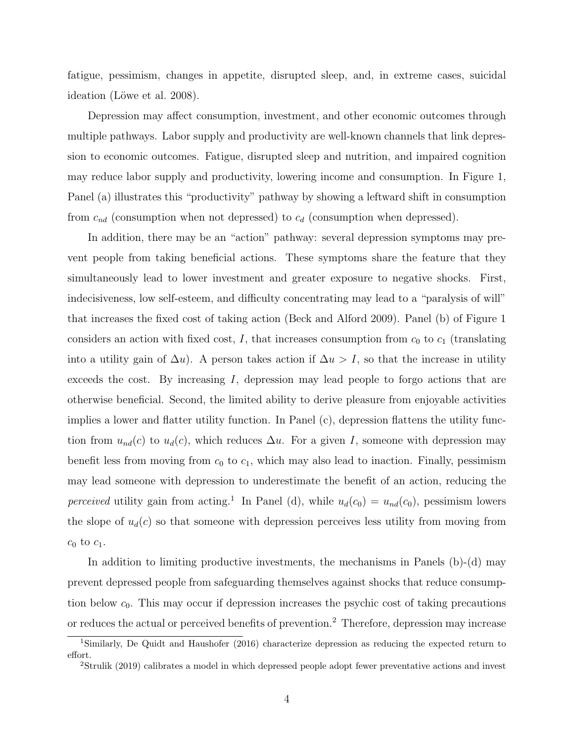fatigue, pessimism, changes in appetite, disrupted sleep, and, in extreme cases, suicidal ideation (Löwe et al. 2008).

Depression may affect consumption, investment, and other economic outcomes through multiple pathways. Labor supply and productivity are well-known channels that link depression to economic outcomes. Fatigue, disrupted sleep and nutrition, and impaired cognition may reduce labor supply and productivity, lowering income and consumption. In Figure 1, Panel (a) illustrates this "productivity" pathway by showing a leftward shift in consumption from  $c_{nd}$  (consumption when not depressed) to  $c_d$  (consumption when depressed).

In addition, there may be an "action" pathway: several depression symptoms may prevent people from taking beneficial actions. These symptoms share the feature that they simultaneously lead to lower investment and greater exposure to negative shocks. First, indecisiveness, low self-esteem, and difficulty concentrating may lead to a "paralysis of will" that increases the fixed cost of taking action (Beck and Alford 2009). Panel (b) of Figure 1 considers an action with fixed cost, I, that increases consumption from  $c_0$  to  $c_1$  (translating into a utility gain of  $\Delta u$ ). A person takes action if  $\Delta u > I$ , so that the increase in utility exceeds the cost. By increasing  $I$ , depression may lead people to forgo actions that are otherwise beneficial. Second, the limited ability to derive pleasure from enjoyable activities implies a lower and flatter utility function. In Panel (c), depression flattens the utility function from  $u_{nd}(c)$  to  $u_d(c)$ , which reduces  $\Delta u$ . For a given I, someone with depression may benefit less from moving from  $c_0$  to  $c_1$ , which may also lead to inaction. Finally, pessimism may lead someone with depression to underestimate the benefit of an action, reducing the perceived utility gain from acting.<sup>1</sup> In Panel (d), while  $u_d(c_0) = u_{nd}(c_0)$ , pessimism lowers the slope of  $u_d(c)$  so that someone with depression perceives less utility from moving from  $c_0$  to  $c_1$ .

In addition to limiting productive investments, the mechanisms in Panels  $(b)-(d)$  may prevent depressed people from safeguarding themselves against shocks that reduce consumption below  $c_0$ . This may occur if depression increases the psychic cost of taking precautions or reduces the actual or perceived benefits of prevention.<sup>2</sup> Therefore, depression may increase

<sup>1</sup>Similarly, De Quidt and Haushofer (2016) characterize depression as reducing the expected return to effort.

<sup>&</sup>lt;sup>2</sup>Strulik (2019) calibrates a model in which depressed people adopt fewer preventative actions and invest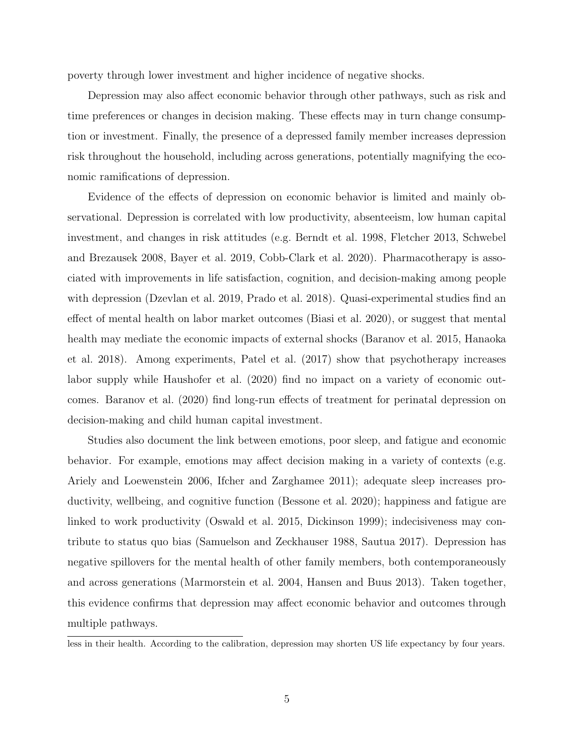poverty through lower investment and higher incidence of negative shocks.

Depression may also affect economic behavior through other pathways, such as risk and time preferences or changes in decision making. These effects may in turn change consumption or investment. Finally, the presence of a depressed family member increases depression risk throughout the household, including across generations, potentially magnifying the economic ramifications of depression.

Evidence of the effects of depression on economic behavior is limited and mainly observational. Depression is correlated with low productivity, absenteeism, low human capital investment, and changes in risk attitudes (e.g. Berndt et al. 1998, Fletcher 2013, Schwebel and Brezausek 2008, Bayer et al. 2019, Cobb-Clark et al. 2020). Pharmacotherapy is associated with improvements in life satisfaction, cognition, and decision-making among people with depression (Dzevlan et al. 2019, Prado et al. 2018). Quasi-experimental studies find an effect of mental health on labor market outcomes (Biasi et al. 2020), or suggest that mental health may mediate the economic impacts of external shocks (Baranov et al. 2015, Hanaoka et al. 2018). Among experiments, Patel et al. (2017) show that psychotherapy increases labor supply while Haushofer et al. (2020) find no impact on a variety of economic outcomes. Baranov et al. (2020) find long-run effects of treatment for perinatal depression on decision-making and child human capital investment.

Studies also document the link between emotions, poor sleep, and fatigue and economic behavior. For example, emotions may affect decision making in a variety of contexts (e.g. Ariely and Loewenstein 2006, Ifcher and Zarghamee 2011); adequate sleep increases productivity, wellbeing, and cognitive function (Bessone et al. 2020); happiness and fatigue are linked to work productivity (Oswald et al. 2015, Dickinson 1999); indecisiveness may contribute to status quo bias (Samuelson and Zeckhauser 1988, Sautua 2017). Depression has negative spillovers for the mental health of other family members, both contemporaneously and across generations (Marmorstein et al. 2004, Hansen and Buus 2013). Taken together, this evidence confirms that depression may affect economic behavior and outcomes through multiple pathways.

less in their health. According to the calibration, depression may shorten US life expectancy by four years.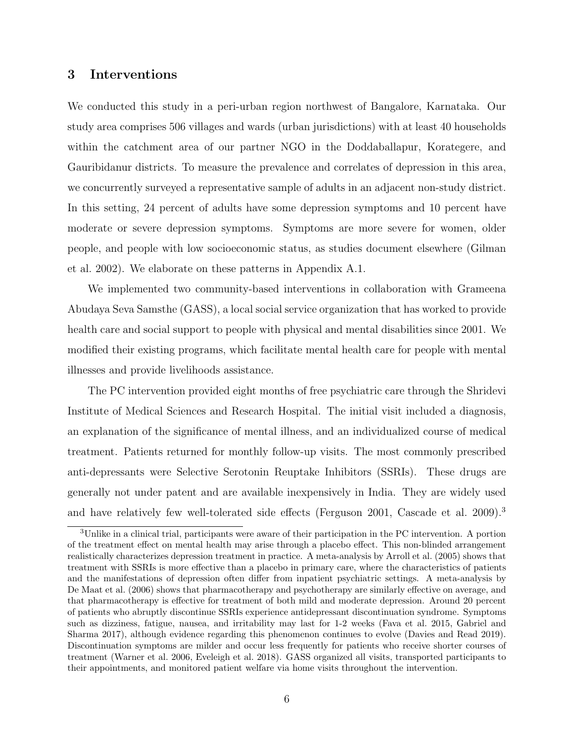#### 3 Interventions

We conducted this study in a peri-urban region northwest of Bangalore, Karnataka. Our study area comprises 506 villages and wards (urban jurisdictions) with at least 40 households within the catchment area of our partner NGO in the Doddaballapur, Korategere, and Gauribidanur districts. To measure the prevalence and correlates of depression in this area, we concurrently surveyed a representative sample of adults in an adjacent non-study district. In this setting, 24 percent of adults have some depression symptoms and 10 percent have moderate or severe depression symptoms. Symptoms are more severe for women, older people, and people with low socioeconomic status, as studies document elsewhere (Gilman et al. 2002). We elaborate on these patterns in Appendix A.1.

We implemented two community-based interventions in collaboration with Grameena Abudaya Seva Samsthe (GASS), a local social service organization that has worked to provide health care and social support to people with physical and mental disabilities since 2001. We modified their existing programs, which facilitate mental health care for people with mental illnesses and provide livelihoods assistance.

The PC intervention provided eight months of free psychiatric care through the Shridevi Institute of Medical Sciences and Research Hospital. The initial visit included a diagnosis, an explanation of the significance of mental illness, and an individualized course of medical treatment. Patients returned for monthly follow-up visits. The most commonly prescribed anti-depressants were Selective Serotonin Reuptake Inhibitors (SSRIs). These drugs are generally not under patent and are available inexpensively in India. They are widely used and have relatively few well-tolerated side effects (Ferguson 2001, Cascade et al. 2009).<sup>3</sup>

<sup>3</sup>Unlike in a clinical trial, participants were aware of their participation in the PC intervention. A portion of the treatment effect on mental health may arise through a placebo effect. This non-blinded arrangement realistically characterizes depression treatment in practice. A meta-analysis by Arroll et al. (2005) shows that treatment with SSRIs is more effective than a placebo in primary care, where the characteristics of patients and the manifestations of depression often differ from inpatient psychiatric settings. A meta-analysis by De Maat et al. (2006) shows that pharmacotherapy and psychotherapy are similarly effective on average, and that pharmacotherapy is effective for treatment of both mild and moderate depression. Around 20 percent of patients who abruptly discontinue SSRIs experience antidepressant discontinuation syndrome. Symptoms such as dizziness, fatigue, nausea, and irritability may last for 1-2 weeks (Fava et al. 2015, Gabriel and Sharma 2017), although evidence regarding this phenomenon continues to evolve (Davies and Read 2019). Discontinuation symptoms are milder and occur less frequently for patients who receive shorter courses of treatment (Warner et al. 2006, Eveleigh et al. 2018). GASS organized all visits, transported participants to their appointments, and monitored patient welfare via home visits throughout the intervention.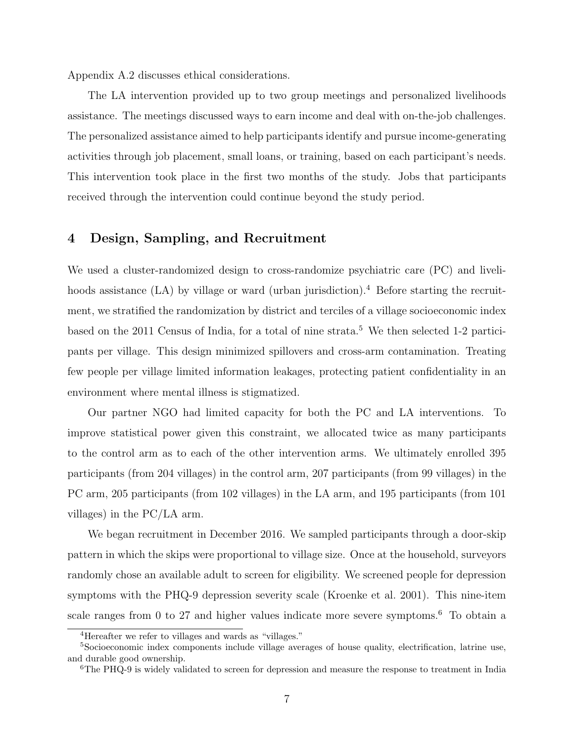Appendix A.2 discusses ethical considerations.

The LA intervention provided up to two group meetings and personalized livelihoods assistance. The meetings discussed ways to earn income and deal with on-the-job challenges. The personalized assistance aimed to help participants identify and pursue income-generating activities through job placement, small loans, or training, based on each participant's needs. This intervention took place in the first two months of the study. Jobs that participants received through the intervention could continue beyond the study period.

#### 4 Design, Sampling, and Recruitment

We used a cluster-randomized design to cross-randomize psychiatric care  $(PC)$  and livelihoods assistance  $(LA)$  by village or ward (urban jurisdiction).<sup>4</sup> Before starting the recruitment, we stratified the randomization by district and terciles of a village socioeconomic index based on the 2011 Census of India, for a total of nine strata.<sup>5</sup> We then selected 1-2 participants per village. This design minimized spillovers and cross-arm contamination. Treating few people per village limited information leakages, protecting patient confidentiality in an environment where mental illness is stigmatized.

Our partner NGO had limited capacity for both the PC and LA interventions. To improve statistical power given this constraint, we allocated twice as many participants to the control arm as to each of the other intervention arms. We ultimately enrolled 395 participants (from 204 villages) in the control arm, 207 participants (from 99 villages) in the PC arm, 205 participants (from 102 villages) in the LA arm, and 195 participants (from 101 villages) in the PC/LA arm.

We began recruitment in December 2016. We sampled participants through a door-skip pattern in which the skips were proportional to village size. Once at the household, surveyors randomly chose an available adult to screen for eligibility. We screened people for depression symptoms with the PHQ-9 depression severity scale (Kroenke et al. 2001). This nine-item scale ranges from 0 to 27 and higher values indicate more severe symptoms.<sup>6</sup> To obtain a

<sup>4</sup>Hereafter we refer to villages and wards as "villages."

<sup>5</sup>Socioeconomic index components include village averages of house quality, electrification, latrine use, and durable good ownership.

<sup>6</sup>The PHQ-9 is widely validated to screen for depression and measure the response to treatment in India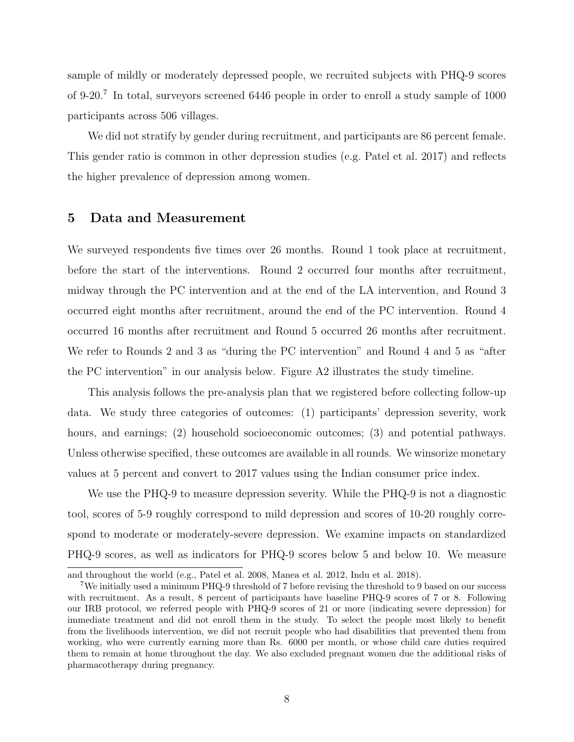sample of mildly or moderately depressed people, we recruited subjects with PHQ-9 scores of 9-20.<sup>7</sup> In total, surveyors screened 6446 people in order to enroll a study sample of 1000 participants across 506 villages.

We did not stratify by gender during recruitment, and participants are 86 percent female. This gender ratio is common in other depression studies (e.g. Patel et al. 2017) and reflects the higher prevalence of depression among women.

#### 5 Data and Measurement

We surveyed respondents five times over 26 months. Round 1 took place at recruitment, before the start of the interventions. Round 2 occurred four months after recruitment, midway through the PC intervention and at the end of the LA intervention, and Round 3 occurred eight months after recruitment, around the end of the PC intervention. Round 4 occurred 16 months after recruitment and Round 5 occurred 26 months after recruitment. We refer to Rounds 2 and 3 as "during the PC intervention" and Round 4 and 5 as "after the PC intervention" in our analysis below. Figure A2 illustrates the study timeline.

This analysis follows the pre-analysis plan that we registered before collecting follow-up data. We study three categories of outcomes: (1) participants' depression severity, work hours, and earnings; (2) household socioeconomic outcomes; (3) and potential pathways. Unless otherwise specified, these outcomes are available in all rounds. We winsorize monetary values at 5 percent and convert to 2017 values using the Indian consumer price index.

We use the PHQ-9 to measure depression severity. While the PHQ-9 is not a diagnostic tool, scores of 5-9 roughly correspond to mild depression and scores of 10-20 roughly correspond to moderate or moderately-severe depression. We examine impacts on standardized PHQ-9 scores, as well as indicators for PHQ-9 scores below 5 and below 10. We measure

and throughout the world (e.g., Patel et al. 2008, Manea et al. 2012, Indu et al. 2018).

<sup>7</sup>We initially used a minimum PHQ-9 threshold of 7 before revising the threshold to 9 based on our success with recruitment. As a result, 8 percent of participants have baseline PHQ-9 scores of 7 or 8. Following our IRB protocol, we referred people with PHQ-9 scores of 21 or more (indicating severe depression) for immediate treatment and did not enroll them in the study. To select the people most likely to benefit from the livelihoods intervention, we did not recruit people who had disabilities that prevented them from working, who were currently earning more than Rs. 6000 per month, or whose child care duties required them to remain at home throughout the day. We also excluded pregnant women due the additional risks of pharmacotherapy during pregnancy.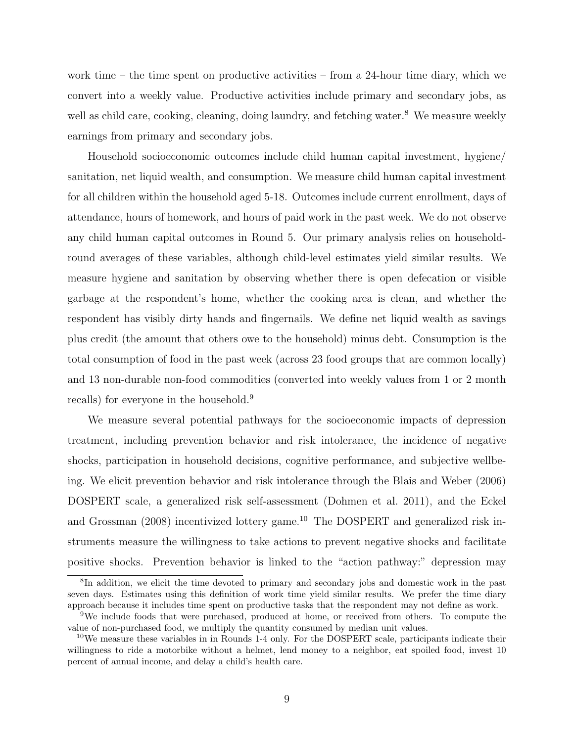work time – the time spent on productive activities – from a 24-hour time diary, which we convert into a weekly value. Productive activities include primary and secondary jobs, as well as child care, cooking, cleaning, doing laundry, and fetching water.<sup>8</sup> We measure weekly earnings from primary and secondary jobs.

Household socioeconomic outcomes include child human capital investment, hygiene/ sanitation, net liquid wealth, and consumption. We measure child human capital investment for all children within the household aged 5-18. Outcomes include current enrollment, days of attendance, hours of homework, and hours of paid work in the past week. We do not observe any child human capital outcomes in Round 5. Our primary analysis relies on householdround averages of these variables, although child-level estimates yield similar results. We measure hygiene and sanitation by observing whether there is open defecation or visible garbage at the respondent's home, whether the cooking area is clean, and whether the respondent has visibly dirty hands and fingernails. We define net liquid wealth as savings plus credit (the amount that others owe to the household) minus debt. Consumption is the total consumption of food in the past week (across 23 food groups that are common locally) and 13 non-durable non-food commodities (converted into weekly values from 1 or 2 month recalls) for everyone in the household.<sup>9</sup>

We measure several potential pathways for the socioeconomic impacts of depression treatment, including prevention behavior and risk intolerance, the incidence of negative shocks, participation in household decisions, cognitive performance, and subjective wellbeing. We elicit prevention behavior and risk intolerance through the Blais and Weber (2006) DOSPERT scale, a generalized risk self-assessment (Dohmen et al. 2011), and the Eckel and Grossman (2008) incentivized lottery game.<sup>10</sup> The DOSPERT and generalized risk instruments measure the willingness to take actions to prevent negative shocks and facilitate positive shocks. Prevention behavior is linked to the "action pathway:" depression may

<sup>&</sup>lt;sup>8</sup>In addition, we elicit the time devoted to primary and secondary jobs and domestic work in the past seven days. Estimates using this definition of work time yield similar results. We prefer the time diary approach because it includes time spent on productive tasks that the respondent may not define as work.

<sup>9</sup>We include foods that were purchased, produced at home, or received from others. To compute the value of non-purchased food, we multiply the quantity consumed by median unit values.

 $10$ We measure these variables in in Rounds 1-4 only. For the DOSPERT scale, participants indicate their willingness to ride a motorbike without a helmet, lend money to a neighbor, eat spoiled food, invest 10 percent of annual income, and delay a child's health care.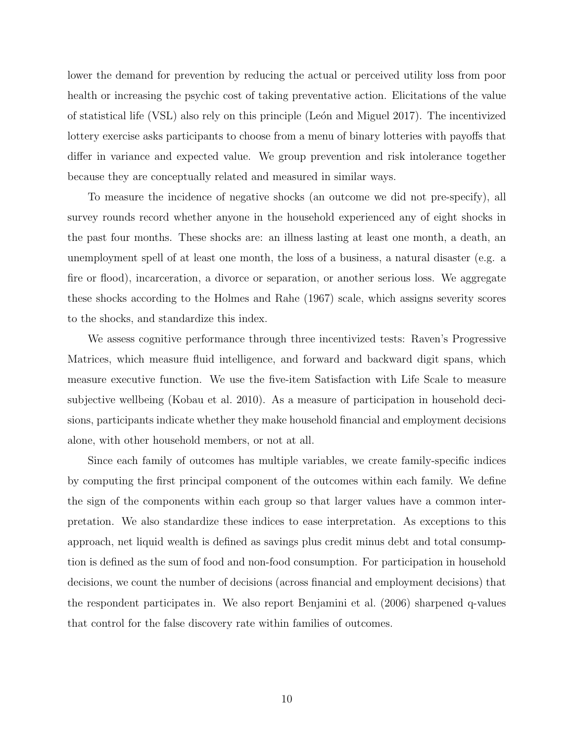lower the demand for prevention by reducing the actual or perceived utility loss from poor health or increasing the psychic cost of taking preventative action. Elicitations of the value of statistical life (VSL) also rely on this principle (León and Miguel 2017). The incentivized lottery exercise asks participants to choose from a menu of binary lotteries with payoffs that differ in variance and expected value. We group prevention and risk intolerance together because they are conceptually related and measured in similar ways.

To measure the incidence of negative shocks (an outcome we did not pre-specify), all survey rounds record whether anyone in the household experienced any of eight shocks in the past four months. These shocks are: an illness lasting at least one month, a death, an unemployment spell of at least one month, the loss of a business, a natural disaster (e.g. a fire or flood), incarceration, a divorce or separation, or another serious loss. We aggregate these shocks according to the Holmes and Rahe (1967) scale, which assigns severity scores to the shocks, and standardize this index.

We assess cognitive performance through three incentivized tests: Raven's Progressive Matrices, which measure fluid intelligence, and forward and backward digit spans, which measure executive function. We use the five-item Satisfaction with Life Scale to measure subjective wellbeing (Kobau et al. 2010). As a measure of participation in household decisions, participants indicate whether they make household financial and employment decisions alone, with other household members, or not at all.

Since each family of outcomes has multiple variables, we create family-specific indices by computing the first principal component of the outcomes within each family. We define the sign of the components within each group so that larger values have a common interpretation. We also standardize these indices to ease interpretation. As exceptions to this approach, net liquid wealth is defined as savings plus credit minus debt and total consumption is defined as the sum of food and non-food consumption. For participation in household decisions, we count the number of decisions (across financial and employment decisions) that the respondent participates in. We also report Benjamini et al. (2006) sharpened q-values that control for the false discovery rate within families of outcomes.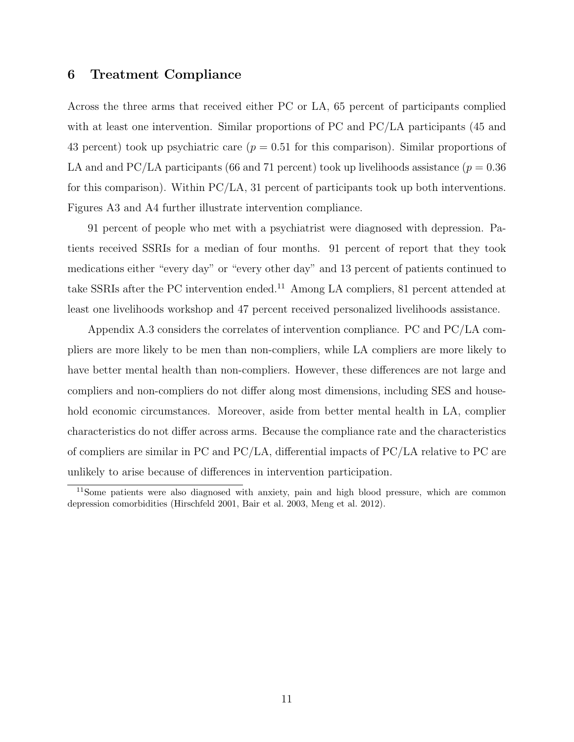#### 6 Treatment Compliance

Across the three arms that received either PC or LA, 65 percent of participants complied with at least one intervention. Similar proportions of PC and PC/LA participants (45 and 43 percent) took up psychiatric care  $(p = 0.51$  for this comparison). Similar proportions of LA and and PC/LA participants (66 and 71 percent) took up livelihoods assistance ( $p = 0.36$ ) for this comparison). Within PC/LA, 31 percent of participants took up both interventions. Figures A3 and A4 further illustrate intervention compliance.

91 percent of people who met with a psychiatrist were diagnosed with depression. Patients received SSRIs for a median of four months. 91 percent of report that they took medications either "every day" or "every other day" and 13 percent of patients continued to take SSRIs after the PC intervention ended.<sup>11</sup> Among LA compliers, 81 percent attended at least one livelihoods workshop and 47 percent received personalized livelihoods assistance.

Appendix A.3 considers the correlates of intervention compliance. PC and PC/LA compliers are more likely to be men than non-compliers, while LA compliers are more likely to have better mental health than non-compliers. However, these differences are not large and compliers and non-compliers do not differ along most dimensions, including SES and household economic circumstances. Moreover, aside from better mental health in LA, complier characteristics do not differ across arms. Because the compliance rate and the characteristics of compliers are similar in PC and PC/LA, differential impacts of PC/LA relative to PC are unlikely to arise because of differences in intervention participation.

<sup>11</sup>Some patients were also diagnosed with anxiety, pain and high blood pressure, which are common depression comorbidities (Hirschfeld 2001, Bair et al. 2003, Meng et al. 2012).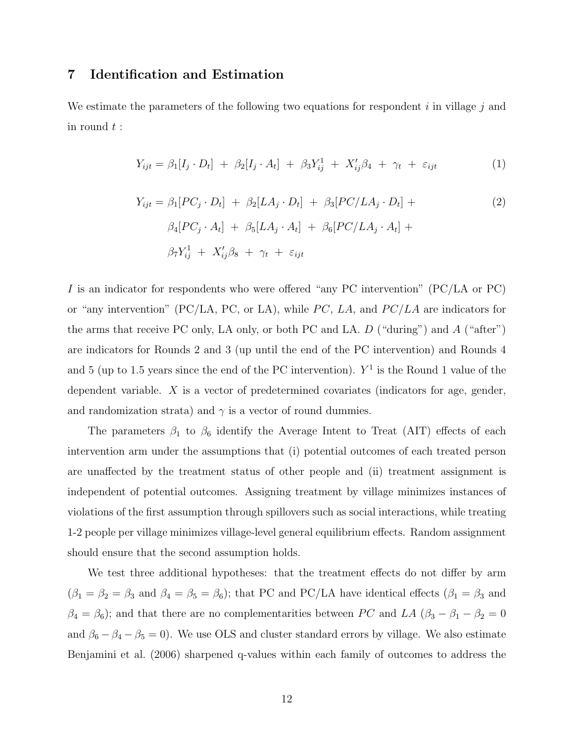#### 7 Identification and Estimation

We estimate the parameters of the following two equations for respondent  $i$  in village  $j$  and in round  $t$  :

$$
Y_{ijt} = \beta_1[I_j \cdot D_t] + \beta_2[I_j \cdot A_t] + \beta_3 Y_{ij}^1 + X_{ij}' \beta_4 + \gamma_t + \varepsilon_{ijt} \tag{1}
$$

$$
Y_{ijt} = \beta_1 [PC_j \cdot D_t] + \beta_2 [LA_j \cdot D_t] + \beta_3 [PC/LA_j \cdot D_t] +
$$
  
\n
$$
\beta_4 [PC_j \cdot A_t] + \beta_5 [LA_j \cdot A_t] + \beta_6 [PC/LA_j \cdot A_t] +
$$
  
\n
$$
\beta_7 Y_{ij}^1 + X_{ij}' \beta_8 + \gamma_t + \varepsilon_{ijt}
$$
\n(2)

I is an indicator for respondents who were offered "any PC intervention" (PC/LA or PC) or "any intervention" (PC/LA, PC, or LA), while  $PC$ , LA, and  $PC/LA$  are indicators for the arms that receive PC only, LA only, or both PC and LA.  $D$  ("during") and  $A$  ("after") are indicators for Rounds 2 and 3 (up until the end of the PC intervention) and Rounds 4 and 5 (up to 1.5 years since the end of the PC intervention).  $Y^1$  is the Round 1 value of the dependent variable. X is a vector of predetermined covariates (indicators for age, gender, and randomization strata) and  $\gamma$  is a vector of round dummies.

The parameters  $\beta_1$  to  $\beta_6$  identify the Average Intent to Treat (AIT) effects of each intervention arm under the assumptions that (i) potential outcomes of each treated person are unaffected by the treatment status of other people and (ii) treatment assignment is independent of potential outcomes. Assigning treatment by village minimizes instances of violations of the first assumption through spillovers such as social interactions, while treating 1-2 people per village minimizes village-level general equilibrium effects. Random assignment should ensure that the second assumption holds.

We test three additional hypotheses: that the treatment effects do not differ by arm  $(\beta_1 = \beta_2 = \beta_3 \text{ and } \beta_4 = \beta_5 = \beta_6)$ ; that PC and PC/LA have identical effects  $(\beta_1 = \beta_3 \text{ and } \beta_4 = \beta_5 = \beta_6)$ ; that PC and PC/LA have identical effects  $(\beta_1 = \beta_3 \text{ and } \beta_4 = \beta_5 = \beta_6)$ ;  $\beta_4 = \beta_6$ ); and that there are no complementarities between PC and LA ( $\beta_3 - \beta_1 - \beta_2 = 0$ and  $\beta_6 - \beta_4 - \beta_5 = 0$ ). We use OLS and cluster standard errors by village. We also estimate Benjamini et al. (2006) sharpened q-values within each family of outcomes to address the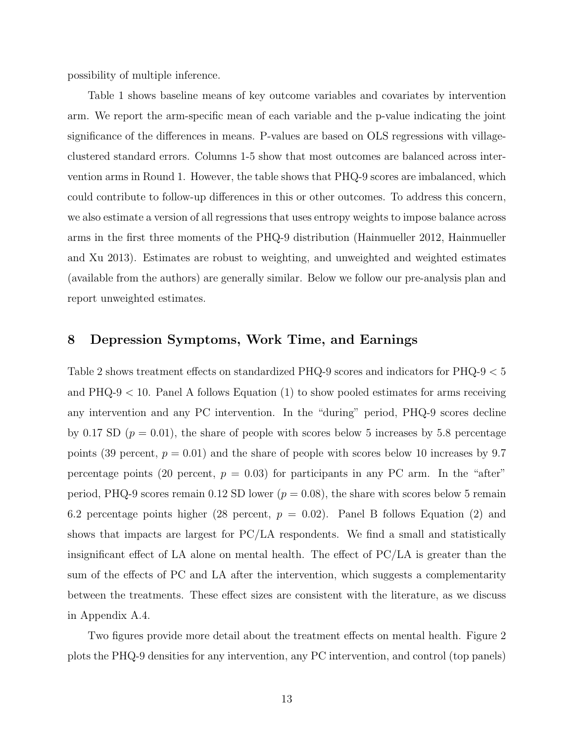possibility of multiple inference.

Table 1 shows baseline means of key outcome variables and covariates by intervention arm. We report the arm-specific mean of each variable and the p-value indicating the joint significance of the differences in means. P-values are based on OLS regressions with villageclustered standard errors. Columns 1-5 show that most outcomes are balanced across intervention arms in Round 1. However, the table shows that PHQ-9 scores are imbalanced, which could contribute to follow-up differences in this or other outcomes. To address this concern, we also estimate a version of all regressions that uses entropy weights to impose balance across arms in the first three moments of the PHQ-9 distribution (Hainmueller 2012, Hainmueller and Xu 2013). Estimates are robust to weighting, and unweighted and weighted estimates (available from the authors) are generally similar. Below we follow our pre-analysis plan and report unweighted estimates.

#### 8 Depression Symptoms, Work Time, and Earnings

Table 2 shows treatment effects on standardized PHQ-9 scores and indicators for PHQ-9 < 5 and  $PHQ-9 < 10$ . Panel A follows Equation (1) to show pooled estimates for arms receiving any intervention and any PC intervention. In the "during" period, PHQ-9 scores decline by 0.17 SD  $(p = 0.01)$ , the share of people with scores below 5 increases by 5.8 percentage points (39 percent,  $p = 0.01$ ) and the share of people with scores below 10 increases by 9.7 percentage points (20 percent,  $p = 0.03$ ) for participants in any PC arm. In the "after" period, PHQ-9 scores remain 0.12 SD lower ( $p = 0.08$ ), the share with scores below 5 remain 6.2 percentage points higher (28 percent,  $p = 0.02$ ). Panel B follows Equation (2) and shows that impacts are largest for PC/LA respondents. We find a small and statistically insignificant effect of LA alone on mental health. The effect of PC/LA is greater than the sum of the effects of PC and LA after the intervention, which suggests a complementarity between the treatments. These effect sizes are consistent with the literature, as we discuss in Appendix A.4.

Two figures provide more detail about the treatment effects on mental health. Figure 2 plots the PHQ-9 densities for any intervention, any PC intervention, and control (top panels)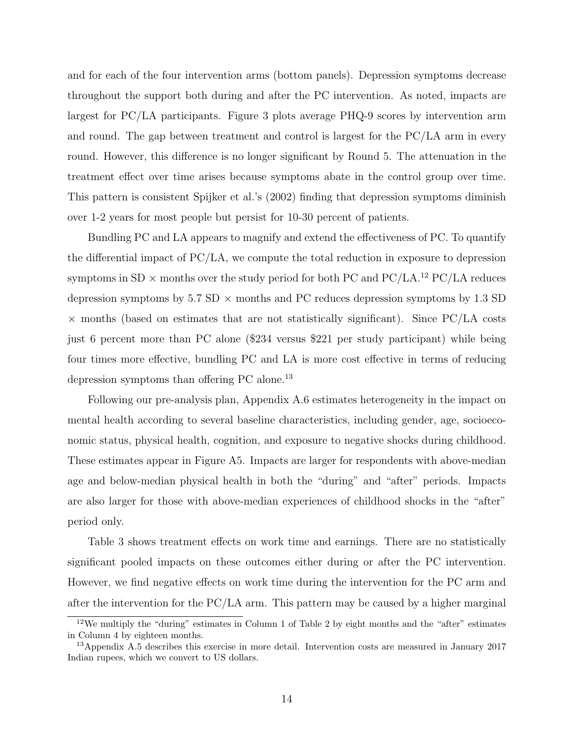and for each of the four intervention arms (bottom panels). Depression symptoms decrease throughout the support both during and after the PC intervention. As noted, impacts are largest for PC/LA participants. Figure 3 plots average PHQ-9 scores by intervention arm and round. The gap between treatment and control is largest for the PC/LA arm in every round. However, this difference is no longer significant by Round 5. The attenuation in the treatment effect over time arises because symptoms abate in the control group over time. This pattern is consistent Spijker et al.'s (2002) finding that depression symptoms diminish over 1-2 years for most people but persist for 10-30 percent of patients.

Bundling PC and LA appears to magnify and extend the effectiveness of PC. To quantify the differential impact of PC/LA, we compute the total reduction in exposure to depression symptoms in  $SD \times$  months over the study period for both PC and PC/LA.<sup>12</sup> PC/LA reduces depression symptoms by  $5.7$  SD  $\times$  months and PC reduces depression symptoms by 1.3 SD  $\times$  months (based on estimates that are not statistically significant). Since PC/LA costs just 6 percent more than PC alone (\$234 versus \$221 per study participant) while being four times more effective, bundling PC and LA is more cost effective in terms of reducing depression symptoms than offering PC alone.<sup>13</sup>

Following our pre-analysis plan, Appendix A.6 estimates heterogeneity in the impact on mental health according to several baseline characteristics, including gender, age, socioeconomic status, physical health, cognition, and exposure to negative shocks during childhood. These estimates appear in Figure A5. Impacts are larger for respondents with above-median age and below-median physical health in both the "during" and "after" periods. Impacts are also larger for those with above-median experiences of childhood shocks in the "after" period only.

Table 3 shows treatment effects on work time and earnings. There are no statistically significant pooled impacts on these outcomes either during or after the PC intervention. However, we find negative effects on work time during the intervention for the PC arm and after the intervention for the PC/LA arm. This pattern may be caused by a higher marginal

<sup>12</sup>We multiply the "during" estimates in Column 1 of Table 2 by eight months and the "after" estimates in Column 4 by eighteen months.

<sup>&</sup>lt;sup>13</sup>Appendix A.5 describes this exercise in more detail. Intervention costs are measured in January 2017 Indian rupees, which we convert to US dollars.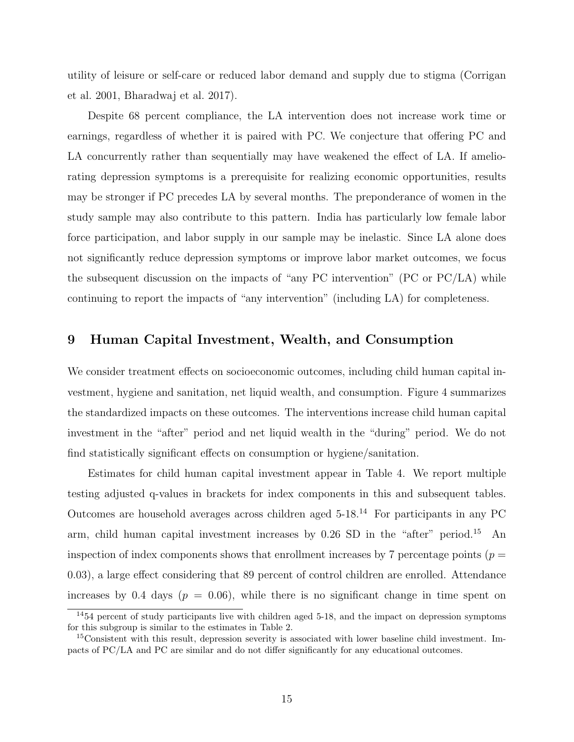utility of leisure or self-care or reduced labor demand and supply due to stigma (Corrigan et al. 2001, Bharadwaj et al. 2017).

Despite 68 percent compliance, the LA intervention does not increase work time or earnings, regardless of whether it is paired with PC. We conjecture that offering PC and LA concurrently rather than sequentially may have weakened the effect of LA. If ameliorating depression symptoms is a prerequisite for realizing economic opportunities, results may be stronger if PC precedes LA by several months. The preponderance of women in the study sample may also contribute to this pattern. India has particularly low female labor force participation, and labor supply in our sample may be inelastic. Since LA alone does not significantly reduce depression symptoms or improve labor market outcomes, we focus the subsequent discussion on the impacts of "any PC intervention" (PC or PC/LA) while continuing to report the impacts of "any intervention" (including LA) for completeness.

#### 9 Human Capital Investment, Wealth, and Consumption

We consider treatment effects on socioeconomic outcomes, including child human capital investment, hygiene and sanitation, net liquid wealth, and consumption. Figure 4 summarizes the standardized impacts on these outcomes. The interventions increase child human capital investment in the "after" period and net liquid wealth in the "during" period. We do not find statistically significant effects on consumption or hygiene/sanitation.

Estimates for child human capital investment appear in Table 4. We report multiple testing adjusted q-values in brackets for index components in this and subsequent tables. Outcomes are household averages across children aged  $5$ -18.<sup>14</sup> For participants in any PC arm, child human capital investment increases by  $0.26$  SD in the "after" period.<sup>15</sup> An inspection of index components shows that enrollment increases by 7 percentage points ( $p =$ 0.03), a large effect considering that 89 percent of control children are enrolled. Attendance increases by 0.4 days ( $p = 0.06$ ), while there is no significant change in time spent on

<sup>14</sup>54 percent of study participants live with children aged 5-18, and the impact on depression symptoms for this subgroup is similar to the estimates in Table 2.

<sup>&</sup>lt;sup>15</sup>Consistent with this result, depression severity is associated with lower baseline child investment. Impacts of PC/LA and PC are similar and do not differ significantly for any educational outcomes.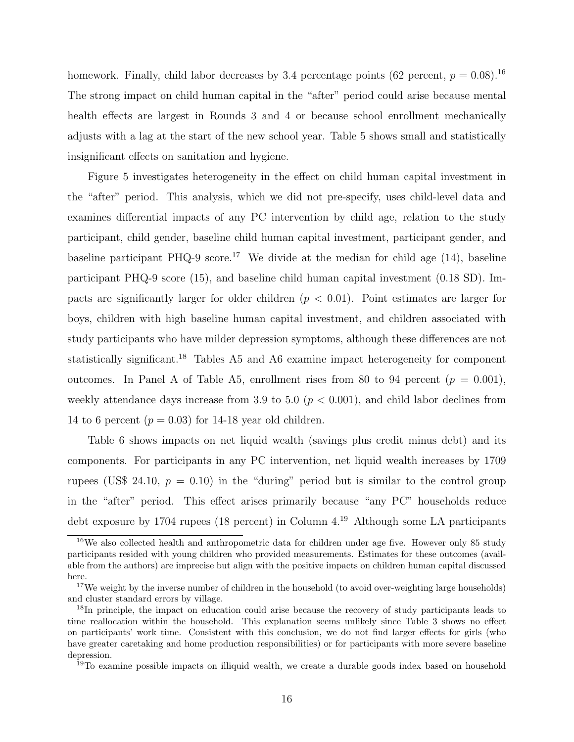homework. Finally, child labor decreases by 3.4 percentage points (62 percent,  $p = 0.08$ ).<sup>16</sup> The strong impact on child human capital in the "after" period could arise because mental health effects are largest in Rounds 3 and 4 or because school enrollment mechanically adjusts with a lag at the start of the new school year. Table 5 shows small and statistically insignificant effects on sanitation and hygiene.

Figure 5 investigates heterogeneity in the effect on child human capital investment in the "after" period. This analysis, which we did not pre-specify, uses child-level data and examines differential impacts of any PC intervention by child age, relation to the study participant, child gender, baseline child human capital investment, participant gender, and baseline participant PHQ-9 score.<sup>17</sup> We divide at the median for child age  $(14)$ , baseline participant PHQ-9 score (15), and baseline child human capital investment (0.18 SD). Impacts are significantly larger for older children  $(p < 0.01)$ . Point estimates are larger for boys, children with high baseline human capital investment, and children associated with study participants who have milder depression symptoms, although these differences are not statistically significant.<sup>18</sup> Tables A5 and A6 examine impact heterogeneity for component outcomes. In Panel A of Table A5, enrollment rises from 80 to 94 percent  $(p = 0.001)$ , weekly attendance days increase from 3.9 to 5.0 ( $p < 0.001$ ), and child labor declines from 14 to 6 percent ( $p = 0.03$ ) for 14-18 year old children.

Table 6 shows impacts on net liquid wealth (savings plus credit minus debt) and its components. For participants in any PC intervention, net liquid wealth increases by 1709 rupees (US\$ 24.10,  $p = 0.10$ ) in the "during" period but is similar to the control group in the "after" period. This effect arises primarily because "any PC" households reduce debt exposure by 1704 rupees (18 percent) in Column 4.<sup>19</sup> Although some LA participants

<sup>&</sup>lt;sup>16</sup>We also collected health and anthropometric data for children under age five. However only 85 study participants resided with young children who provided measurements. Estimates for these outcomes (available from the authors) are imprecise but align with the positive impacts on children human capital discussed here.

 $17$ We weight by the inverse number of children in the household (to avoid over-weighting large households) and cluster standard errors by village.

<sup>&</sup>lt;sup>18</sup>In principle, the impact on education could arise because the recovery of study participants leads to time reallocation within the household. This explanation seems unlikely since Table 3 shows no effect on participants' work time. Consistent with this conclusion, we do not find larger effects for girls (who have greater caretaking and home production responsibilities) or for participants with more severe baseline depression.

<sup>&</sup>lt;sup>19</sup>To examine possible impacts on illiquid wealth, we create a durable goods index based on household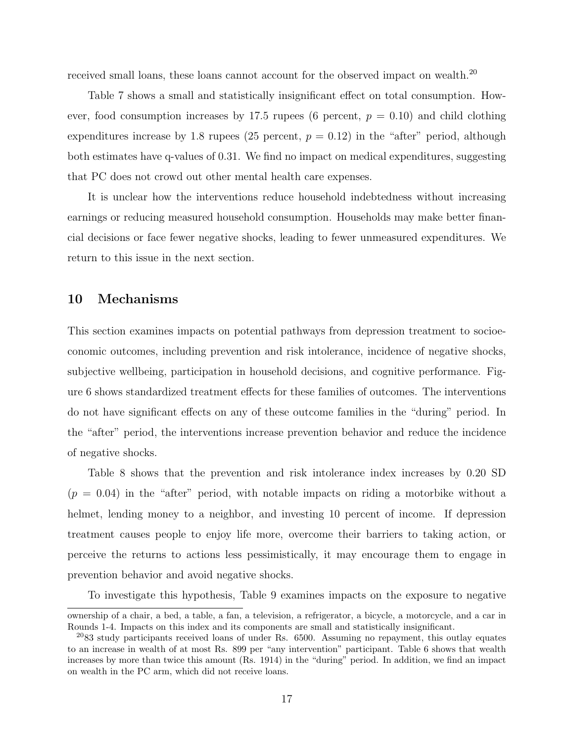received small loans, these loans cannot account for the observed impact on wealth.<sup>20</sup>

Table 7 shows a small and statistically insignificant effect on total consumption. However, food consumption increases by 17.5 rupees (6 percent,  $p = 0.10$ ) and child clothing expenditures increase by 1.8 rupees (25 percent,  $p = 0.12$ ) in the "after" period, although both estimates have q-values of 0.31. We find no impact on medical expenditures, suggesting that PC does not crowd out other mental health care expenses.

It is unclear how the interventions reduce household indebtedness without increasing earnings or reducing measured household consumption. Households may make better financial decisions or face fewer negative shocks, leading to fewer unmeasured expenditures. We return to this issue in the next section.

#### 10 Mechanisms

This section examines impacts on potential pathways from depression treatment to socioeconomic outcomes, including prevention and risk intolerance, incidence of negative shocks, subjective wellbeing, participation in household decisions, and cognitive performance. Figure 6 shows standardized treatment effects for these families of outcomes. The interventions do not have significant effects on any of these outcome families in the "during" period. In the "after" period, the interventions increase prevention behavior and reduce the incidence of negative shocks.

Table 8 shows that the prevention and risk intolerance index increases by 0.20 SD  $(p = 0.04)$  in the "after" period, with notable impacts on riding a motorbike without a helmet, lending money to a neighbor, and investing 10 percent of income. If depression treatment causes people to enjoy life more, overcome their barriers to taking action, or perceive the returns to actions less pessimistically, it may encourage them to engage in prevention behavior and avoid negative shocks.

To investigate this hypothesis, Table 9 examines impacts on the exposure to negative

ownership of a chair, a bed, a table, a fan, a television, a refrigerator, a bicycle, a motorcycle, and a car in Rounds 1-4. Impacts on this index and its components are small and statistically insignificant.

 $2083$  study participants received loans of under Rs. 6500. Assuming no repayment, this outlay equates to an increase in wealth of at most Rs. 899 per "any intervention" participant. Table 6 shows that wealth increases by more than twice this amount (Rs. 1914) in the "during" period. In addition, we find an impact on wealth in the PC arm, which did not receive loans.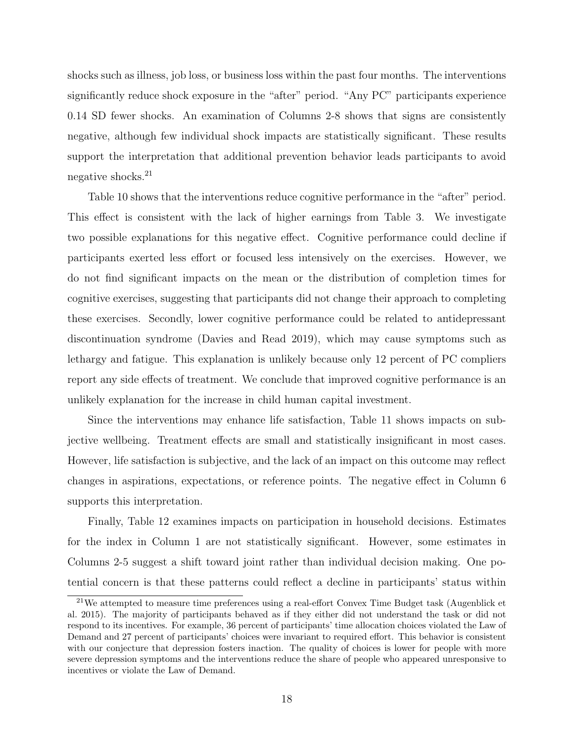shocks such as illness, job loss, or business loss within the past four months. The interventions significantly reduce shock exposure in the "after" period. "Any PC" participants experience 0.14 SD fewer shocks. An examination of Columns 2-8 shows that signs are consistently negative, although few individual shock impacts are statistically significant. These results support the interpretation that additional prevention behavior leads participants to avoid negative shocks.<sup>21</sup>

Table 10 shows that the interventions reduce cognitive performance in the "after" period. This effect is consistent with the lack of higher earnings from Table 3. We investigate two possible explanations for this negative effect. Cognitive performance could decline if participants exerted less effort or focused less intensively on the exercises. However, we do not find significant impacts on the mean or the distribution of completion times for cognitive exercises, suggesting that participants did not change their approach to completing these exercises. Secondly, lower cognitive performance could be related to antidepressant discontinuation syndrome (Davies and Read 2019), which may cause symptoms such as lethargy and fatigue. This explanation is unlikely because only 12 percent of PC compliers report any side effects of treatment. We conclude that improved cognitive performance is an unlikely explanation for the increase in child human capital investment.

Since the interventions may enhance life satisfaction, Table 11 shows impacts on subjective wellbeing. Treatment effects are small and statistically insignificant in most cases. However, life satisfaction is subjective, and the lack of an impact on this outcome may reflect changes in aspirations, expectations, or reference points. The negative effect in Column 6 supports this interpretation.

Finally, Table 12 examines impacts on participation in household decisions. Estimates for the index in Column 1 are not statistically significant. However, some estimates in Columns 2-5 suggest a shift toward joint rather than individual decision making. One potential concern is that these patterns could reflect a decline in participants' status within

 $21$ We attempted to measure time preferences using a real-effort Convex Time Budget task (Augenblick et al. 2015). The majority of participants behaved as if they either did not understand the task or did not respond to its incentives. For example, 36 percent of participants' time allocation choices violated the Law of Demand and 27 percent of participants' choices were invariant to required effort. This behavior is consistent with our conjecture that depression fosters inaction. The quality of choices is lower for people with more severe depression symptoms and the interventions reduce the share of people who appeared unresponsive to incentives or violate the Law of Demand.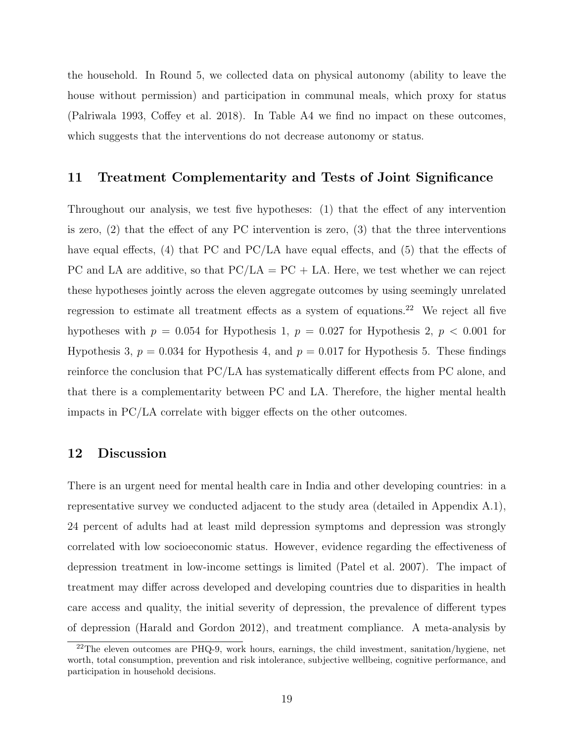the household. In Round 5, we collected data on physical autonomy (ability to leave the house without permission) and participation in communal meals, which proxy for status (Palriwala 1993, Coffey et al. 2018). In Table A4 we find no impact on these outcomes, which suggests that the interventions do not decrease autonomy or status.

#### 11 Treatment Complementarity and Tests of Joint Significance

Throughout our analysis, we test five hypotheses: (1) that the effect of any intervention is zero, (2) that the effect of any PC intervention is zero, (3) that the three interventions have equal effects,  $(4)$  that PC and PC/LA have equal effects, and  $(5)$  that the effects of PC and LA are additive, so that  $PC/LA = PC + LA$ . Here, we test whether we can reject these hypotheses jointly across the eleven aggregate outcomes by using seemingly unrelated regression to estimate all treatment effects as a system of equations.<sup>22</sup> We reject all five hypotheses with  $p = 0.054$  for Hypothesis 1,  $p = 0.027$  for Hypothesis 2,  $p < 0.001$  for Hypothesis 3,  $p = 0.034$  for Hypothesis 4, and  $p = 0.017$  for Hypothesis 5. These findings reinforce the conclusion that PC/LA has systematically different effects from PC alone, and that there is a complementarity between PC and LA. Therefore, the higher mental health impacts in PC/LA correlate with bigger effects on the other outcomes.

#### 12 Discussion

There is an urgent need for mental health care in India and other developing countries: in a representative survey we conducted adjacent to the study area (detailed in Appendix A.1), 24 percent of adults had at least mild depression symptoms and depression was strongly correlated with low socioeconomic status. However, evidence regarding the effectiveness of depression treatment in low-income settings is limited (Patel et al. 2007). The impact of treatment may differ across developed and developing countries due to disparities in health care access and quality, the initial severity of depression, the prevalence of different types of depression (Harald and Gordon 2012), and treatment compliance. A meta-analysis by

 $22$ The eleven outcomes are PHQ-9, work hours, earnings, the child investment, sanitation/hygiene, net worth, total consumption, prevention and risk intolerance, subjective wellbeing, cognitive performance, and participation in household decisions.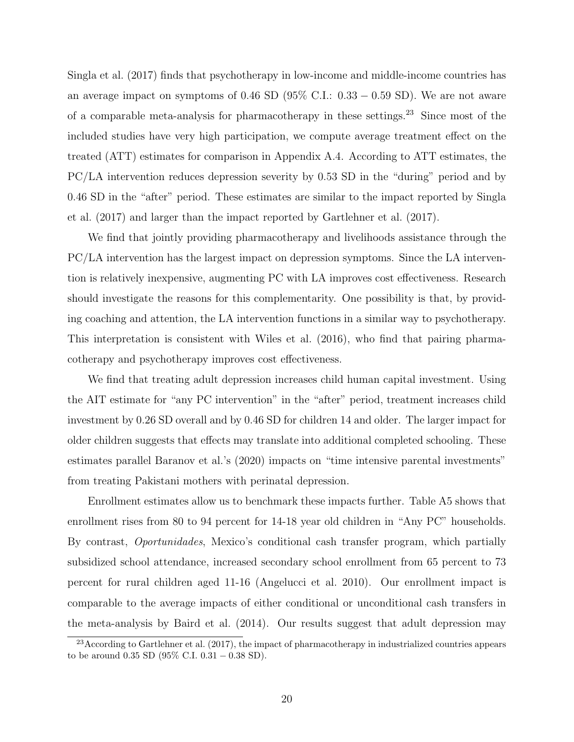Singla et al. (2017) finds that psychotherapy in low-income and middle-income countries has an average impact on symptoms of 0.46 SD ( $95\%$  C.I.: 0.33 – 0.59 SD). We are not aware of a comparable meta-analysis for pharmacotherapy in these settings.<sup>23</sup> Since most of the included studies have very high participation, we compute average treatment effect on the treated (ATT) estimates for comparison in Appendix A.4. According to ATT estimates, the PC/LA intervention reduces depression severity by 0.53 SD in the "during" period and by 0.46 SD in the "after" period. These estimates are similar to the impact reported by Singla et al. (2017) and larger than the impact reported by Gartlehner et al. (2017).

We find that jointly providing pharmacotherapy and livelihoods assistance through the PC/LA intervention has the largest impact on depression symptoms. Since the LA intervention is relatively inexpensive, augmenting PC with LA improves cost effectiveness. Research should investigate the reasons for this complementarity. One possibility is that, by providing coaching and attention, the LA intervention functions in a similar way to psychotherapy. This interpretation is consistent with Wiles et al. (2016), who find that pairing pharmacotherapy and psychotherapy improves cost effectiveness.

We find that treating adult depression increases child human capital investment. Using the AIT estimate for "any PC intervention" in the "after" period, treatment increases child investment by 0.26 SD overall and by 0.46 SD for children 14 and older. The larger impact for older children suggests that effects may translate into additional completed schooling. These estimates parallel Baranov et al.'s (2020) impacts on "time intensive parental investments" from treating Pakistani mothers with perinatal depression.

Enrollment estimates allow us to benchmark these impacts further. Table A5 shows that enrollment rises from 80 to 94 percent for 14-18 year old children in "Any PC" households. By contrast, Oportunidades, Mexico's conditional cash transfer program, which partially subsidized school attendance, increased secondary school enrollment from 65 percent to 73 percent for rural children aged 11-16 (Angelucci et al. 2010). Our enrollment impact is comparable to the average impacts of either conditional or unconditional cash transfers in the meta-analysis by Baird et al. (2014). Our results suggest that adult depression may

 $23$ According to Gartlehner et al. (2017), the impact of pharmacotherapy in industrialized countries appears to be around 0.35 SD  $(95\% \text{ C.I. } 0.31 - 0.38 \text{ SD}).$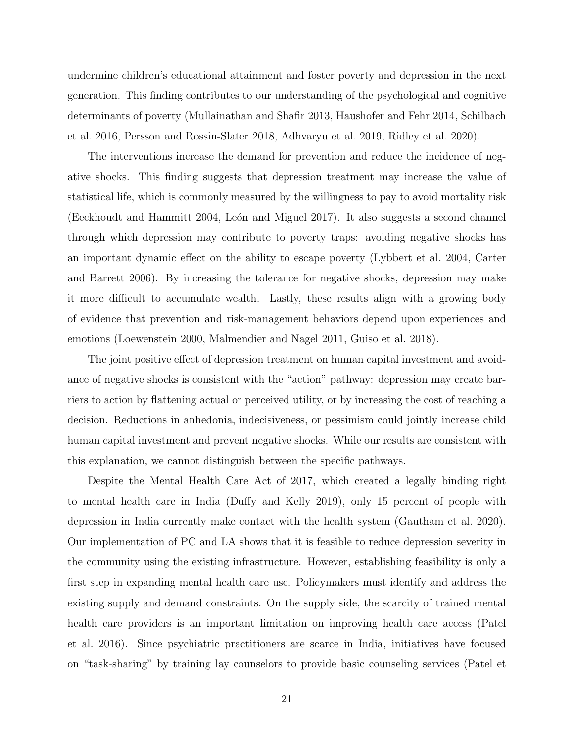undermine children's educational attainment and foster poverty and depression in the next generation. This finding contributes to our understanding of the psychological and cognitive determinants of poverty (Mullainathan and Shafir 2013, Haushofer and Fehr 2014, Schilbach et al. 2016, Persson and Rossin-Slater 2018, Adhvaryu et al. 2019, Ridley et al. 2020).

The interventions increase the demand for prevention and reduce the incidence of negative shocks. This finding suggests that depression treatment may increase the value of statistical life, which is commonly measured by the willingness to pay to avoid mortality risk (Eeckhoudt and Hammitt 2004, León and Miguel 2017). It also suggests a second channel through which depression may contribute to poverty traps: avoiding negative shocks has an important dynamic effect on the ability to escape poverty (Lybbert et al. 2004, Carter and Barrett 2006). By increasing the tolerance for negative shocks, depression may make it more difficult to accumulate wealth. Lastly, these results align with a growing body of evidence that prevention and risk-management behaviors depend upon experiences and emotions (Loewenstein 2000, Malmendier and Nagel 2011, Guiso et al. 2018).

The joint positive effect of depression treatment on human capital investment and avoidance of negative shocks is consistent with the "action" pathway: depression may create barriers to action by flattening actual or perceived utility, or by increasing the cost of reaching a decision. Reductions in anhedonia, indecisiveness, or pessimism could jointly increase child human capital investment and prevent negative shocks. While our results are consistent with this explanation, we cannot distinguish between the specific pathways.

Despite the Mental Health Care Act of 2017, which created a legally binding right to mental health care in India (Duffy and Kelly 2019), only 15 percent of people with depression in India currently make contact with the health system (Gautham et al. 2020). Our implementation of PC and LA shows that it is feasible to reduce depression severity in the community using the existing infrastructure. However, establishing feasibility is only a first step in expanding mental health care use. Policymakers must identify and address the existing supply and demand constraints. On the supply side, the scarcity of trained mental health care providers is an important limitation on improving health care access (Patel et al. 2016). Since psychiatric practitioners are scarce in India, initiatives have focused on "task-sharing" by training lay counselors to provide basic counseling services (Patel et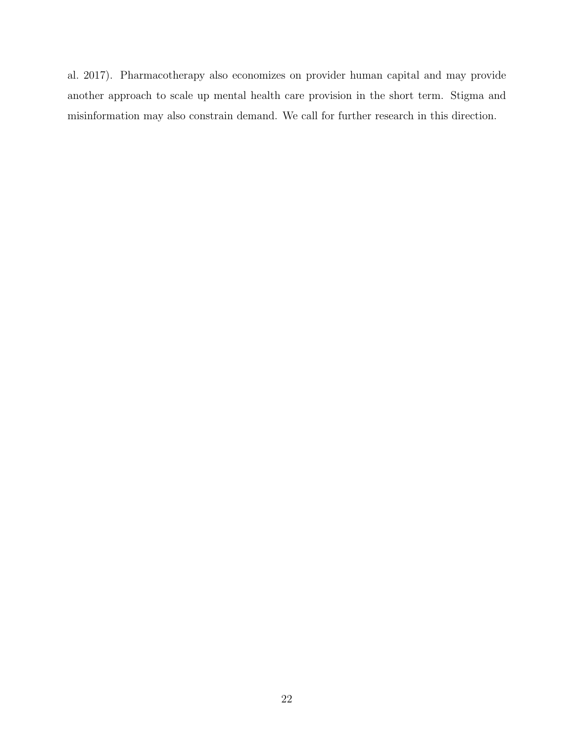al. 2017). Pharmacotherapy also economizes on provider human capital and may provide another approach to scale up mental health care provision in the short term. Stigma and misinformation may also constrain demand. We call for further research in this direction.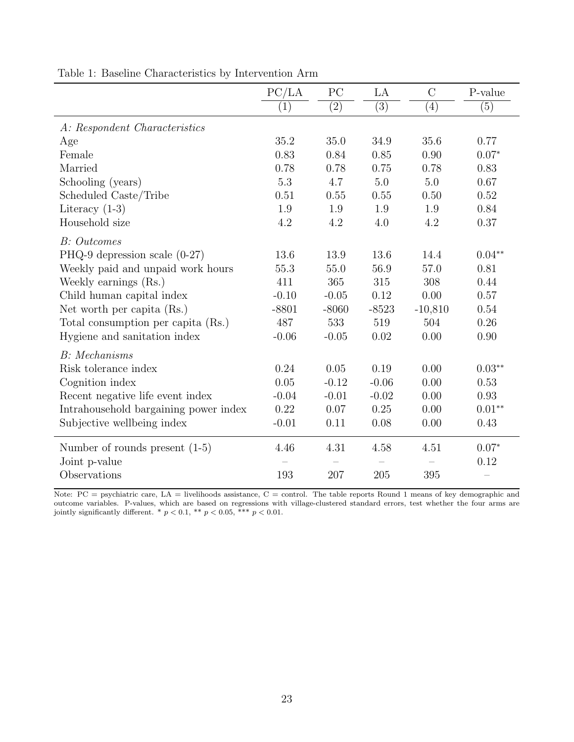|                                       | PC/LA   | PC               | LA               | $\mathcal{C}$ | P-value           |
|---------------------------------------|---------|------------------|------------------|---------------|-------------------|
|                                       | (1)     | $\overline{(2)}$ | $\overline{(3)}$ | (4)           | (5)               |
| A: Respondent Characteristics         |         |                  |                  |               |                   |
| Age                                   | 35.2    | 35.0             | 34.9             | 35.6          | 0.77              |
| Female                                | 0.83    | 0.84             | 0.85             | 0.90          | $0.07*$           |
| Married                               | 0.78    | 0.78             | 0.75             | 0.78          | 0.83              |
| Schooling (years)                     | 5.3     | 4.7              | 5.0              | 5.0           | 0.67              |
| Scheduled Caste/Tribe                 | 0.51    | 0.55             | 0.55             | 0.50          | 0.52              |
| Literacy $(1-3)$                      | 1.9     | 1.9              | 1.9              | 1.9           | 0.84              |
| Household size                        | 4.2     | 4.2              | 4.0              | 4.2           | 0.37              |
| <b>B</b> : Outcomes                   |         |                  |                  |               |                   |
| PHQ-9 depression scale $(0-27)$       | 13.6    | 13.9             | 13.6             | 14.4          | $0.04**$          |
| Weekly paid and unpaid work hours     | 55.3    | 55.0             | 56.9             | 57.0          | 0.81              |
| Weekly earnings (Rs.)                 | 411     | 365              | 315              | 308           | 0.44              |
| Child human capital index             | $-0.10$ | $-0.05$          | 0.12             | 0.00          | 0.57              |
| Net worth per capita (Rs.)            | $-8801$ | $-8060$          | $-8523$          | $-10,810$     | 0.54              |
| Total consumption per capita (Rs.)    | 487     | 533              | 519              | 504           | 0.26              |
| Hygiene and sanitation index          | $-0.06$ | $-0.05$          | 0.02             | 0.00          | 0.90              |
| <b>B</b> : Mechanisms                 |         |                  |                  |               |                   |
| Risk tolerance index                  | 0.24    | 0.05             | 0.19             | 0.00          | $0.03**$          |
| Cognition index                       | 0.05    | $-0.12$          | $-0.06$          | 0.00          | 0.53              |
| Recent negative life event index      | $-0.04$ | $-0.01$          | $-0.02$          | 0.00          | 0.93              |
| Intrahousehold bargaining power index | 0.22    | 0.07             | 0.25             | 0.00          | $0.01^{\ast\ast}$ |
| Subjective wellbeing index            | $-0.01$ | 0.11             | 0.08             | 0.00          | 0.43              |
| Number of rounds present $(1-5)$      | 4.46    | 4.31             | 4.58             | 4.51          | $0.07*$           |
| Joint p-value                         |         |                  |                  |               | 0.12              |
| Observations                          | 193     | 207              | 205              | 395           |                   |

Table 1: Baseline Characteristics by Intervention Arm

Note: PC = psychiatric care, LA = livelihoods assistance, C = control. The table reports Round 1 means of key demographic and outcome variables. P-values, which are based on regressions with village-clustered standard errors, test whether the four arms are jointly significantly different. \* $p < 0.1,$  \*\*  $p < 0.05,$  \*\*\*  $p < 0.01.$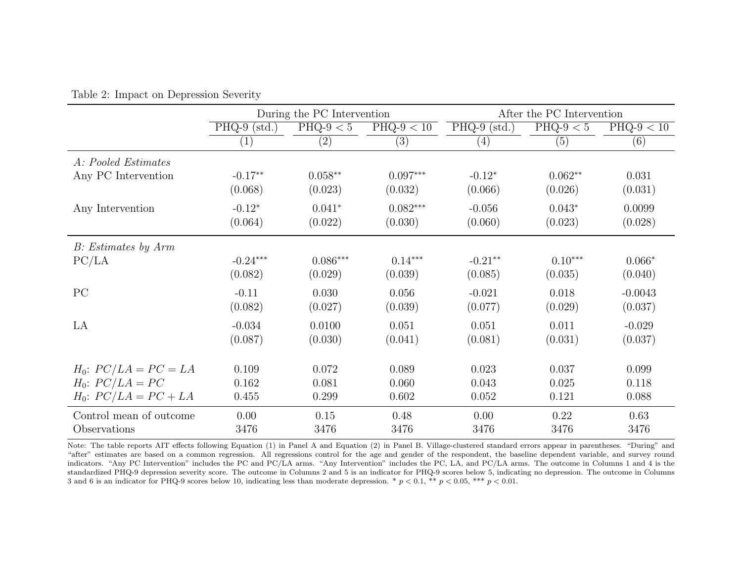|                           |                | During the PC Intervention |                   | After the PC Intervention |             |              |  |
|---------------------------|----------------|----------------------------|-------------------|---------------------------|-------------|--------------|--|
|                           | $PHQ-9$ (std.) | PHQ-9 $< 5$                | $PHQ-9 < 10$      | $PHQ-9$ (std.)            | $PHQ-9 < 5$ | $PHQ-9 < 10$ |  |
|                           | (1)            | (2)                        | $\left( 3\right)$ | (4)                       | (5)         | (6)          |  |
| A: Pooled Estimates       |                |                            |                   |                           |             |              |  |
| Any PC Intervention       | $-0.17**$      | $0.058**$                  | $0.097***$        | $-0.12*$                  | $0.062**$   | 0.031        |  |
|                           | (0.068)        | (0.023)                    | (0.032)           | (0.066)                   | (0.026)     | (0.031)      |  |
| Any Intervention          | $-0.12*$       | $0.041*$                   | $0.082***$        | $-0.056$                  | $0.043*$    | 0.0099       |  |
|                           | (0.064)        | (0.022)                    | (0.030)           | (0.060)                   | (0.023)     | (0.028)      |  |
| B: Estimates by Arm       |                |                            |                   |                           |             |              |  |
| PC/LA                     | $-0.24***$     | $0.086***$                 | $0.14***$         | $-0.21**$                 | $0.10***$   | $0.066*$     |  |
|                           | (0.082)        | (0.029)                    | (0.039)           | (0.085)                   | (0.035)     | (0.040)      |  |
| PC                        | $-0.11$        | 0.030                      | 0.056             | $-0.021$                  | 0.018       | $-0.0043$    |  |
|                           | (0.082)        | (0.027)                    | (0.039)           | (0.077)                   | (0.029)     | (0.037)      |  |
| LA                        | $-0.034$       | 0.0100                     | 0.051             | 0.051                     | 0.011       | $-0.029$     |  |
|                           | (0.087)        | (0.030)                    | (0.041)           | (0.081)                   | (0.031)     | (0.037)      |  |
|                           |                |                            |                   |                           |             |              |  |
| $H_0$ : $PC/LA = PC = LA$ | 0.109          | 0.072                      | 0.089             | 0.023                     | 0.037       | 0.099        |  |
| $H_0$ : $PC/LA = PC$      | 0.162          | 0.081                      | 0.060             | 0.043                     | 0.025       | 0.118        |  |
| $H_0$ : $PC/LA = PC + LA$ | 0.455          | 0.299                      | 0.602             | 0.052                     | 0.121       | 0.088        |  |
| Control mean of outcome   | 0.00           | 0.15                       | 0.48              | 0.00                      | 0.22        | 0.63         |  |
| Observations              | 3476           | 3476                       | 3476              | 3476                      | 3476        | 3476         |  |

Table 2: Impact on Depression Severity

Note: The table reports AIT effects following Equation (1) in Panel A and Equation (2) in Panel B. Village-clustered standard errors appear in parentheses. "During" and "after" estimates are based on a common regression. All regressions control for the age and gender of the respondent, the baseline dependent variable, and survey round indicators. "Any PC Intervention" includes the PC and PC/LA arms. "Any Intervention" includes the PC, LA, and PC/LA arms. The outcome in Columns 1 and 4 is the standardized PHQ-9 depression severity score. The outcome in Columns 2 and 5 is an indicator for PHQ-9 scores below 5, indicating no depression. The outcome in Columns 3 and 6 is an indicator for PHQ-9 scores below 10, indicating less than moderate depression. \*  $p < 0.1$ , \*\*  $p < 0.05$ , \*\*\*  $p < 0.01$ .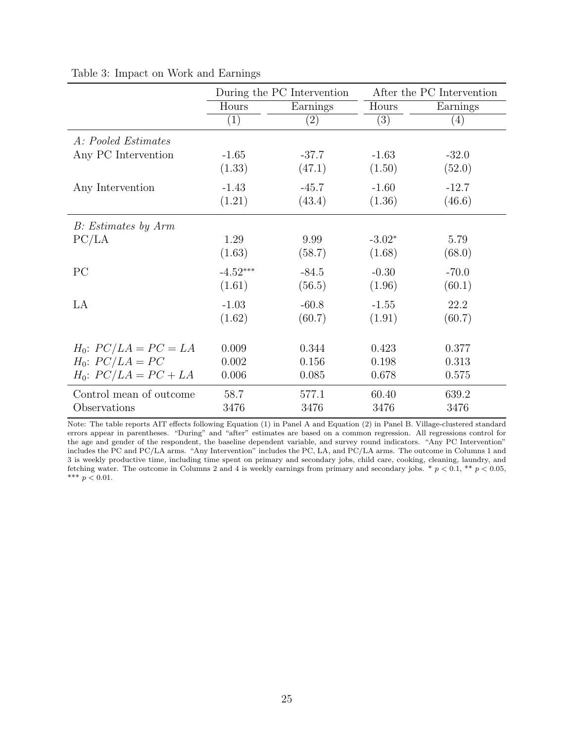|                           |            | During the PC Intervention | After the PC Intervention |          |  |
|---------------------------|------------|----------------------------|---------------------------|----------|--|
|                           | Hours      | Earnings                   | Hours                     | Earnings |  |
|                           | (1)        | $\left( 2\right)$          | $\overline{(3)}$          | (4)      |  |
| A: Pooled Estimates       |            |                            |                           |          |  |
| Any PC Intervention       | $-1.65$    | $-37.7$                    | $-1.63$                   | $-32.0$  |  |
|                           | (1.33)     | (47.1)                     | (1.50)                    | (52.0)   |  |
| Any Intervention          | $-1.43$    | $-45.7$                    | $-1.60$                   | $-12.7$  |  |
|                           | (1.21)     | (43.4)                     | (1.36)                    | (46.6)   |  |
| B: Estimates by Arm       |            |                            |                           |          |  |
| PC/LA                     | 1.29       | 9.99                       | $-3.02*$                  | 5.79     |  |
|                           | (1.63)     | (58.7)                     | (1.68)                    | (68.0)   |  |
| PC                        | $-4.52***$ | $-84.5$                    | $-0.30$                   | $-70.0$  |  |
|                           | (1.61)     | (56.5)                     | (1.96)                    | (60.1)   |  |
| LA                        | $-1.03$    | $-60.8$                    | $-1.55$                   | 22.2     |  |
|                           | (1.62)     | (60.7)                     | (1.91)                    | (60.7)   |  |
|                           |            |                            |                           |          |  |
| $H_0$ : $PC/LA = PC = LA$ | 0.009      | 0.344                      | 0.423                     | 0.377    |  |
| $H_0$ : $PC/LA = PC$      | 0.002      | 0.156                      | 0.198                     | 0.313    |  |
| $H_0$ : $PC/LA = PC + LA$ | 0.006      | 0.085                      | 0.678                     | 0.575    |  |
| Control mean of outcome   | 58.7       | 577.1                      | 60.40                     | 639.2    |  |
| Observations              | 3476       | 3476                       | 3476                      | 3476     |  |

Table 3: Impact on Work and Earnings

Note: The table reports AIT effects following Equation (1) in Panel A and Equation (2) in Panel B. Village-clustered standard errors appear in parentheses. "During" and "after" estimates are based on a common regression. All regressions control for the age and gender of the respondent, the baseline dependent variable, and survey round indicators. "Any PC Intervention" includes the PC and PC/LA arms. "Any Intervention" includes the PC, LA, and PC/LA arms. The outcome in Columns 1 and 3 is weekly productive time, including time spent on primary and secondary jobs, child care, cooking, cleaning, laundry, and fetching water. The outcome in Columns 2 and 4 is weekly earnings from primary and secondary jobs.  $* p < 0.1, ** p < 0.05$ , \*\*\*  $p < 0.01$ .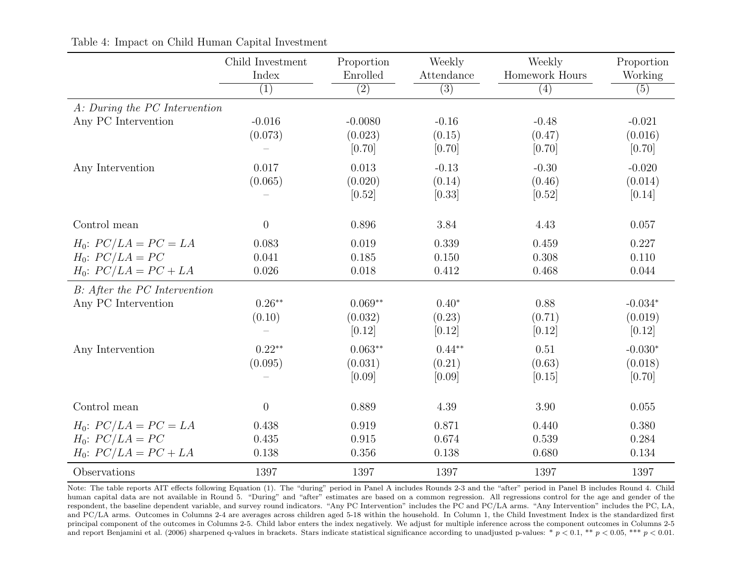|                                                                                | Child Investment<br>Index | Proportion<br>Enrolled         | Weekly<br>Attendance         | Weekly<br>Homework Hours    | Proportion<br>Working          |
|--------------------------------------------------------------------------------|---------------------------|--------------------------------|------------------------------|-----------------------------|--------------------------------|
|                                                                                | $\overline{(1)}$          | $\overline{(2)}$               | $\overline{(3)}$             | $\overline{(4)}$            | $\overline{(5)}$               |
| A: During the PC Intervention                                                  |                           |                                |                              |                             |                                |
| Any PC Intervention                                                            | $-0.016$<br>(0.073)       | $-0.0080$<br>(0.023)<br>[0.70] | $-0.16$<br>(0.15)<br>[0.70]  | $-0.48$<br>(0.47)<br>[0.70] | $-0.021$<br>(0.016)<br>[0.70]  |
| Any Intervention                                                               | 0.017<br>(0.065)          | 0.013<br>(0.020)<br>[0.52]     | $-0.13$<br>(0.14)<br>[0.33]  | $-0.30$<br>(0.46)<br>[0.52] | $-0.020$<br>(0.014)<br>[0.14]  |
| Control mean                                                                   | $\boldsymbol{0}$          | 0.896                          | 3.84                         | 4.43                        | 0.057                          |
| $H_0$ : $PC/LA = PC = LA$<br>$H_0$ : $PC/LA = PC$<br>$H_0$ : $PC/LA = PC + LA$ | 0.083<br>0.041<br>0.026   | 0.019<br>0.185<br>0.018        | 0.339<br>0.150<br>0.412      | 0.459<br>0.308<br>0.468     | 0.227<br>0.110<br>0.044        |
| B: After the PC Intervention                                                   |                           |                                |                              |                             |                                |
| Any PC Intervention                                                            | $0.26**$<br>(0.10)        | $0.069**$<br>(0.032)<br>[0.12] | $0.40*$<br>(0.23)<br>[0.12]  | 0.88<br>(0.71)<br>[0.12]    | $-0.034*$<br>(0.019)<br>[0.12] |
| Any Intervention                                                               | $0.22**$<br>(0.095)       | $0.063**$<br>(0.031)<br>[0.09] | $0.44**$<br>(0.21)<br>[0.09] | 0.51<br>(0.63)<br>[0.15]    | $-0.030*$<br>(0.018)<br>[0.70] |
| Control mean                                                                   | $\boldsymbol{0}$          | 0.889                          | 4.39                         | 3.90                        | 0.055                          |
| $H_0$ : $PC/LA = PC = LA$<br>$H_0$ : $PC/LA = PC$<br>$H_0$ : $PC/LA = PC + LA$ | 0.438<br>0.435<br>0.138   | 0.919<br>0.915<br>0.356        | 0.871<br>0.674<br>0.138      | 0.440<br>0.539<br>0.680     | 0.380<br>0.284<br>0.134        |
| Observations                                                                   | 1397                      | 1397                           | 1397                         | 1397                        | 1397                           |

Table 4: Impact on Child Human Capital Investment

Note: The table reports AIT effects following Equation (1). The "during" period in Panel A includes Rounds 2-3 and the "after" period in Panel B includes Round 4. Child human capital data are not available in Round 5. "During" and "after" estimates are based on a common regression. All regressions control for the age and gender of the respondent, the baseline dependent variable, and survey round indicators. "Any PC Intervention" includes the PC and PC/LA arms. "Any Intervention" includes the PC, LA, and PC/LA arms. Outcomes in Columns 2-4 are averages across children aged 5-18 within the household. In Column 1, the Child Investment Index is the standardized first principal component of the outcomes in Columns 2-5. Child labor enters the index negatively. We adjust for multiple inference across the component outcomes in Columns 2-5 and report Benjamini et al. (2006) sharpened q-values in brackets. Stars indicate statistical significance according to unadjusted p-values: \*  $p < 0.1$ , \*\*  $p < 0.05$ , \*\*\*  $p < 0.01$ .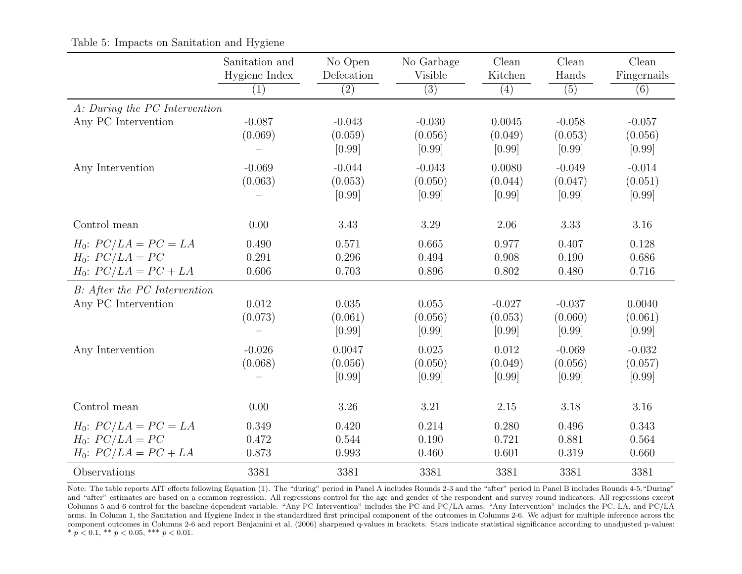|                                                                                | Sanitation and<br>Hygiene Index | No Open<br>Defecation         | No Garbage<br>Visible         | $\operatorname{Clean}$<br>Kitchen | Clean<br>Hands                | Clean<br>Fingernails          |
|--------------------------------------------------------------------------------|---------------------------------|-------------------------------|-------------------------------|-----------------------------------|-------------------------------|-------------------------------|
|                                                                                | (1)                             | (2)                           | $\overline{(3)}$              | (4)                               | (5)                           | (6)                           |
| A: During the PC Intervention                                                  |                                 |                               |                               |                                   |                               |                               |
| Any PC Intervention                                                            | $-0.087$<br>(0.069)             | $-0.043$<br>(0.059)<br>[0.99] | $-0.030$<br>(0.056)<br>[0.99] | 0.0045<br>(0.049)<br>[0.99]       | $-0.058$<br>(0.053)<br>[0.99] | $-0.057$<br>(0.056)<br>[0.99] |
| Any Intervention                                                               | $-0.069$<br>(0.063)             | $-0.044$<br>(0.053)<br>[0.99] | $-0.043$<br>(0.050)<br>[0.99] | 0.0080<br>(0.044)<br>[0.99]       | $-0.049$<br>(0.047)<br>[0.99] | $-0.014$<br>(0.051)<br>[0.99] |
| Control mean                                                                   | 0.00                            | 3.43                          | 3.29                          | 2.06                              | 3.33                          | 3.16                          |
| $H_0$ : $PC/LA = PC = LA$<br>$H_0$ : $PC/LA = PC$<br>$H_0$ : $PC/LA = PC + LA$ | 0.490<br>0.291<br>0.606         | 0.571<br>0.296<br>0.703       | 0.665<br>0.494<br>0.896       | 0.977<br>0.908<br>0.802           | 0.407<br>0.190<br>0.480       | 0.128<br>0.686<br>0.716       |
| B: After the PC Intervention                                                   |                                 |                               |                               |                                   |                               |                               |
| Any PC Intervention                                                            | 0.012<br>(0.073)                | 0.035<br>(0.061)<br>[0.99]    | 0.055<br>(0.056)<br>[0.99]    | $-0.027$<br>(0.053)<br>[0.99]     | $-0.037$<br>(0.060)<br>[0.99] | 0.0040<br>(0.061)<br>[0.99]   |
| Any Intervention                                                               | $-0.026$<br>(0.068)             | 0.0047<br>(0.056)<br>[0.99]   | 0.025<br>(0.050)<br>[0.99]    | 0.012<br>(0.049)<br>[0.99]        | $-0.069$<br>(0.056)<br>[0.99] | $-0.032$<br>(0.057)<br>[0.99] |
| Control mean                                                                   | 0.00                            | 3.26                          | 3.21                          | 2.15                              | 3.18                          | $3.16\,$                      |
| $H_0$ : $PC/LA = PC = LA$<br>$H_0$ : $PC/LA = PC$<br>$H_0$ : $PC/LA = PC + LA$ | 0.349<br>0.472<br>0.873         | 0.420<br>0.544<br>0.993       | 0.214<br>0.190<br>0.460       | 0.280<br>0.721<br>0.601           | 0.496<br>0.881<br>0.319       | 0.343<br>0.564<br>0.660       |
| Observations                                                                   | 3381                            | 3381                          | 3381                          | 3381                              | 3381                          | 3381                          |

Table 5: Impacts on Sanitation and Hygiene

Note: The table reports AIT effects following Equation (1). The "during" period in Panel A includes Rounds 2-3 and the "after" period in Panel B includes Rounds 4-5."During" and "after" estimates are based on a common regression. All regressions control for the age and gender of the respondent and survey round indicators. All regressions except Columns 5 and 6 control for the baseline dependent variable. "Any PC Intervention" includes the PC and PC/LA arms. "Any Intervention" includes the PC, LA, and PC/LA arms. In Column 1, the Sanitation and Hygiene Index is the standardized first principal component of the outcomes in Columns 2-6. We adjust for multiple inference across the component outcomes in Columns 2-6 and report Benjamini et al. (2006) sharpened q-values in brackets. Stars indicate statistical significance according to unadjusted p-values: \*  $p < 0.1$ , \*\*  $p < 0.05$ , \*\*\*  $p < 0.01$ .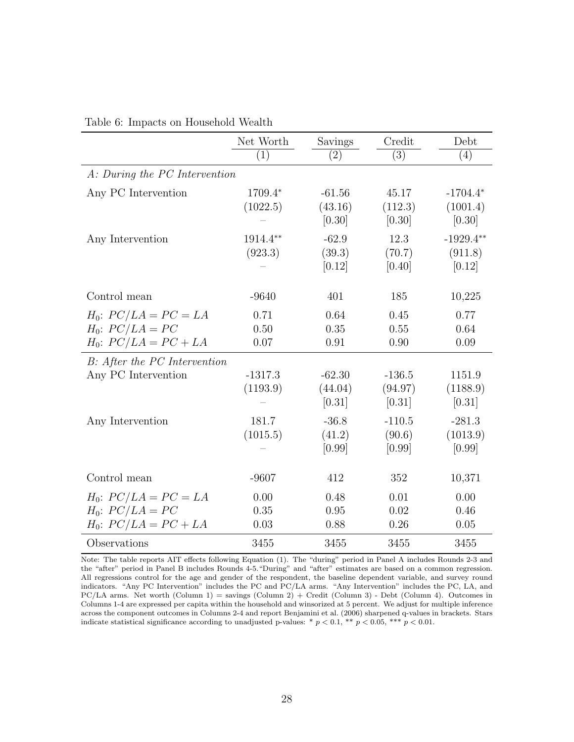|                                                                                | Net Worth             | Savings                       | Credit                        | Debt                             |
|--------------------------------------------------------------------------------|-----------------------|-------------------------------|-------------------------------|----------------------------------|
|                                                                                | (1)                   | (2)                           | $\overline{(3)}$              | (4)                              |
| A: During the PC Intervention                                                  |                       |                               |                               |                                  |
| Any PC Intervention                                                            | 1709.4*<br>(1022.5)   | $-61.56$<br>(43.16)<br>[0.30] | 45.17<br>(112.3)<br>[0.30]    | $-1704.4*$<br>(1001.4)<br>[0.30] |
| Any Intervention                                                               | 1914.4**<br>(923.3)   | $-62.9$<br>(39.3)<br>[0.12]   | 12.3<br>(70.7)<br>[0.40]      | $-1929.4**$<br>(911.8)<br>[0.12] |
| Control mean                                                                   | $-9640$               | 401                           | 185                           | 10,225                           |
| $H_0$ : $PC/LA = PC = LA$<br>$H_0$ : $PC/LA = PC$<br>$H_0$ : $PC/LA = PC + LA$ | 0.71<br>0.50<br>0.07  | 0.64<br>0.35<br>0.91          | 0.45<br>0.55<br>0.90          | 0.77<br>0.64<br>0.09             |
| B: After the PC Intervention                                                   |                       |                               |                               |                                  |
| Any PC Intervention                                                            | $-1317.3$<br>(1193.9) | $-62.30$<br>(44.04)<br>[0.31] | $-136.5$<br>(94.97)<br>[0.31] | 1151.9<br>(1188.9)<br>[0.31]     |
| Any Intervention                                                               | 181.7<br>(1015.5)     | $-36.8$<br>(41.2)<br>[0.99]   | $-110.5$<br>(90.6)<br>[0.99]  | $-281.3$<br>(1013.9)<br>[0.99]   |
| Control mean                                                                   | $-9607$               | 412                           | 352                           | 10,371                           |
| $H_0$ : $PC/LA = PC = LA$<br>$H_0$ : $PC/LA = PC$<br>$H_0$ : $PC/LA = PC + LA$ | 0.00<br>0.35<br>0.03  | 0.48<br>0.95<br>0.88          | 0.01<br>0.02<br>0.26          | 0.00<br>0.46<br>0.05             |
| Observations                                                                   | 3455                  | 3455                          | 3455                          | 3455                             |

| Table 6: Impacts on Household Wealth |  |
|--------------------------------------|--|
|--------------------------------------|--|

Note: The table reports AIT effects following Equation (1). The "during" period in Panel A includes Rounds 2-3 and the "after" period in Panel B includes Rounds 4-5."During" and "after" estimates are based on a common regression. All regressions control for the age and gender of the respondent, the baseline dependent variable, and survey round indicators. "Any PC Intervention" includes the PC and PC/LA arms. "Any Intervention" includes the PC, LA, and PC/LA arms. Net worth (Column 1) = savings (Column 2) + Credit (Column 3) - Debt (Column 4). Outcomes in Columns 1-4 are expressed per capita within the household and winsorized at 5 percent. We adjust for multiple inference across the component outcomes in Columns 2-4 and report Benjamini et al. (2006) sharpened q-values in brackets. Stars indicate statistical significance according to unadjusted p-values: \*  $p < 0.1$ , \*\*  $p < 0.05$ , \*\*\*  $p < 0.01$ .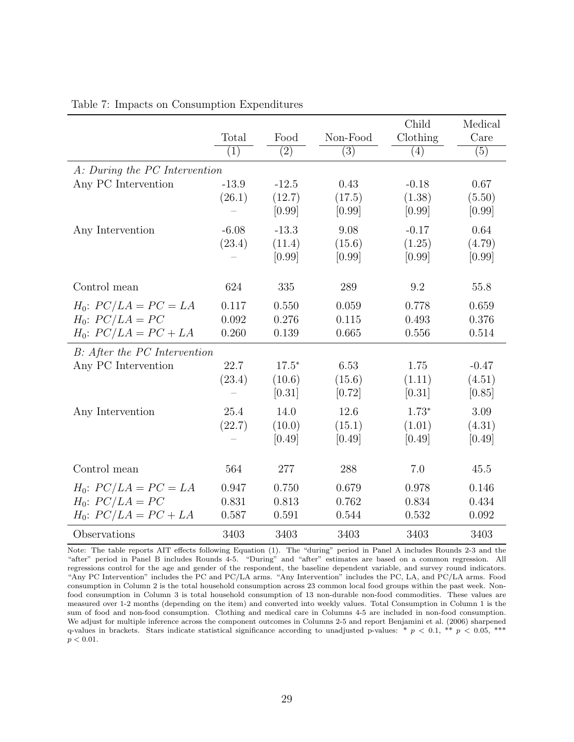|                               |         |         |          | Child    | Medical |
|-------------------------------|---------|---------|----------|----------|---------|
|                               | Total   | Food    | Non-Food | Clothing | Care    |
|                               | (1)     | (2)     | (3)      | (4)      | (5)     |
| A: During the PC Intervention |         |         |          |          |         |
| Any PC Intervention           | $-13.9$ | $-12.5$ | 0.43     | $-0.18$  | 0.67    |
|                               | (26.1)  | (12.7)  | (17.5)   | (1.38)   | (5.50)  |
|                               |         | [0.99]  | [0.99]   | [0.99]   | [0.99]  |
| Any Intervention              | $-6.08$ | $-13.3$ | 9.08     | $-0.17$  | 0.64    |
|                               | (23.4)  | (11.4)  | (15.6)   | (1.25)   | (4.79)  |
|                               |         | [0.99]  | [0.99]   | [0.99]   | [0.99]  |
|                               |         |         |          |          |         |
| Control mean                  | 624     | 335     | 289      | 9.2      | 55.8    |
| $H_0$ : $PC/LA = PC = LA$     | 0.117   | 0.550   | 0.059    | 0.778    | 0.659   |
| $H_0$ : $PC/LA = PC$          | 0.092   | 0.276   | 0.115    | 0.493    | 0.376   |
| $H_0$ : $PC/LA = PC + LA$     | 0.260   | 0.139   | 0.665    | 0.556    | 0.514   |
| B: After the PC Intervention  |         |         |          |          |         |
| Any PC Intervention           | 22.7    | $17.5*$ | 6.53     | 1.75     | $-0.47$ |
|                               | (23.4)  | (10.6)  | (15.6)   | (1.11)   | (4.51)  |
|                               |         | [0.31]  | [0.72]   | [0.31]   | [0.85]  |
| Any Intervention              | 25.4    | 14.0    | 12.6     | $1.73*$  | 3.09    |
|                               | (22.7)  | (10.0)  | (15.1)   | (1.01)   | (4.31)  |
|                               |         | [0.49]  | [0.49]   | [0.49]   | [0.49]  |
|                               |         |         |          |          |         |
| Control mean                  | 564     | 277     | 288      | 7.0      | 45.5    |
| $H_0$ : $PC/LA = PC = LA$     | 0.947   | 0.750   | 0.679    | 0.978    | 0.146   |
| $H_0$ : $PC/LA = PC$          | 0.831   | 0.813   | 0.762    | 0.834    | 0.434   |
| $H_0$ : $PC/LA = PC + LA$     | 0.587   | 0.591   | 0.544    | 0.532    | 0.092   |
| Observations                  | 3403    | 3403    | 3403     | 3403     | 3403    |

#### Table 7: Impacts on Consumption Expenditures

Note: The table reports AIT effects following Equation (1). The "during" period in Panel A includes Rounds 2-3 and the "after" period in Panel B includes Rounds 4-5. "During" and "after" estimates are based on a common regression. All regressions control for the age and gender of the respondent, the baseline dependent variable, and survey round indicators. "Any PC Intervention" includes the PC and PC/LA arms. "Any Intervention" includes the PC, LA, and PC/LA arms. Food consumption in Column 2 is the total household consumption across 23 common local food groups within the past week. Nonfood consumption in Column 3 is total household consumption of 13 non-durable non-food commodities. These values are measured over 1-2 months (depending on the item) and converted into weekly values. Total Consumption in Column 1 is the sum of food and non-food consumption. Clothing and medical care in Columns 4-5 are included in non-food consumption. We adjust for multiple inference across the component outcomes in Columns 2-5 and report Benjamini et al. (2006) sharpened q-values in brackets. Stars indicate statistical significance according to unadjusted p-values: \*  $p < 0.1$ , \*\*  $p < 0.05$ , \*\*\*  $p < 0.01$ .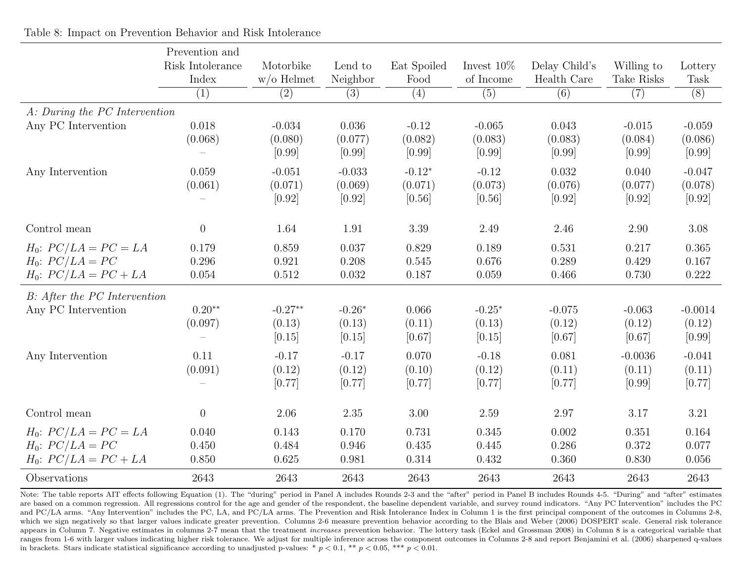|                                                                                | Prevention and            |                               |                               |                               |                               |                              |                               |                               |
|--------------------------------------------------------------------------------|---------------------------|-------------------------------|-------------------------------|-------------------------------|-------------------------------|------------------------------|-------------------------------|-------------------------------|
|                                                                                | Risk Intolerance<br>Index | Motorbike<br>$w$ /o Helmet    | Lend to<br>Neighbor           | Eat Spoiled<br>Food           | Invest $10\%$<br>of Income    | Delay Child's<br>Health Care | Willing to<br>Take Risks      | Lottery<br>Task               |
|                                                                                | (1)                       | (2)                           | (3)                           | (4)                           | (5)                           | $\overline{(6)}$             | (7)                           | $\overline{(8)}$              |
| A: During the PC Intervention                                                  |                           |                               |                               |                               |                               |                              |                               |                               |
| Any PC Intervention                                                            | 0.018<br>(0.068)          | $-0.034$<br>(0.080)<br>[0.99] | 0.036<br>(0.077)<br>[0.99]    | $-0.12$<br>(0.082)<br>[0.99]  | $-0.065$<br>(0.083)<br>[0.99] | 0.043<br>(0.083)<br>[0.99]   | $-0.015$<br>(0.084)<br>[0.99] | $-0.059$<br>(0.086)<br>[0.99] |
| Any Intervention                                                               | 0.059<br>(0.061)          | $-0.051$<br>(0.071)<br>[0.92] | $-0.033$<br>(0.069)<br>[0.92] | $-0.12*$<br>(0.071)<br>[0.56] | $-0.12$<br>(0.073)<br>[0.56]  | 0.032<br>(0.076)<br>[0.92]   | 0.040<br>(0.077)<br>[0.92]    | $-0.047$<br>(0.078)<br>[0.92] |
| Control mean                                                                   | $\theta$                  | 1.64                          | 1.91                          | 3.39                          | 2.49                          | 2.46                         | 2.90                          | 3.08                          |
| $H_0$ : $PC/LA = PC = LA$<br>$H_0$ : $PC/LA = PC$<br>$H_0$ : $PC/LA = PC + LA$ | 0.179<br>0.296<br>0.054   | 0.859<br>0.921<br>0.512       | 0.037<br>0.208<br>0.032       | 0.829<br>0.545<br>0.187       | 0.189<br>0.676<br>0.059       | 0.531<br>0.289<br>0.466      | 0.217<br>0.429<br>0.730       | 0.365<br>0.167<br>0.222       |
| B: After the PC Intervention<br>Any PC Intervention                            | $0.20**$<br>(0.097)       | $-0.27**$<br>(0.13)<br>[0.15] | $-0.26*$<br>(0.13)<br>[0.15]  | 0.066<br>(0.11)<br>[0.67]     | $-0.25*$<br>(0.13)<br>[0.15]  | $-0.075$<br>(0.12)<br>[0.67] | $-0.063$<br>(0.12)<br>[0.67]  | $-0.0014$<br>(0.12)<br>[0.99] |
| Any Intervention                                                               | 0.11<br>(0.091)           | $-0.17$<br>(0.12)<br>[0.77]   | $-0.17$<br>(0.12)<br>[0.77]   | 0.070<br>(0.10)<br>[0.77]     | $-0.18$<br>(0.12)<br>[0.77]   | 0.081<br>(0.11)<br>[0.77]    | $-0.0036$<br>(0.11)<br>[0.99] | $-0.041$<br>(0.11)<br>[0.77]  |
| Control mean                                                                   | $\overline{0}$            | 2.06                          | 2.35                          | 3.00                          | 2.59                          | 2.97                         | 3.17                          | 3.21                          |
| $H_0$ : $PC/LA = PC = LA$<br>$H_0$ : $PC/LA = PC$<br>$H_0$ : $PC/LA = PC + LA$ | 0.040<br>0.450<br>0.850   | 0.143<br>0.484<br>0.625       | 0.170<br>0.946<br>0.981       | 0.731<br>0.435<br>0.314       | 0.345<br>0.445<br>0.432       | 0.002<br>0.286<br>0.360      | 0.351<br>0.372<br>0.830       | 0.164<br>0.077<br>0.056       |
| Observations                                                                   | 2643                      | 2643                          | 2643                          | 2643                          | 2643                          | 2643                         | 2643                          | 2643                          |

Table 8: Impact on Prevention Behavior and Risk Intolerance

Note: The table reports AIT effects following Equation (1). The "during" period in Panel A includes Rounds 2-3 and the "after" period in Panel B includes Rounds 4-5. "During" and "after" estimates are based on a common regression. All regressions control for the age and gender of the respondent, the baseline dependent variable, and survey round indicators. "Any PC Intervention" includes the PC and PC/LA arms. "Any Intervention" includes the PC, LA, and PC/LA arms. The Prevention and Risk Intolerance Index in Column 1 is the first principal component of the outcomes in Columns 2-8, which we sign negatively so that larger values indicate greater prevention. Columns 2-6 measure prevention behavior according to the Blais and Weber (2006) DOSPERT scale. General risk tolerance appears in Column 7. Negative estimates in columns 2-7 mean that the treatment *increases* prevention behavior. The lottery task (Eckel and Grossman 2008) in Column 8 is a categorical variable that ranges from 1-6 with larger values indicating higher risk tolerance. We adjust for multiple inference across the component outcomes in Columns 2-8 and report Benjamini et al. (2006) sharpened q-values in brackets. Stars indicate statistical significance according to unadjusted p-values: \*  $p < 0.1$ , \*\*  $p < 0.05$ , \*\*\*  $p < 0.01$ .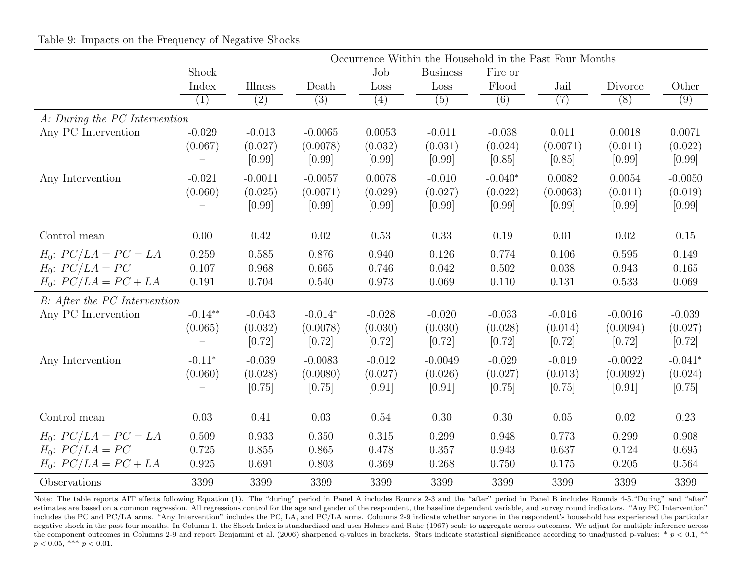|                               |           | Occurrence Within the Household in the Past Four Months |           |          |                 |           |          |           |           |
|-------------------------------|-----------|---------------------------------------------------------|-----------|----------|-----------------|-----------|----------|-----------|-----------|
|                               | Shock     |                                                         |           | Job      | <b>Business</b> | Fire or   |          |           |           |
|                               | Index     | Illness                                                 | Death     | Loss     | Loss            | Flood     | Jail     | Divorce   | Other     |
|                               | (1)       | (2)                                                     | (3)       | (4)      | (5)             | (6)       | (7)      | (8)       | (9)       |
| A: During the PC Intervention |           |                                                         |           |          |                 |           |          |           |           |
| Any PC Intervention           | $-0.029$  | $-0.013$                                                | $-0.0065$ | 0.0053   | $-0.011$        | $-0.038$  | 0.011    | 0.0018    | 0.0071    |
|                               | (0.067)   | (0.027)                                                 | (0.0078)  | (0.032)  | (0.031)         | (0.024)   | (0.0071) | (0.011)   | (0.022)   |
|                               |           | [0.99]                                                  | [0.99]    | [0.99]   | [0.99]          | [0.85]    | [0.85]   | [0.99]    | [0.99]    |
| Any Intervention              | $-0.021$  | $-0.0011$                                               | $-0.0057$ | 0.0078   | $-0.010$        | $-0.040*$ | 0.0082   | 0.0054    | $-0.0050$ |
|                               | (0.060)   | (0.025)                                                 | (0.0071)  | (0.029)  | (0.027)         | (0.022)   | (0.0063) | (0.011)   | (0.019)   |
|                               |           | [0.99]                                                  | [0.99]    | [0.99]   | [0.99]          | [0.99]    | [0.99]   | [0.99]    | [0.99]    |
| Control mean                  | 0.00      | 0.42                                                    | 0.02      | 0.53     | 0.33            | 0.19      | 0.01     | 0.02      | 0.15      |
| $H_0$ : $PC/LA = PC = LA$     | 0.259     | 0.585                                                   | 0.876     | 0.940    | 0.126           | 0.774     | 0.106    | 0.595     | 0.149     |
| $H_0$ : $PC/LA = PC$          | 0.107     | 0.968                                                   | 0.665     | 0.746    | 0.042           | 0.502     | 0.038    | 0.943     | 0.165     |
| $H_0$ : $PC/LA = PC + LA$     | 0.191     | 0.704                                                   | 0.540     | 0.973    | 0.069           | 0.110     | 0.131    | 0.533     | 0.069     |
| B: After the PC Intervention  |           |                                                         |           |          |                 |           |          |           |           |
| Any PC Intervention           | $-0.14**$ | $-0.043$                                                | $-0.014*$ | $-0.028$ | $-0.020$        | $-0.033$  | $-0.016$ | $-0.0016$ | $-0.039$  |
|                               | (0.065)   | (0.032)                                                 | (0.0078)  | (0.030)  | (0.030)         | (0.028)   | (0.014)  | (0.0094)  | (0.027)   |
|                               |           | $[0.72]$                                                | [0.72]    | [0.72]   | $[0.72]$        | [0.72]    | [0.72]   | $[0.72]$  | $[0.72]$  |
| Any Intervention              | $-0.11*$  | $-0.039$                                                | $-0.0083$ | $-0.012$ | $-0.0049$       | $-0.029$  | $-0.019$ | $-0.0022$ | $-0.041*$ |
|                               | (0.060)   | (0.028)                                                 | (0.0080)  | (0.027)  | (0.026)         | (0.027)   | (0.013)  | (0.0092)  | (0.024)   |
|                               |           | [0.75]                                                  | [0.75]    | [0.91]   | [0.91]          | [0.75]    | [0.75]   | [0.91]    | [0.75]    |
| Control mean                  | 0.03      | 0.41                                                    | 0.03      | 0.54     | 0.30            | 0.30      | 0.05     | 0.02      | 0.23      |
| $H_0$ : $PC/LA = PC = LA$     | 0.509     | 0.933                                                   | 0.350     | 0.315    | 0.299           | 0.948     | 0.773    | 0.299     | 0.908     |
| $H_0$ : $PC/LA = PC$          | 0.725     | 0.855                                                   | 0.865     | 0.478    | 0.357           | 0.943     | 0.637    | 0.124     | 0.695     |
| $H_0$ : $PC/LA = PC + LA$     | 0.925     | 0.691                                                   | 0.803     | 0.369    | 0.268           | 0.750     | 0.175    | 0.205     | 0.564     |
| Observations                  | 3399      | 3399                                                    | 3399      | 3399     | 3399            | 3399      | 3399     | 3399      | 3399      |

Note: The table reports AIT effects following Equation (1). The "during" period in Panel A includes Rounds 2-3 and the "after" period in Panel B includes Rounds 4-5. "During" and "after" estimates are based on a common regression. All regressions control for the age and gender of the respondent, the baseline dependent variable, and survey round indicators. "Any PC Intervention" includes the PC and PC/LA arms. "Any Intervention" includes the PC, LA, and PC/LA arms. Columns 2-9 indicate whether anyone in the respondent's household has experienced the particular negative shock in the past four months. In Column 1, the Shock Index is standardized and uses Holmes and Rahe (1967) scale to aggregate across outcomes. We adjust for multiple inference across the component outcomes in Columns 2-9 and report Benjamini et al. (2006) sharpened q-values in brackets. Stars indicate statistical significance according to unadjusted p-values: \*  $p < 0.1$ , \*\*  $p < 0.05$ , \*\*\*  $p < 0.01$ .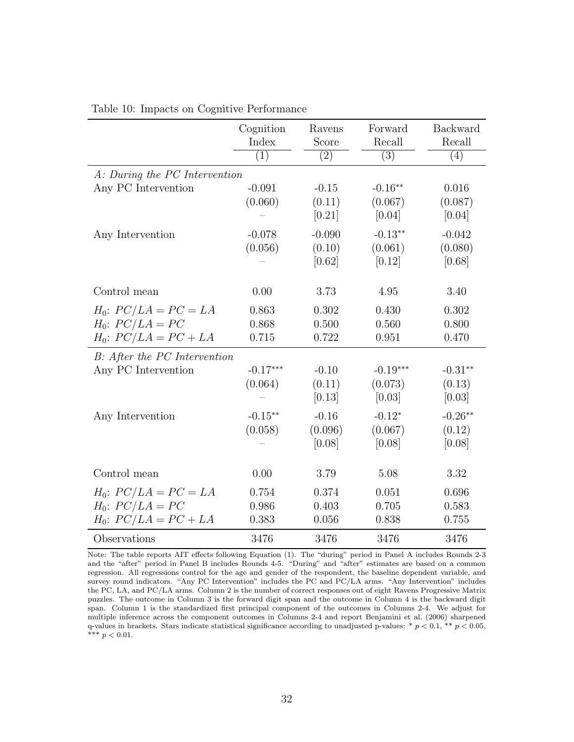|                                                                                | Cognition<br>Index                            | Ravens<br>Score                                   | Forward<br>Recall                                      | <b>Backward</b><br>Recall                            |
|--------------------------------------------------------------------------------|-----------------------------------------------|---------------------------------------------------|--------------------------------------------------------|------------------------------------------------------|
|                                                                                | (1)                                           | $\overline{(2)}$                                  | $\overline{(3)}$                                       | (4)                                                  |
| A: During the PC Intervention                                                  |                                               |                                                   |                                                        |                                                      |
| Any PC Intervention                                                            | $-0.091$<br>(0.060)                           | $-0.15$<br>(0.11)<br>[0.21]                       | $-0.16**$<br>(0.067)<br>[0.04]                         | 0.016<br>(0.087)<br>[0.04]                           |
| Any Intervention                                                               | $-0.078$<br>(0.056)                           | $-0.090$<br>(0.10)<br>[0.62]                      | $-0.13**$<br>(0.061)<br>[0.12]                         | $-0.042$<br>(0.080)<br>[0.68]                        |
| Control mean                                                                   | 0.00                                          | 3.73                                              | 4.95                                                   | 3.40                                                 |
| $H_0$ : $PC/LA = PC = LA$<br>$H_0$ : $PC/LA = PC$<br>$H_0$ : $PC/LA = PC + LA$ | 0.863<br>0.868<br>0.715                       | 0.302<br>0.500<br>0.722                           | 0.430<br>0.560<br>0.951                                | 0.302<br>0.800<br>0.470                              |
| B: After the PC Intervention<br>Any PC Intervention<br>Any Intervention        | $-0.17***$<br>(0.064)<br>$-0.15**$<br>(0.058) | $-0.10$<br>(0.11)<br>[0.13]<br>$-0.16$<br>(0.096) | $-0.19***$<br>(0.073)<br>[0.03]<br>$-0.12*$<br>(0.067) | $-0.31**$<br>(0.13)<br>[0.03]<br>$-0.26**$<br>(0.12) |
| Control mean                                                                   | 0.00                                          | [0.08]<br>3.79                                    | [0.08]<br>5.08                                         | [0.08]<br>3.32                                       |
| $H_0$ : $PC/LA = PC = LA$<br>$H_0$ : $PC/LA = PC$<br>$H_0$ : $PC/LA = PC + LA$ | 0.754<br>0.986<br>0.383                       | 0.374<br>0.403<br>0.056                           | 0.051<br>0.705<br>0.838                                | 0.696<br>0.583<br>0.755                              |
| Observations                                                                   | 3476                                          | 3476                                              | 3476                                                   | 3476                                                 |

#### Table 10: Impacts on Cognitive Performance

Note: The table reports AIT effects following Equation (1). The "during" period in Panel A includes Rounds 2-3 and the "after" period in Panel B includes Rounds 4-5. "During" and "after" estimates are based on a common regression. All regressions control for the age and gender of the respondent, the baseline dependent variable, and survey round indicators. "Any PC Intervention" includes the PC and PC/LA arms. "Any Intervention" includes the PC, LA, and PC/LA arms. Column 2 is the number of correct responses out of eight Ravens Progressive Matrix puzzles. The outcome in Column 3 is the forward digit span and the outcome in Column 4 is the backward digit span. Column 1 is the standardized first principal component of the outcomes in Columns 2-4. We adjust for multiple inference across the component outcomes in Columns 2-4 and report Benjamini et al. (2006) sharpened q-values in brackets. Stars indicate statistical significance according to unadjusted p-values:  $* p < 0.1, ** p < 0.05$ , \*\*\*  $p < 0.01$ .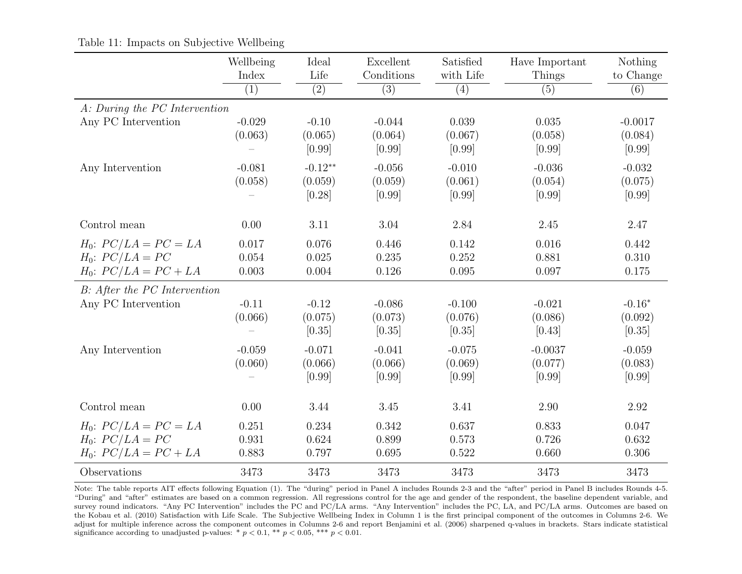|                                                                                | Wellbeing<br>Index      | Ideal<br>Life                  | Excellent<br>Conditions       | Satisfied<br>with Life        | Have Important<br>Things       | Nothing<br>to Change           |
|--------------------------------------------------------------------------------|-------------------------|--------------------------------|-------------------------------|-------------------------------|--------------------------------|--------------------------------|
|                                                                                | (1)                     | $\overline{(2)}$               | $\overline{(3)}$              | (4)                           | (5)                            | (6)                            |
| A: During the PC Intervention                                                  |                         |                                |                               |                               |                                |                                |
| Any PC Intervention                                                            | $-0.029$<br>(0.063)     | $-0.10$<br>(0.065)<br>[0.99]   | $-0.044$<br>(0.064)<br>[0.99] | 0.039<br>(0.067)<br>[0.99]    | 0.035<br>(0.058)<br>[0.99]     | $-0.0017$<br>(0.084)<br>[0.99] |
| Any Intervention                                                               | $-0.081$<br>(0.058)     | $-0.12**$<br>(0.059)<br>[0.28] | $-0.056$<br>(0.059)<br>[0.99] | $-0.010$<br>(0.061)<br>[0.99] | $-0.036$<br>(0.054)<br>[0.99]  | $-0.032$<br>(0.075)<br>[0.99]  |
| Control mean                                                                   | 0.00                    | 3.11                           | 3.04                          | 2.84                          | 2.45                           | 2.47                           |
| $H_0$ : $PC/LA = PC = LA$<br>$H_0$ : $PC/LA = PC$<br>$H_0$ : $PC/LA = PC + LA$ | 0.017<br>0.054<br>0.003 | 0.076<br>0.025<br>0.004        | 0.446<br>0.235<br>0.126       | 0.142<br>0.252<br>0.095       | 0.016<br>0.881<br>0.097        | 0.442<br>0.310<br>0.175        |
| B: After the PC Intervention                                                   |                         |                                |                               |                               |                                |                                |
| Any PC Intervention                                                            | $-0.11$<br>(0.066)      | $-0.12$<br>(0.075)<br>[0.35]   | $-0.086$<br>(0.073)<br>[0.35] | $-0.100$<br>(0.076)<br>[0.35] | $-0.021$<br>(0.086)<br>[0.43]  | $-0.16*$<br>(0.092)<br>[0.35]  |
| Any Intervention                                                               | $-0.059$<br>(0.060)     | $-0.071$<br>(0.066)<br>[0.99]  | $-0.041$<br>(0.066)<br>[0.99] | $-0.075$<br>(0.069)<br>[0.99] | $-0.0037$<br>(0.077)<br>[0.99] | $-0.059$<br>(0.083)<br>[0.99]  |
| Control mean                                                                   | 0.00                    | 3.44                           | 3.45                          | 3.41                          | 2.90                           | 2.92                           |
| $H_0$ : $PC/LA = PC = LA$<br>$H_0$ : $PC/LA = PC$<br>$H_0$ : $PC/LA = PC + LA$ | 0.251<br>0.931<br>0.883 | 0.234<br>0.624<br>0.797        | 0.342<br>0.899<br>0.695       | 0.637<br>0.573<br>0.522       | 0.833<br>0.726<br>0.660        | 0.047<br>0.632<br>0.306        |
| Observations                                                                   | 3473                    | 3473                           | 3473                          | 3473                          | 3473                           | 3473                           |

Table 11: Impacts on Subjective Wellbeing

Note: The table reports AIT effects following Equation (1). The "during" period in Panel A includes Rounds 2-3 and the "after" period in Panel B includes Rounds 4-5. "During" and "after" estimates are based on a common regression. All regressions control for the age and gender of the respondent, the baseline dependent variable, and survey round indicators. "Any PC Intervention" includes the PC and PC/LA arms. "Any Intervention" includes the PC, LA, and PC/LA arms. Outcomes are based on the Kobau et al. (2010) Satisfaction with Life Scale. The Subjective Wellbeing Index in Column 1 is the first principal component of the outcomes in Columns 2-6. We adjust for multiple inference across the component outcomes in Columns 2-6 and report Benjamini et al. (2006) sharpened q-values in brackets. Stars indicate statistical significance according to unadjusted p-values: \*  $p < 0.1$ , \*\*  $p < 0.05$ , \*\*\*  $p < 0.01$ .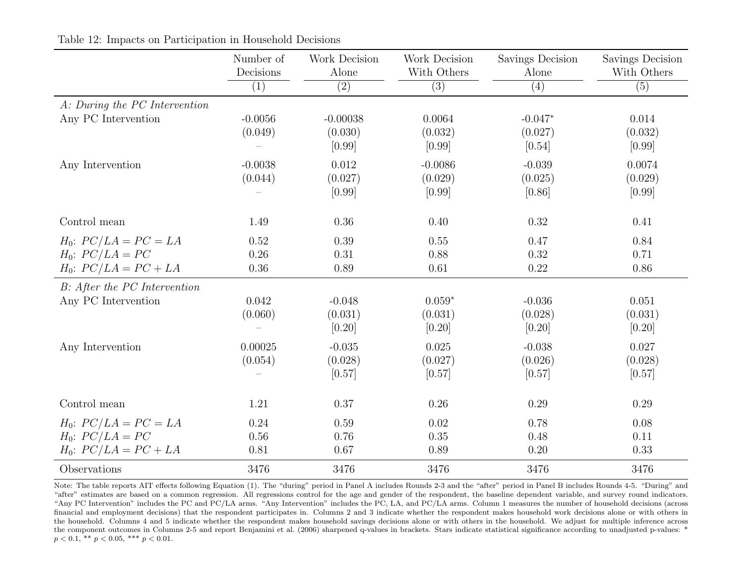|                                                                                | Number of<br>Decisions | Work Decision<br>Alone          | Work Decision<br>With Others   | Savings Decision<br>Alone      | Savings Decision<br>With Others |
|--------------------------------------------------------------------------------|------------------------|---------------------------------|--------------------------------|--------------------------------|---------------------------------|
|                                                                                | $\overline{(1)}$       | $\overline{(2)}$                | $\overline{(3)}$               | $\overline{(4)}$               | $\overline{(5)}$                |
| A: During the PC Intervention<br>Any PC Intervention                           | $-0.0056$<br>(0.049)   | $-0.00038$<br>(0.030)<br>[0.99] | 0.0064<br>(0.032)<br>[0.99]    | $-0.047*$<br>(0.027)<br>[0.54] | 0.014<br>(0.032)<br>[0.99]      |
| Any Intervention                                                               | $-0.0038$<br>(0.044)   | 0.012<br>(0.027)<br>[0.99]      | $-0.0086$<br>(0.029)<br>[0.99] | $-0.039$<br>(0.025)<br>[0.86]  | 0.0074<br>(0.029)<br>[0.99]     |
| Control mean                                                                   | 1.49                   | 0.36                            | 0.40                           | 0.32                           | 0.41                            |
| $H_0$ : $PC/LA = PC = LA$<br>$H_0$ : $PC/LA = PC$<br>$H_0$ : $PC/LA = PC + LA$ | 0.52<br>0.26<br>0.36   | 0.39<br>0.31<br>0.89            | 0.55<br>0.88<br>0.61           | 0.47<br>0.32<br>0.22           | 0.84<br>0.71<br>0.86            |
| B: After the PC Intervention<br>Any PC Intervention                            | 0.042<br>(0.060)       | $-0.048$<br>(0.031)<br>[0.20]   | $0.059*$<br>(0.031)<br>[0.20]  | $-0.036$<br>(0.028)<br>[0.20]  | 0.051<br>(0.031)<br>[0.20]      |
| Any Intervention                                                               | 0.00025<br>(0.054)     | $-0.035$<br>(0.028)<br>[0.57]   | 0.025<br>(0.027)<br>[0.57]     | $-0.038$<br>(0.026)<br>[0.57]  | 0.027<br>(0.028)<br>[0.57]      |
| Control mean                                                                   | 1.21                   | 0.37                            | 0.26                           | 0.29                           | 0.29                            |
| $H_0$ : $PC/LA = PC = LA$<br>$H_0$ : $PC/LA = PC$<br>$H_0$ : $PC/LA = PC + LA$ | 0.24<br>0.56<br>0.81   | 0.59<br>0.76<br>0.67            | 0.02<br>0.35<br>0.89           | 0.78<br>0.48<br>0.20           | 0.08<br>0.11<br>0.33            |
| Observations                                                                   | 3476                   | 3476                            | 3476                           | 3476                           | 3476                            |

Table 12: Impacts on Participation in Household Decisions

Note: The table reports AIT effects following Equation (1). The "during" period in Panel A includes Rounds 2-3 and the "after" period in Panel B includes Rounds 4-5. "During" and "after" estimates are based on a common regression. All regressions control for the age and gender of the respondent, the baseline dependent variable, and survey round indicators. "Any PC Intervention" includes the PC and PC/LA arms. "Any Intervention" includes the PC, LA, and PC/LA arms. Column 1 measures the number of household decisions (across financial and employment decisions) that the respondent participates in. Columns 2 and 3 indicate whether the respondent makes household work decisions alone or with others in the household. Columns 4 and 5 indicate whether the respondent makes household savings decisions alone or with others in the household. We adjust for multiple inference across the component outcomes in Columns 2-5 and report Benjamini et al. (2006) sharpened q-values in brackets. Stars indicate statistical significance according to unadjusted p-values: \*  $p < 0.1$ , \*\*  $p < 0.05$ , \*\*\*  $p < 0.01$ .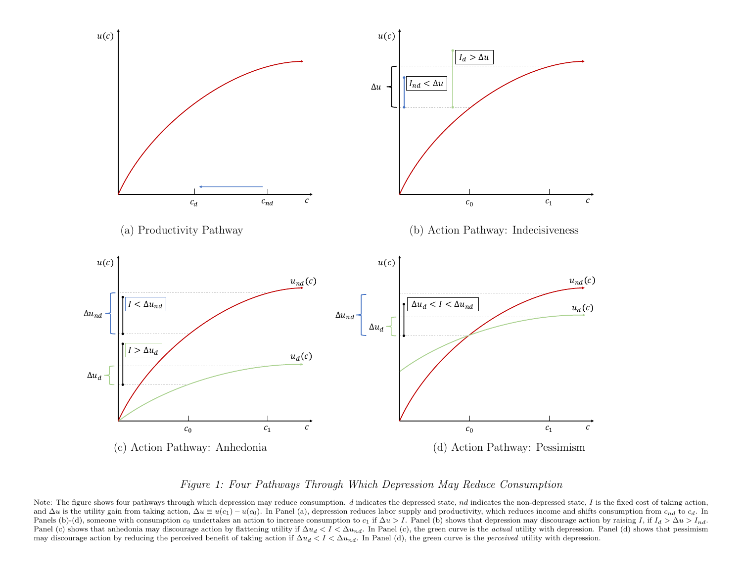

Figure 1: Four Pathways Through Which Depression May Reduce Consumption

Note: The figure shows four pathways through which depression may reduce consumption.  $d$  indicates the depressed state,  $nd$  indicates the non-depressed state,  $I$  is the fixed cost of taking action, and  $\Delta u$  is the utility gain from taking action,  $\Delta u \equiv u(c_1) - u(c_0)$ . In Panel (a), depression reduces labor supply and productivity, which reduces income and shifts consumption from  $c_{nd}$  to  $c_d$ . In Panels (b)-(d), someone with consumption  $c_0$  undertakes an action to increase consumption to  $c_1$  if  $\Delta u > I$ . Panel (b) shows that depression may discourage action by raising I, if  $I_d > \Delta u > I_{nd}$ . Panel (c) shows that anhedonia may discourage action by flattening utility if  $\Delta u_d < I < \Delta u_{nd}$ . In Panel (c), the green curve is the actual utility with depression. Panel (d) shows that pessimism may discourage action by reducing the perceived benefit of taking action if  $\Delta u_d < I < \Delta u_{nd}$ . In Panel (d), the green curve is the *perceived* utility with depression.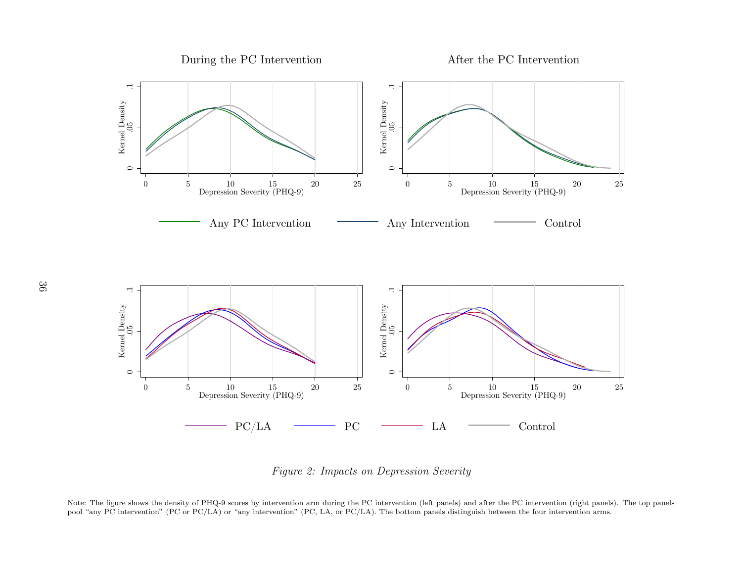

Figure 2: Impacts on Depression Severity

Note: The figure shows the density of PHQ-9 scores by intervention arm during the PC intervention (left panels) and after the PC intervention (right panels). The top panels pool "any PC intervention" (PC or PC/LA) or "any intervention" (PC, LA, or PC/LA). The bottom panels distinguish between the four intervention arms.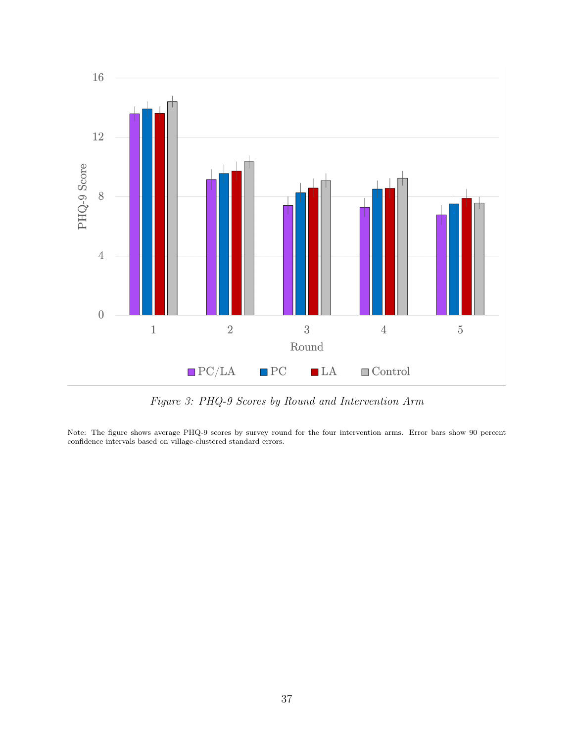

Figure 3: PHQ-9 Scores by Round and Intervention Arm

Note: The figure shows average PHQ-9 scores by survey round for the four intervention arms. Error bars show 90 percent confidence intervals based on village-clustered standard errors.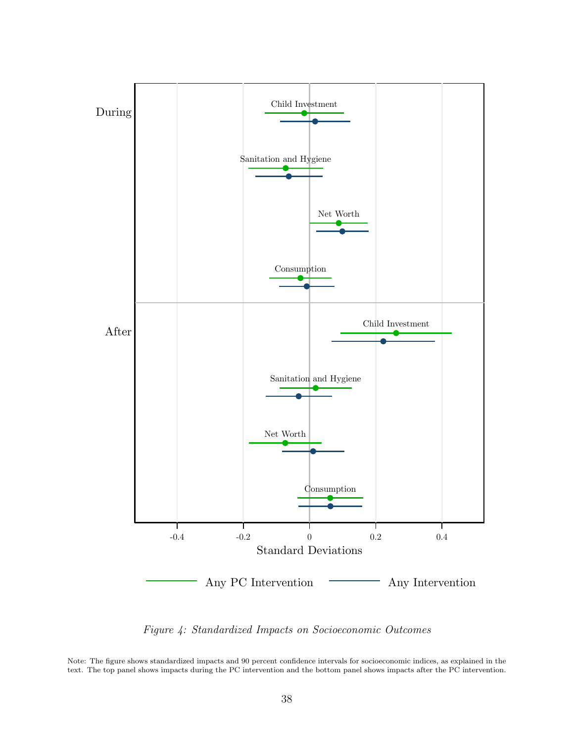

Figure 4: Standardized Impacts on Socioeconomic Outcomes

Note: The figure shows standardized impacts and 90 percent confidence intervals for socioeconomic indices, as explained in the text. The top panel shows impacts during the PC intervention and the bottom panel shows impacts after the PC intervention.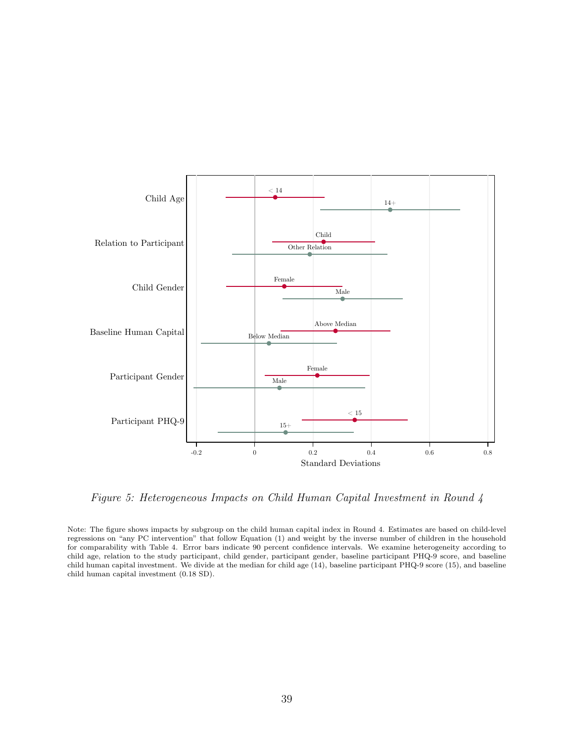

Figure 5: Heterogeneous Impacts on Child Human Capital Investment in Round 4

Note: The figure shows impacts by subgroup on the child human capital index in Round 4. Estimates are based on child-level regressions on "any PC intervention" that follow Equation (1) and weight by the inverse number of children in the household for comparability with Table 4. Error bars indicate 90 percent confidence intervals. We examine heterogeneity according to child age, relation to the study participant, child gender, participant gender, baseline participant PHQ-9 score, and baseline child human capital investment. We divide at the median for child age (14), baseline participant PHQ-9 score (15), and baseline child human capital investment (0.18 SD).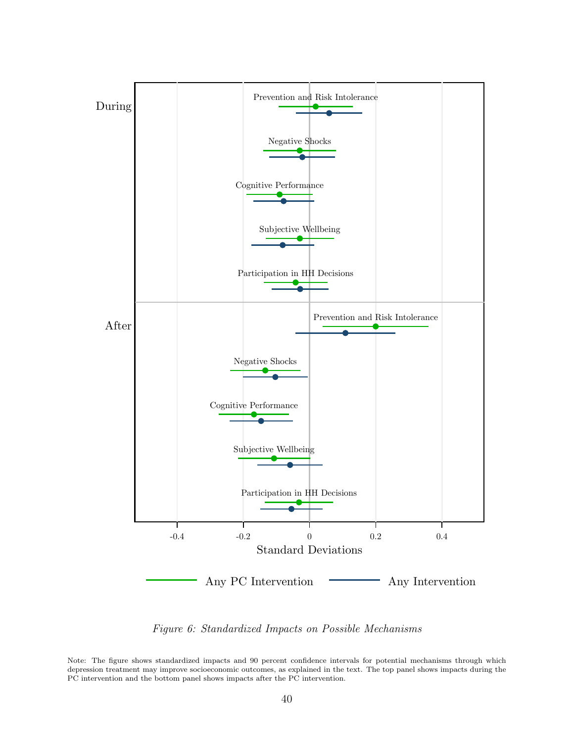

Figure 6: Standardized Impacts on Possible Mechanisms

Note: The figure shows standardized impacts and 90 percent confidence intervals for potential mechanisms through which depression treatment may improve socioeconomic outcomes, as explained in the text. The top panel shows impacts during the PC intervention and the bottom panel shows impacts after the PC intervention.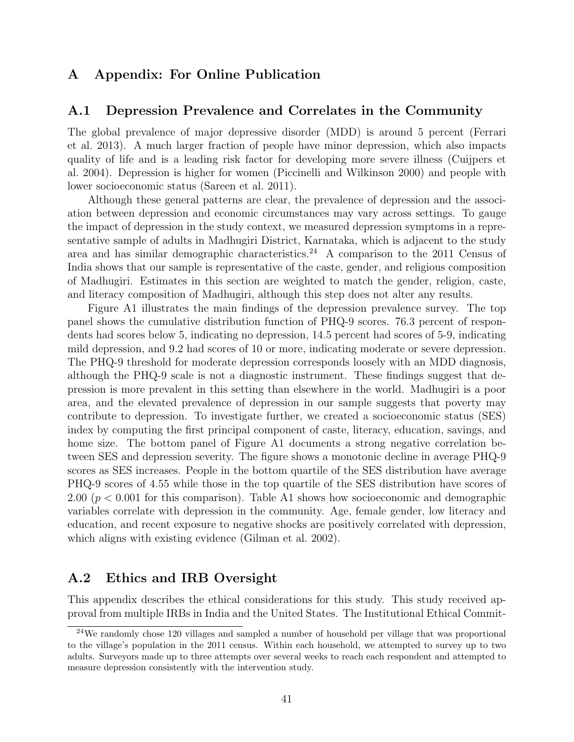### A Appendix: For Online Publication

#### A.1 Depression Prevalence and Correlates in the Community

The global prevalence of major depressive disorder (MDD) is around 5 percent (Ferrari et al. 2013). A much larger fraction of people have minor depression, which also impacts quality of life and is a leading risk factor for developing more severe illness (Cuijpers et al. 2004). Depression is higher for women (Piccinelli and Wilkinson 2000) and people with lower socioeconomic status (Sareen et al. 2011).

Although these general patterns are clear, the prevalence of depression and the association between depression and economic circumstances may vary across settings. To gauge the impact of depression in the study context, we measured depression symptoms in a representative sample of adults in Madhugiri District, Karnataka, which is adjacent to the study area and has similar demographic characteristics.<sup>24</sup> A comparison to the 2011 Census of India shows that our sample is representative of the caste, gender, and religious composition of Madhugiri. Estimates in this section are weighted to match the gender, religion, caste, and literacy composition of Madhugiri, although this step does not alter any results.

Figure A1 illustrates the main findings of the depression prevalence survey. The top panel shows the cumulative distribution function of PHQ-9 scores. 76.3 percent of respondents had scores below 5, indicating no depression, 14.5 percent had scores of 5-9, indicating mild depression, and 9.2 had scores of 10 or more, indicating moderate or severe depression. The PHQ-9 threshold for moderate depression corresponds loosely with an MDD diagnosis, although the PHQ-9 scale is not a diagnostic instrument. These findings suggest that depression is more prevalent in this setting than elsewhere in the world. Madhugiri is a poor area, and the elevated prevalence of depression in our sample suggests that poverty may contribute to depression. To investigate further, we created a socioeconomic status (SES) index by computing the first principal component of caste, literacy, education, savings, and home size. The bottom panel of Figure A1 documents a strong negative correlation between SES and depression severity. The figure shows a monotonic decline in average PHQ-9 scores as SES increases. People in the bottom quartile of the SES distribution have average PHQ-9 scores of 4.55 while those in the top quartile of the SES distribution have scores of 2.00 ( $p < 0.001$  for this comparison). Table A1 shows how socioeconomic and demographic variables correlate with depression in the community. Age, female gender, low literacy and education, and recent exposure to negative shocks are positively correlated with depression, which aligns with existing evidence (Gilman et al. 2002).

### A.2 Ethics and IRB Oversight

This appendix describes the ethical considerations for this study. This study received approval from multiple IRBs in India and the United States. The Institutional Ethical Commit-

<sup>24</sup>We randomly chose 120 villages and sampled a number of household per village that was proportional to the village's population in the 2011 census. Within each household, we attempted to survey up to two adults. Surveyors made up to three attempts over several weeks to reach each respondent and attempted to measure depression consistently with the intervention study.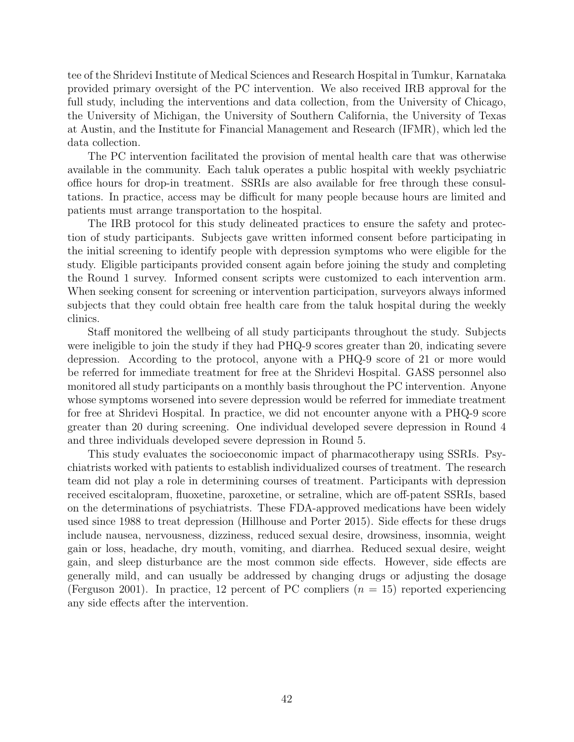tee of the Shridevi Institute of Medical Sciences and Research Hospital in Tumkur, Karnataka provided primary oversight of the PC intervention. We also received IRB approval for the full study, including the interventions and data collection, from the University of Chicago, the University of Michigan, the University of Southern California, the University of Texas at Austin, and the Institute for Financial Management and Research (IFMR), which led the data collection.

The PC intervention facilitated the provision of mental health care that was otherwise available in the community. Each taluk operates a public hospital with weekly psychiatric office hours for drop-in treatment. SSRIs are also available for free through these consultations. In practice, access may be difficult for many people because hours are limited and patients must arrange transportation to the hospital.

The IRB protocol for this study delineated practices to ensure the safety and protection of study participants. Subjects gave written informed consent before participating in the initial screening to identify people with depression symptoms who were eligible for the study. Eligible participants provided consent again before joining the study and completing the Round 1 survey. Informed consent scripts were customized to each intervention arm. When seeking consent for screening or intervention participation, surveyors always informed subjects that they could obtain free health care from the taluk hospital during the weekly clinics.

Staff monitored the wellbeing of all study participants throughout the study. Subjects were ineligible to join the study if they had PHQ-9 scores greater than 20, indicating severe depression. According to the protocol, anyone with a PHQ-9 score of 21 or more would be referred for immediate treatment for free at the Shridevi Hospital. GASS personnel also monitored all study participants on a monthly basis throughout the PC intervention. Anyone whose symptoms worsened into severe depression would be referred for immediate treatment for free at Shridevi Hospital. In practice, we did not encounter anyone with a PHQ-9 score greater than 20 during screening. One individual developed severe depression in Round 4 and three individuals developed severe depression in Round 5.

This study evaluates the socioeconomic impact of pharmacotherapy using SSRIs. Psychiatrists worked with patients to establish individualized courses of treatment. The research team did not play a role in determining courses of treatment. Participants with depression received escitalopram, fluoxetine, paroxetine, or setraline, which are off-patent SSRIs, based on the determinations of psychiatrists. These FDA-approved medications have been widely used since 1988 to treat depression (Hillhouse and Porter 2015). Side effects for these drugs include nausea, nervousness, dizziness, reduced sexual desire, drowsiness, insomnia, weight gain or loss, headache, dry mouth, vomiting, and diarrhea. Reduced sexual desire, weight gain, and sleep disturbance are the most common side effects. However, side effects are generally mild, and can usually be addressed by changing drugs or adjusting the dosage (Ferguson 2001). In practice, 12 percent of PC compliers  $(n = 15)$  reported experiencing any side effects after the intervention.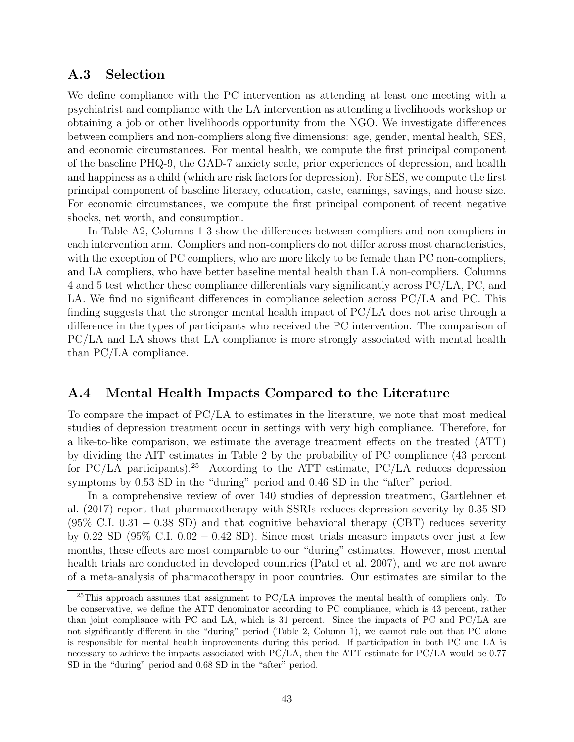#### A.3 Selection

We define compliance with the PC intervention as attending at least one meeting with a psychiatrist and compliance with the LA intervention as attending a livelihoods workshop or obtaining a job or other livelihoods opportunity from the NGO. We investigate differences between compliers and non-compliers along five dimensions: age, gender, mental health, SES, and economic circumstances. For mental health, we compute the first principal component of the baseline PHQ-9, the GAD-7 anxiety scale, prior experiences of depression, and health and happiness as a child (which are risk factors for depression). For SES, we compute the first principal component of baseline literacy, education, caste, earnings, savings, and house size. For economic circumstances, we compute the first principal component of recent negative shocks, net worth, and consumption.

In Table A2, Columns 1-3 show the differences between compliers and non-compliers in each intervention arm. Compliers and non-compliers do not differ across most characteristics, with the exception of PC compliers, who are more likely to be female than PC non-compliers, and LA compliers, who have better baseline mental health than LA non-compliers. Columns 4 and 5 test whether these compliance differentials vary significantly across PC/LA, PC, and LA. We find no significant differences in compliance selection across PC/LA and PC. This finding suggests that the stronger mental health impact of PC/LA does not arise through a difference in the types of participants who received the PC intervention. The comparison of PC/LA and LA shows that LA compliance is more strongly associated with mental health than PC/LA compliance.

#### A.4 Mental Health Impacts Compared to the Literature

To compare the impact of PC/LA to estimates in the literature, we note that most medical studies of depression treatment occur in settings with very high compliance. Therefore, for a like-to-like comparison, we estimate the average treatment effects on the treated (ATT) by dividing the AIT estimates in Table 2 by the probability of PC compliance (43 percent for PC/LA participants).<sup>25</sup> According to the ATT estimate, PC/LA reduces depression symptoms by 0.53 SD in the "during" period and 0.46 SD in the "after" period.

In a comprehensive review of over 140 studies of depression treatment, Gartlehner et al. (2017) report that pharmacotherapy with SSRIs reduces depression severity by 0.35 SD  $(95\% \text{ C.I. } 0.31 - 0.38 \text{ SD})$  and that cognitive behavioral therapy (CBT) reduces severity by 0.22 SD (95% C.I. 0.02 – 0.42 SD). Since most trials measure impacts over just a few months, these effects are most comparable to our "during" estimates. However, most mental health trials are conducted in developed countries (Patel et al. 2007), and we are not aware of a meta-analysis of pharmacotherapy in poor countries. Our estimates are similar to the

 $^{25}$ This approach assumes that assignment to PC/LA improves the mental health of compliers only. To be conservative, we define the ATT denominator according to PC compliance, which is 43 percent, rather than joint compliance with PC and LA, which is 31 percent. Since the impacts of PC and PC/LA are not significantly different in the "during" period (Table 2, Column 1), we cannot rule out that PC alone is responsible for mental health improvements during this period. If participation in both PC and LA is necessary to achieve the impacts associated with PC/LA, then the ATT estimate for PC/LA would be 0.77 SD in the "during" period and 0.68 SD in the "after" period.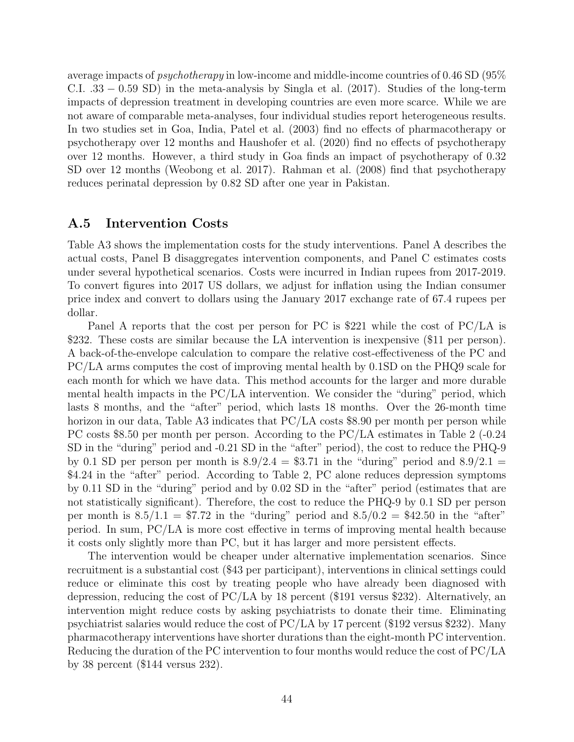average impacts of psychotherapy in low-income and middle-income countries of 0.46 SD (95% C.I. .33 − 0.59 SD) in the meta-analysis by Singla et al. (2017). Studies of the long-term impacts of depression treatment in developing countries are even more scarce. While we are not aware of comparable meta-analyses, four individual studies report heterogeneous results. In two studies set in Goa, India, Patel et al. (2003) find no effects of pharmacotherapy or psychotherapy over 12 months and Haushofer et al. (2020) find no effects of psychotherapy over 12 months. However, a third study in Goa finds an impact of psychotherapy of 0.32 SD over 12 months (Weobong et al. 2017). Rahman et al. (2008) find that psychotherapy reduces perinatal depression by 0.82 SD after one year in Pakistan.

#### A.5 Intervention Costs

Table A3 shows the implementation costs for the study interventions. Panel A describes the actual costs, Panel B disaggregates intervention components, and Panel C estimates costs under several hypothetical scenarios. Costs were incurred in Indian rupees from 2017-2019. To convert figures into 2017 US dollars, we adjust for inflation using the Indian consumer price index and convert to dollars using the January 2017 exchange rate of 67.4 rupees per dollar.

Panel A reports that the cost per person for PC is \$221 while the cost of PC/LA is \$232. These costs are similar because the LA intervention is inexpensive (\$11 per person). A back-of-the-envelope calculation to compare the relative cost-effectiveness of the PC and PC/LA arms computes the cost of improving mental health by 0.1SD on the PHQ9 scale for each month for which we have data. This method accounts for the larger and more durable mental health impacts in the PC/LA intervention. We consider the "during" period, which lasts 8 months, and the "after" period, which lasts 18 months. Over the 26-month time horizon in our data, Table A3 indicates that PC/LA costs \$8.90 per month per person while PC costs \$8.50 per month per person. According to the PC/LA estimates in Table 2 (-0.24 SD in the "during" period and -0.21 SD in the "after" period), the cost to reduce the PHQ-9 by 0.1 SD per person per month is  $8.9/2.4 = $3.71$  in the "during" period and  $8.9/2.1$  = \$4.24 in the "after" period. According to Table 2, PC alone reduces depression symptoms by 0.11 SD in the "during" period and by 0.02 SD in the "after" period (estimates that are not statistically significant). Therefore, the cost to reduce the PHQ-9 by 0.1 SD per person per month is  $8.5/1.1 = $7.72$  in the "during" period and  $8.5/0.2 = $42.50$  in the "after" period. In sum, PC/LA is more cost effective in terms of improving mental health because it costs only slightly more than PC, but it has larger and more persistent effects.

The intervention would be cheaper under alternative implementation scenarios. Since recruitment is a substantial cost (\$43 per participant), interventions in clinical settings could reduce or eliminate this cost by treating people who have already been diagnosed with depression, reducing the cost of PC/LA by 18 percent (\$191 versus \$232). Alternatively, an intervention might reduce costs by asking psychiatrists to donate their time. Eliminating psychiatrist salaries would reduce the cost of PC/LA by 17 percent (\$192 versus \$232). Many pharmacotherapy interventions have shorter durations than the eight-month PC intervention. Reducing the duration of the PC intervention to four months would reduce the cost of PC/LA by 38 percent (\$144 versus 232).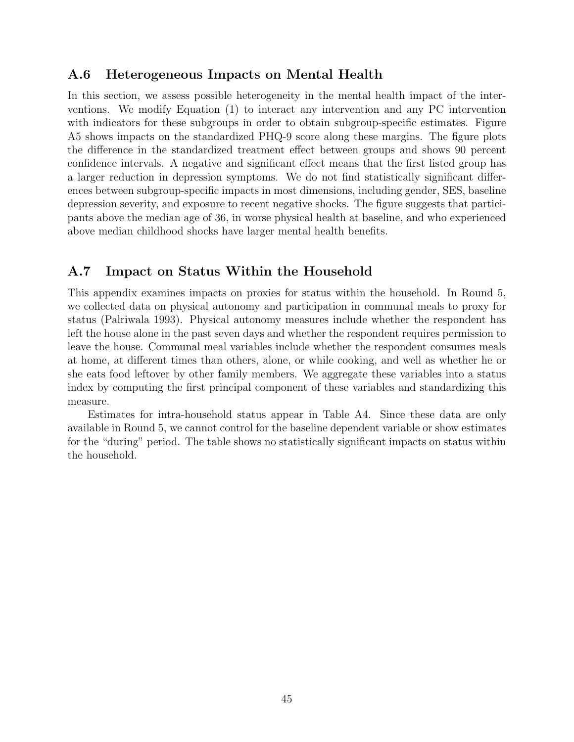### A.6 Heterogeneous Impacts on Mental Health

In this section, we assess possible heterogeneity in the mental health impact of the interventions. We modify Equation (1) to interact any intervention and any PC intervention with indicators for these subgroups in order to obtain subgroup-specific estimates. Figure A5 shows impacts on the standardized PHQ-9 score along these margins. The figure plots the difference in the standardized treatment effect between groups and shows 90 percent confidence intervals. A negative and significant effect means that the first listed group has a larger reduction in depression symptoms. We do not find statistically significant differences between subgroup-specific impacts in most dimensions, including gender, SES, baseline depression severity, and exposure to recent negative shocks. The figure suggests that participants above the median age of 36, in worse physical health at baseline, and who experienced above median childhood shocks have larger mental health benefits.

## A.7 Impact on Status Within the Household

This appendix examines impacts on proxies for status within the household. In Round 5, we collected data on physical autonomy and participation in communal meals to proxy for status (Palriwala 1993). Physical autonomy measures include whether the respondent has left the house alone in the past seven days and whether the respondent requires permission to leave the house. Communal meal variables include whether the respondent consumes meals at home, at different times than others, alone, or while cooking, and well as whether he or she eats food leftover by other family members. We aggregate these variables into a status index by computing the first principal component of these variables and standardizing this measure.

Estimates for intra-household status appear in Table A4. Since these data are only available in Round 5, we cannot control for the baseline dependent variable or show estimates for the "during" period. The table shows no statistically significant impacts on status within the household.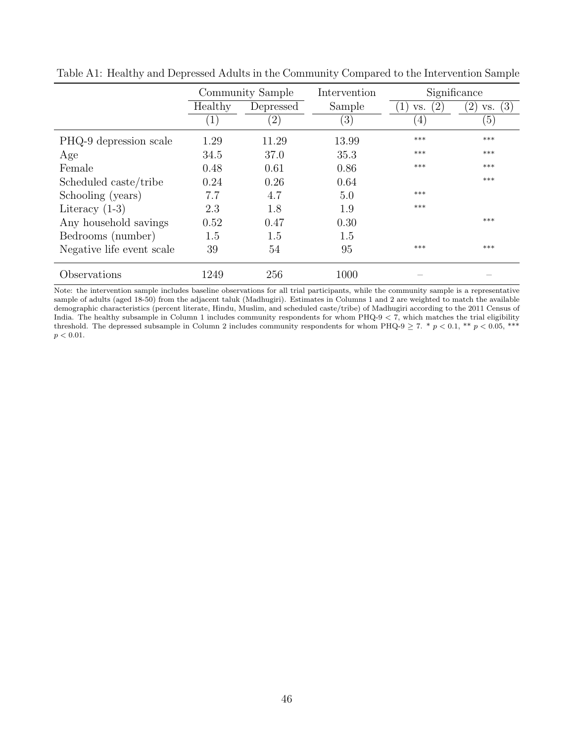|                           | Community Sample |                   | Intervention | Significance               |                              |
|---------------------------|------------------|-------------------|--------------|----------------------------|------------------------------|
|                           | Healthy          | Depressed         | Sample       | $^{\prime}2$ ,<br>1<br>VS. | (3)<br>$^{\prime}2$ ,<br>VS. |
|                           | $\left  \right $ | $\left( 2\right)$ | (3)          | $\left(4\right)$           | (5)                          |
| PHQ-9 depression scale    | 1.29             | 11.29             | 13.99        | ***                        | ***                          |
| Age                       | 34.5             | 37.0              | 35.3         | ***                        | ***                          |
| Female                    | 0.48             | 0.61              | 0.86         | $***$                      | $***$                        |
| Scheduled caste/tribe     | 0.24             | 0.26              | 0.64         |                            | $***$                        |
| Schooling (years)         | 7.7              | 4.7               | 5.0          | ***                        |                              |
| Literacy $(1-3)$          | 2.3              | 1.8               | 1.9          | $***$                      |                              |
| Any household savings     | 0.52             | 0.47              | 0.30         |                            | $***$                        |
| Bedrooms (number)         | 1.5              | 1.5               | 1.5          |                            |                              |
| Negative life event scale | 39               | 54                | 95           | ***                        | ***                          |
| Observations              | 1249             | 256               | 1000         |                            |                              |

Table A1: Healthy and Depressed Adults in the Community Compared to the Intervention Sample

Note: the intervention sample includes baseline observations for all trial participants, while the community sample is a representative sample of adults (aged 18-50) from the adjacent taluk (Madhugiri). Estimates in Columns 1 and 2 are weighted to match the available demographic characteristics (percent literate, Hindu, Muslim, and scheduled caste/tribe) of Madhugiri according to the 2011 Census of India. The healthy subsample in Column 1 includes community respondents for whom  $PHQ-9 < 7$ , which matches the trial eligibility threshold. The depressed subsample in Column 2 includes community respondents for whom PHQ-9  $\geq$  7. \*  $p$  < 0.1, \*\*  $p$  < 0.05, \*\*\*  $p < 0.01.$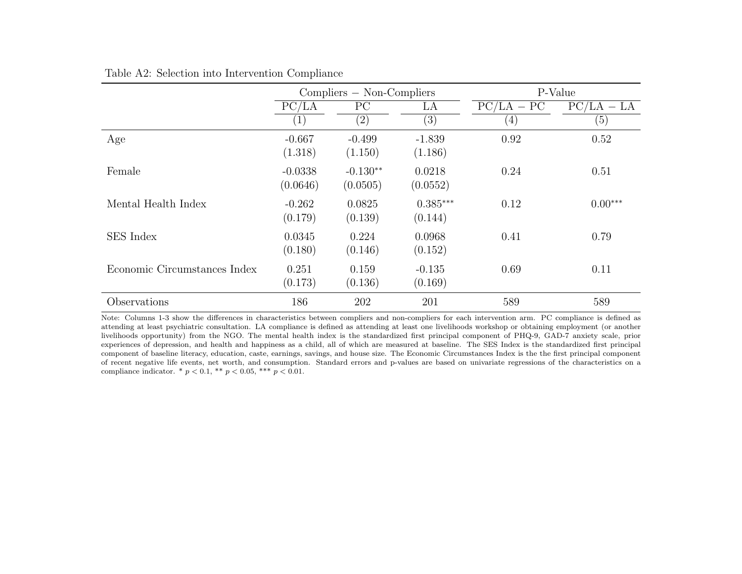|                              | $Compliers - Non-Compliers$ |                        |                       | P-Value      |              |  |
|------------------------------|-----------------------------|------------------------|-----------------------|--------------|--------------|--|
|                              | PC/LA                       | PC                     | LA                    | $PC/LA - PC$ | $PC/LA - LA$ |  |
|                              | $\mathbf{1}$                | $\left( 2\right)$      | $\left( 3\right)$     | (4)          | (5)          |  |
| Age                          | $-0.667$<br>(1.318)         | $-0.499$<br>(1.150)    | $-1.839$<br>(1.186)   | 0.92         | 0.52         |  |
| Female                       | $-0.0338$<br>(0.0646)       | $-0.130**$<br>(0.0505) | 0.0218<br>(0.0552)    | 0.24         | 0.51         |  |
| Mental Health Index          | $-0.262$<br>(0.179)         | 0.0825<br>(0.139)      | $0.385***$<br>(0.144) | 0.12         | $0.00***$    |  |
| <b>SES</b> Index             | 0.0345<br>(0.180)           | 0.224<br>(0.146)       | 0.0968<br>(0.152)     | 0.41         | 0.79         |  |
| Economic Circumstances Index | 0.251<br>(0.173)            | 0.159<br>(0.136)       | $-0.135$<br>(0.169)   | 0.69         | 0.11         |  |
| Observations                 | 186                         | 202                    | 201                   | 589          | 589          |  |

#### Table A2: Selection into Intervention Compliance

Note: Columns 1-3 show the differences in characteristics between compliers and non-compliers for each intervention arm. PC compliance is defined as attending at least psychiatric consultation. LA compliance is defined as attending at least one livelihoods workshop or obtaining employment (or another livelihoods opportunity) from the NGO. The mental health index is the standardized first principal component of PHQ-9, GAD-7 anxiety scale, prior experiences of depression, and health and happiness as a child, all of which are measured at baseline. The SES Index is the standardized first principal component of baseline literacy, education, caste, earnings, savings, and house size. The Economic Circumstances Index is the the first principal component of recent negative life events, net worth, and consumption. Standard errors and p-values are based on univariate regressions of the characteristics on a compliance indicator. \*  $p < 0.1$ , \*\*  $p < 0.05$ , \*\*\*  $p < 0.01$ .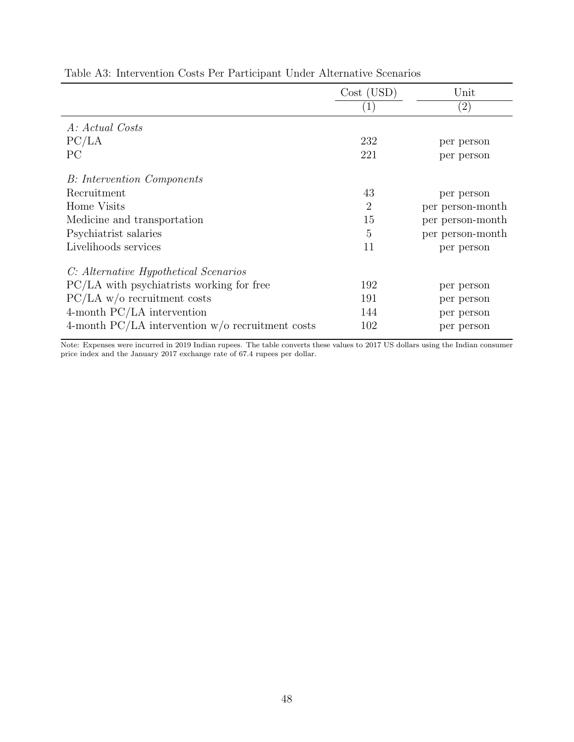|                                                    | Cost (USD)     | Unit              |
|----------------------------------------------------|----------------|-------------------|
|                                                    |                | $\left( 2\right)$ |
| A: Actual Costs                                    |                |                   |
| PC/LA                                              | 232            | per person        |
| PC                                                 | 221            | per person        |
| <b>B</b> : Intervention Components                 |                |                   |
| Recruitment                                        | 43             | per person        |
| Home Visits                                        | $\overline{2}$ | per person-month  |
| Medicine and transportation                        | 15             | per person-month  |
| Psychiatrist salaries                              | 5              | per person-month  |
| Livelihoods services                               | 11             | per person        |
| C: Alternative Hypothetical Scenarios              |                |                   |
| PC/LA with psychiatrists working for free          | 192            | per person        |
| $PC/LA$ w/o recruitment costs                      | 191            | per person        |
| 4-month $PC/LA$ intervention                       | 144            | per person        |
| 4-month PC/LA intervention $w/o$ recruitment costs | 102            | per person        |

Table A3: Intervention Costs Per Participant Under Alternative Scenarios

Note: Expenses were incurred in 2019 Indian rupees. The table converts these values to 2017 US dollars using the Indian consumer price index and the January 2017 exchange rate of 67.4 rupees per dollar.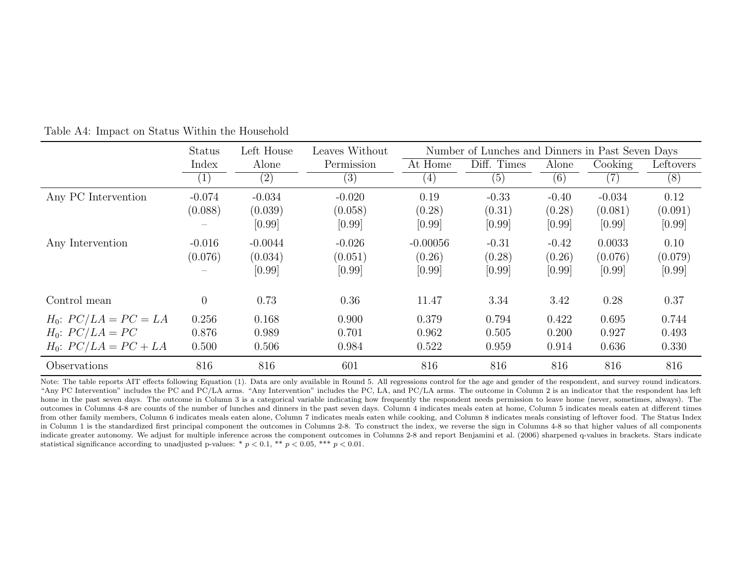|                           | <b>Status</b>     | Left House | Leaves Without | Number of Lunches and Dinners in Past Seven Days |             |         |          |           |
|---------------------------|-------------------|------------|----------------|--------------------------------------------------|-------------|---------|----------|-----------|
|                           | Index             | Alone      | Permission     | At Home                                          | Diff. Times | Alone   | Cooking  | Leftovers |
|                           | $\left( 1\right)$ | (2)        | (3)            | $\left( 4\right)$                                | (5)         | (6)     | (7)      | (8)       |
| Any PC Intervention       | $-0.074$          | $-0.034$   | $-0.020$       | 0.19                                             | $-0.33$     | $-0.40$ | $-0.034$ | 0.12      |
|                           | (0.088)           | (0.039)    | (0.058)        | (0.28)                                           | (0.31)      | (0.28)  | (0.081)  | (0.091)   |
|                           |                   | [0.99]     | [0.99]         | [0.99]                                           | [0.99]      | [0.99]  | [0.99]   | [0.99]    |
| Any Intervention          | $-0.016$          | $-0.0044$  | $-0.026$       | $-0.00056$                                       | $-0.31$     | $-0.42$ | 0.0033   | 0.10      |
|                           | (0.076)           | (0.034)    | (0.051)        | (0.26)                                           | (0.28)      | (0.26)  | (0.076)  | (0.079)   |
|                           |                   | [0.99]     | [0.99]         | [0.99]                                           | [0.99]      | [0.99]  | [0.99]   | [0.99]    |
| Control mean              | $\theta$          | 0.73       | 0.36           | 11.47                                            | 3.34        | 3.42    | 0.28     | 0.37      |
| $H_0$ : $PC/LA = PC = LA$ | 0.256             | 0.168      | 0.900          | 0.379                                            | 0.794       | 0.422   | 0.695    | 0.744     |
| $H_0$ : $PC/LA = PC$      | 0.876             | 0.989      | 0.701          | 0.962                                            | 0.505       | 0.200   | 0.927    | 0.493     |
| $H_0$ : $PC/LA = PC + LA$ | 0.500             | 0.506      | 0.984          | 0.522                                            | 0.959       | 0.914   | 0.636    | 0.330     |
| Observations              | 816               | 816        | 601            | 816                                              | 816         | 816     | 816      | 816       |

Table A4: Impact on Status Within the Household

Note: The table reports AIT effects following Equation (1). Data are only available in Round 5. All regressions control for the age and gender of the respondent, and survey round indicators. "Any PC Intervention" includes the PC and PC/LA arms. "Any Intervention" includes the PC, LA, and PC/LA arms. The outcome in Column 2 is an indicator that the respondent has left home in the past seven days. The outcome in Column 3 is a categorical variable indicating how frequently the respondent needs permission to leave home (never, sometimes, always). The outcomes in Columns 4-8 are counts of the number of lunches and dinners in the past seven days. Column 4 indicates meals eaten at home, Column 5 indicates meals eaten at different times from other family members, Column 6 indicates meals eaten alone, Column 7 indicates meals eaten while cooking, and Column 8 indicates meals consisting of leftover food. The Status Index in Column 1 is the standardized first principal component the outcomes in Columns 2-8. To construct the index, we reverse the sign in Columns 4-8 so that higher values of all components indicate greater autonomy. We adjust for multiple inference across the component outcomes in Columns 2-8 and report Benjamini et al. (2006) sharpened q-values in brackets. Stars indicate statistical significance according to unadjusted p-values: \*  $p < 0.1$ , \*\*  $p < 0.05$ , \*\*\*  $p < 0.01$ .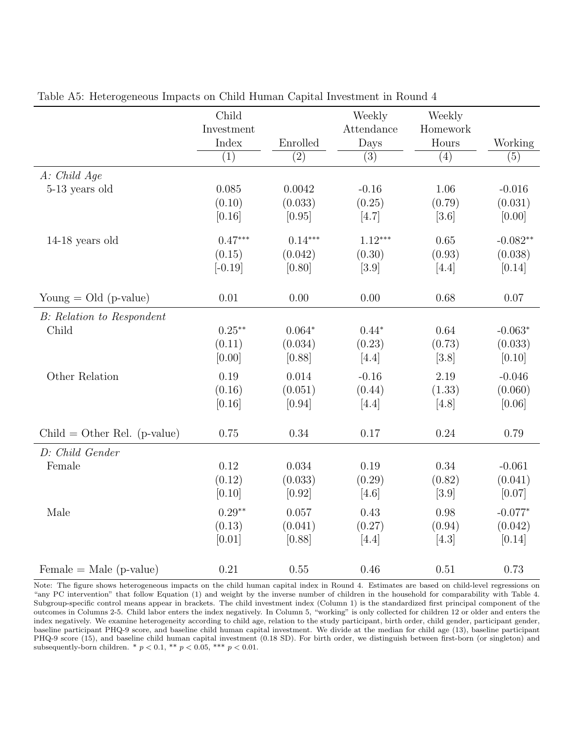|                                  | Child            |                  | Weekly           | Weekly           |                  |
|----------------------------------|------------------|------------------|------------------|------------------|------------------|
|                                  | Investment       |                  | Attendance       | Homework         |                  |
|                                  | Index            | Enrolled         | Days             | Hours            | Working          |
|                                  | $\overline{(1)}$ | $\overline{(2)}$ | $\overline{(3)}$ | $\overline{(4)}$ | $\overline{(5)}$ |
| A: Child Age                     |                  |                  |                  |                  |                  |
| 5-13 years old                   | 0.085            | 0.0042           | $-0.16$          | 1.06             | $-0.016$         |
|                                  | (0.10)           | (0.033)          | (0.25)           | (0.79)           | (0.031)          |
|                                  | [0.16]           | [0.95]           | [4.7]            | $[3.6]$          | [0.00]           |
| $14-18$ years old                | $0.47***$        | $0.14***$        | $1.12***$        | 0.65             | $-0.082**$       |
|                                  | (0.15)           | (0.042)          | (0.30)           | (0.93)           | (0.038)          |
|                                  | $[-0.19]$        | [0.80]           | $[3.9]$          | [4.4]            | [0.14]           |
| Young $=$ Old (p-value)          | 0.01             | 0.00             | 0.00             | 0.68             | 0.07             |
| <b>B:</b> Relation to Respondent |                  |                  |                  |                  |                  |
| Child                            | $0.25***$        | $0.064*$         | $0.44*$          | 0.64             | $-0.063*$        |
|                                  | (0.11)           | (0.034)          | (0.23)           | (0.73)           | (0.033)          |
|                                  | [0.00]           | [0.88]           | [4.4]            | [3.8]            | [0.10]           |
| Other Relation                   | 0.19             | 0.014            | $-0.16$          | 2.19             | $-0.046$         |
|                                  | (0.16)           | (0.051)          | (0.44)           | (1.33)           | (0.060)          |
|                                  | [0.16]           | [0.94]           | [4.4]            | [4.8]            | [0.06]           |
| $Child = Other Rel. (p-value)$   | 0.75             | $0.34\,$         | 0.17             | 0.24             | 0.79             |
|                                  |                  |                  |                  |                  |                  |
| D: Child Gender                  |                  |                  |                  |                  |                  |
| Female                           | 0.12             | 0.034            | 0.19             | 0.34             | $-0.061$         |
|                                  | (0.12)           | (0.033)          | (0.29)           | (0.82)           | (0.041)          |
|                                  | [0.10]           | [0.92]           | $[4.6]$          | $[3.9]$          | [0.07]           |
| Male                             | $0.29**$         | 0.057            | 0.43             | 0.98             | $-0.077*$        |
|                                  | (0.13)           | (0.041)          | (0.27)           | (0.94)           | (0.042)          |
|                                  | [0.01]           | [0.88]           | [4.4]            | $[4.3]$          | [0.14]           |
| $Female = Male (p-value)$        | 0.21             | 0.55             | 0.46             | 0.51             | 0.73             |

Table A5: Heterogeneous Impacts on Child Human Capital Investment in Round 4

Note: The figure shows heterogeneous impacts on the child human capital index in Round 4. Estimates are based on child-level regressions on "any PC intervention" that follow Equation (1) and weight by the inverse number of children in the household for comparability with Table 4. Subgroup-specific control means appear in brackets. The child investment index (Column 1) is the standardized first principal component of the outcomes in Columns 2-5. Child labor enters the index negatively. In Column 5, "working" is only collected for children 12 or older and enters the index negatively. We examine heterogeneity according to child age, relation to the study participant, birth order, child gender, participant gender, baseline participant PHQ-9 score, and baseline child human capital investment. We divide at the median for child age (13), baseline participant PHQ-9 score (15), and baseline child human capital investment (0.18 SD). For birth order, we distinguish between first-born (or singleton) and subsequently-born children. \*  $p < 0.1$ , \*\*  $p < 0.05$ , \*\*\*  $p < 0.01$ .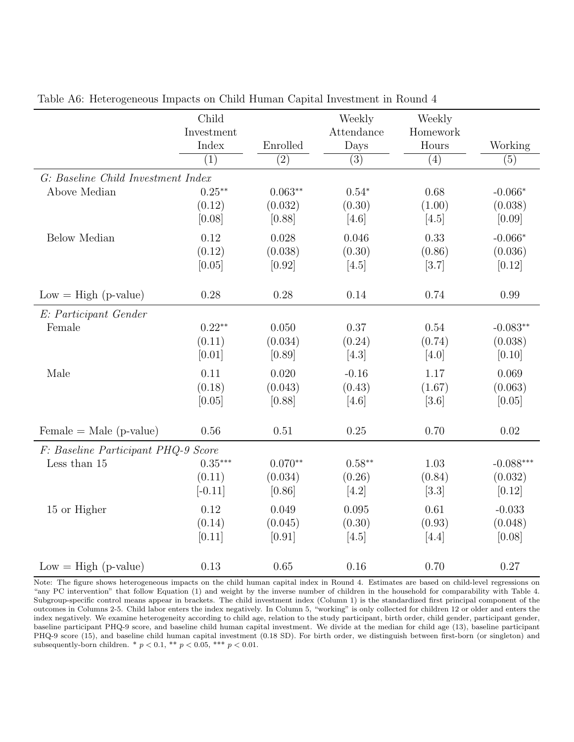|                                     | Child<br>Investment |                  | Weekly<br>Attendance | Weekly<br>Homework |             |
|-------------------------------------|---------------------|------------------|----------------------|--------------------|-------------|
|                                     | Index               | Enrolled         | Days                 | Hours              | Working     |
|                                     | $\overline{(1)}$    | $\overline{(2)}$ | $\overline{(3)}$     | $\overline{(4)}$   | (5)         |
| G: Baseline Child Investment Index  |                     |                  |                      |                    |             |
| Above Median                        | $0.25***$           | $0.063**$        | $0.54*$              | 0.68               | $-0.066*$   |
|                                     | (0.12)              | (0.032)          | (0.30)               | (1.00)             | (0.038)     |
|                                     | [0.08]              | [0.88]           | [4.6]                | [4.5]              | [0.09]      |
| <b>Below Median</b>                 | 0.12                | 0.028            | 0.046                | 0.33               | $-0.066*$   |
|                                     | (0.12)              | (0.038)          | (0.30)               | (0.86)             | (0.036)     |
|                                     | [0.05]              | [0.92]           | [4.5]                | [3.7]              | [0.12]      |
| $Low = High (p-value)$              | 0.28                | 0.28             | 0.14                 | 0.74               | 0.99        |
| E: Participant Gender               |                     |                  |                      |                    |             |
| Female                              | $0.22**$            | 0.050            | 0.37                 | 0.54               | $-0.083**$  |
|                                     | (0.11)              | (0.034)          | (0.24)               | (0.74)             | (0.038)     |
|                                     | [0.01]              | [0.89]           | $[4.3]$              | [4.0]              | [0.10]      |
| Male                                | 0.11                | 0.020            | $-0.16$              | 1.17               | 0.069       |
|                                     | (0.18)              | (0.043)          | (0.43)               | (1.67)             | (0.063)     |
|                                     | [0.05]              | [0.88]           | [4.6]                | $[3.6]$            | [0.05]      |
|                                     |                     |                  |                      |                    |             |
| $Female = Male (p-value)$           | 0.56                | $0.51\,$         | 0.25                 | 0.70               | 0.02        |
| F: Baseline Participant PHQ-9 Score |                     |                  |                      |                    |             |
| Less than 15                        | $0.35***$           | $0.070**$        | $0.58***$            | 1.03               | $-0.088***$ |
|                                     | (0.11)              | (0.034)          | (0.26)               | (0.84)             | (0.032)     |
|                                     | $[-0.11]$           | [0.86]           | [4.2]                | [3.3]              | [0.12]      |
| 15 or Higher                        | 0.12                | 0.049            | 0.095                | 0.61               | $-0.033$    |
|                                     | (0.14)              | (0.045)          | (0.30)               | (0.93)             | (0.048)     |
|                                     | [0.11]              | [0.91]           | [4.5]                | [4.4]              | [0.08]      |
| $Low = High (p-value)$              | 0.13                | 0.65             | 0.16                 | 0.70               | 0.27        |

Table A6: Heterogeneous Impacts on Child Human Capital Investment in Round 4

Note: The figure shows heterogeneous impacts on the child human capital index in Round 4. Estimates are based on child-level regressions on "any PC intervention" that follow Equation (1) and weight by the inverse number of children in the household for comparability with Table 4. Subgroup-specific control means appear in brackets. The child investment index (Column 1) is the standardized first principal component of the outcomes in Columns 2-5. Child labor enters the index negatively. In Column 5, "working" is only collected for children 12 or older and enters the index negatively. We examine heterogeneity according to child age, relation to the study participant, birth order, child gender, participant gender, baseline participant PHQ-9 score, and baseline child human capital investment. We divide at the median for child age (13), baseline participant PHQ-9 score (15), and baseline child human capital investment (0.18 SD). For birth order, we distinguish between first-born (or singleton) and subsequently-born children. \*  $p < 0.1$ , \*\*  $p < 0.05$ , \*\*\*  $p < 0.01$ .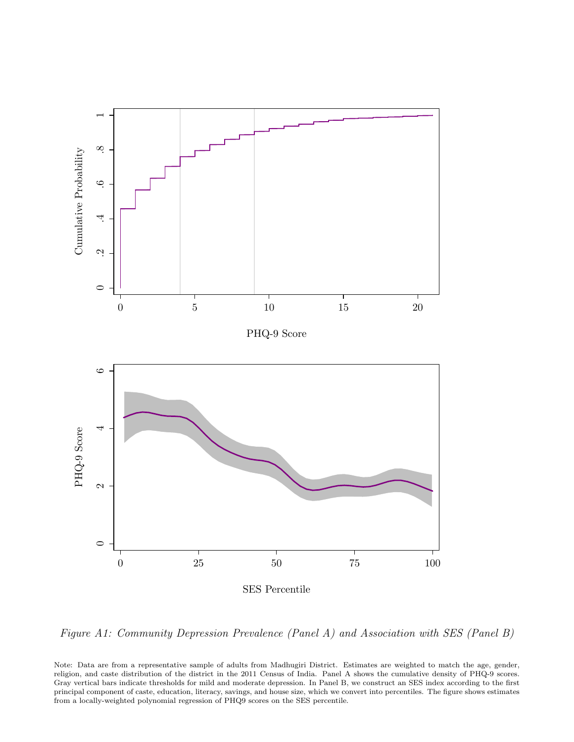

Figure A1: Community Depression Prevalence (Panel A) and Association with SES (Panel B)

Note: Data are from a representative sample of adults from Madhugiri District. Estimates are weighted to match the age, gender, religion, and caste distribution of the district in the 2011 Census of India. Panel A shows the cumulative density of PHQ-9 scores. Gray vertical bars indicate thresholds for mild and moderate depression. In Panel B, we construct an SES index according to the first principal component of caste, education, literacy, savings, and house size, which we convert into percentiles. The figure shows estimates from a locally-weighted polynomial regression of PHQ9 scores on the SES percentile.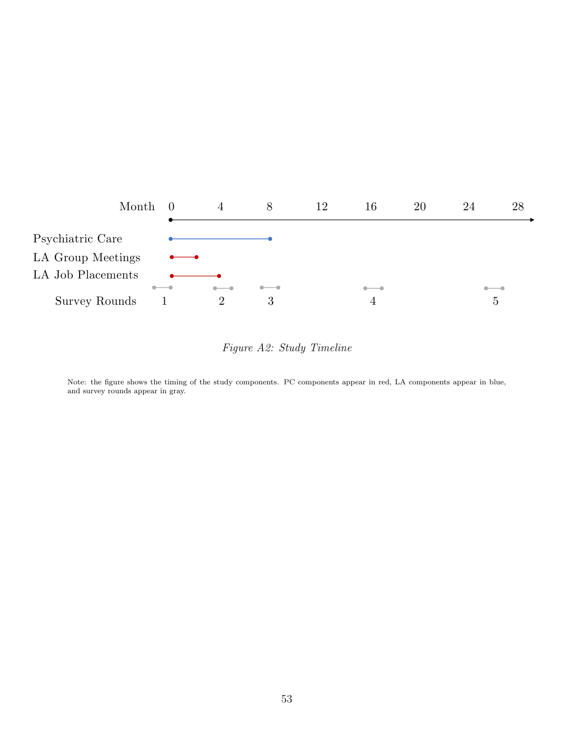

## Figure A2: Study Timeline

Note: the figure shows the timing of the study components. PC components appear in red, LA components appear in blue, and survey rounds appear in gray.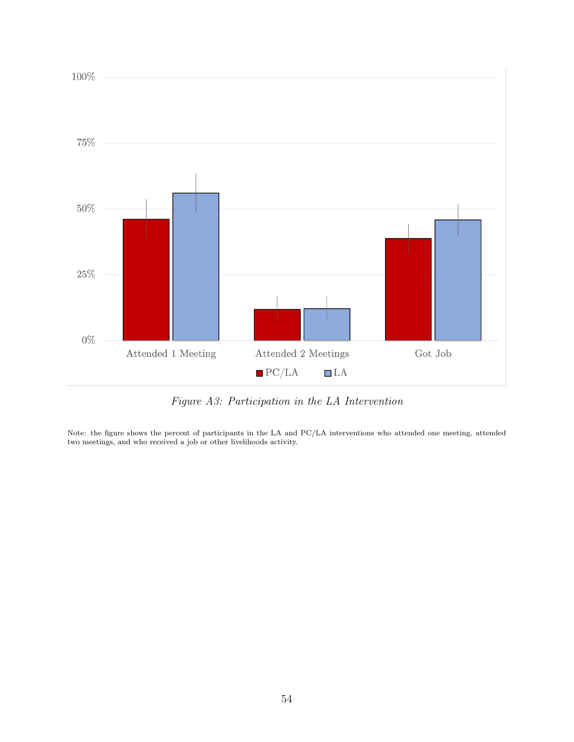

Figure A3: Participation in the LA Intervention

Note: the figure shows the percent of participants in the LA and PC/LA interventions who attended one meeting, attended two meetings, and who received a job or other livelihoods activity.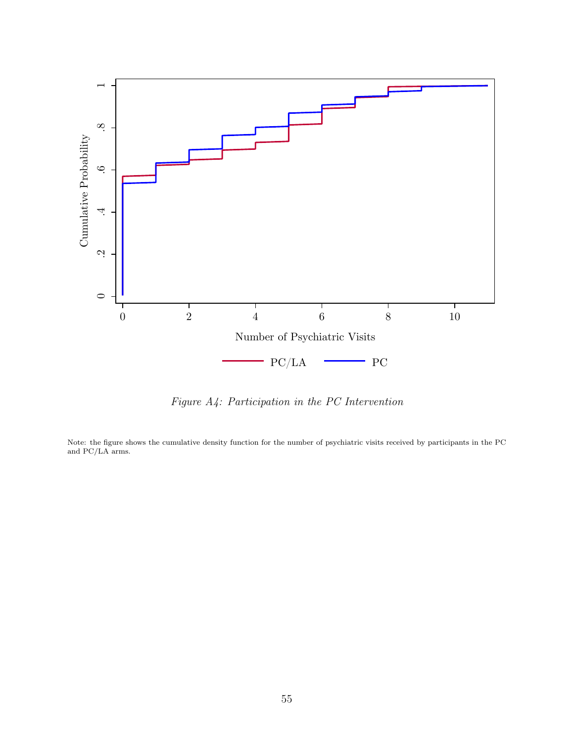

Figure A4: Participation in the PC Intervention

Note: the figure shows the cumulative density function for the number of psychiatric visits received by participants in the PC and PC/LA arms.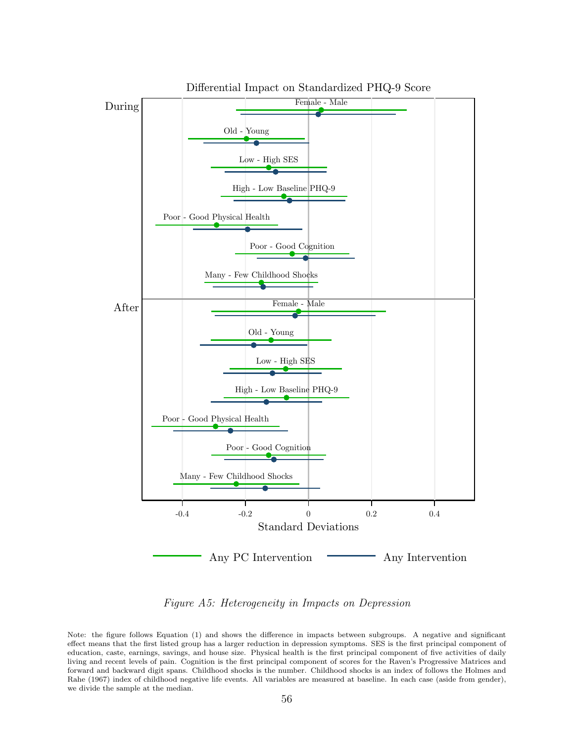

Differential Impact on Standardized PHQ-9 Score

Figure A5: Heterogeneity in Impacts on Depression

Note: the figure follows Equation (1) and shows the difference in impacts between subgroups. A negative and significant effect means that the first listed group has a larger reduction in depression symptoms. SES is the first principal component of education, caste, earnings, savings, and house size. Physical health is the first principal component of five activities of daily living and recent levels of pain. Cognition is the first principal component of scores for the Raven's Progressive Matrices and forward and backward digit spans. Childhood shocks is the number. Childhood shocks is an index of follows the Holmes and Rahe (1967) index of childhood negative life events. All variables are measured at baseline. In each case (aside from gender), we divide the sample at the median.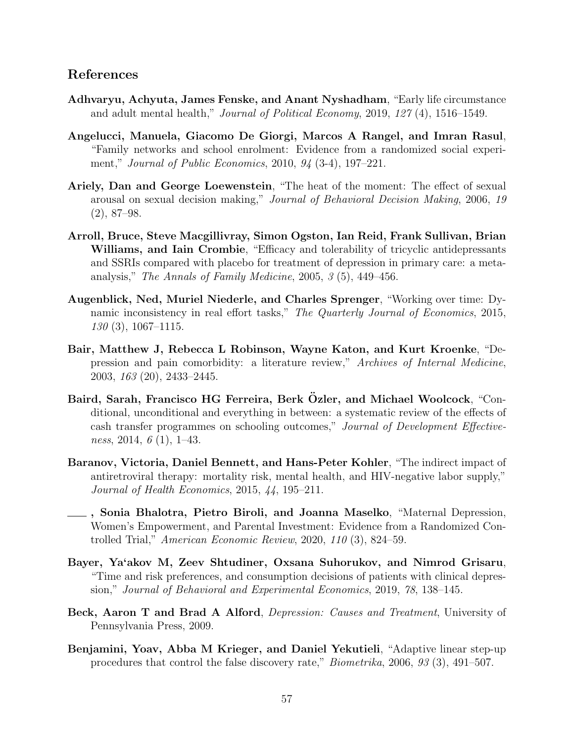#### References

- Adhvaryu, Achyuta, James Fenske, and Anant Nyshadham, "Early life circumstance and adult mental health," Journal of Political Economy, 2019, 127 (4), 1516–1549.
- Angelucci, Manuela, Giacomo De Giorgi, Marcos A Rangel, and Imran Rasul, "Family networks and school enrolment: Evidence from a randomized social experiment," Journal of Public Economics, 2010, 94 (3-4), 197–221.
- Ariely, Dan and George Loewenstein, "The heat of the moment: The effect of sexual arousal on sexual decision making," Journal of Behavioral Decision Making, 2006, 19 (2), 87–98.
- Arroll, Bruce, Steve Macgillivray, Simon Ogston, Ian Reid, Frank Sullivan, Brian Williams, and Iain Crombie, "Efficacy and tolerability of tricyclic antidepressants and SSRIs compared with placebo for treatment of depression in primary care: a metaanalysis," The Annals of Family Medicine, 2005, 3 (5), 449–456.
- Augenblick, Ned, Muriel Niederle, and Charles Sprenger, "Working over time: Dynamic inconsistency in real effort tasks," The Quarterly Journal of Economics, 2015,  $130(3)$ , 1067–1115.
- Bair, Matthew J, Rebecca L Robinson, Wayne Katon, and Kurt Kroenke, "Depression and pain comorbidity: a literature review," Archives of Internal Medicine, 2003, 163 (20), 2433–2445.
- Baird, Sarah, Francisco HG Ferreira, Berk Özler, and Michael Woolcock, "Conditional, unconditional and everything in between: a systematic review of the effects of cash transfer programmes on schooling outcomes," Journal of Development Effectiveness, 2014,  $6(1)$ , 1–43.
- Baranov, Victoria, Daniel Bennett, and Hans-Peter Kohler, "The indirect impact of antiretroviral therapy: mortality risk, mental health, and HIV-negative labor supply," Journal of Health Economics, 2015, 44, 195–211.
- , Sonia Bhalotra, Pietro Biroli, and Joanna Maselko, "Maternal Depression, Women's Empowerment, and Parental Investment: Evidence from a Randomized Controlled Trial," American Economic Review, 2020, 110 (3), 824–59.
- Bayer, Ya'akov M, Zeev Shtudiner, Oxsana Suhorukov, and Nimrod Grisaru, "Time and risk preferences, and consumption decisions of patients with clinical depression," Journal of Behavioral and Experimental Economics, 2019, 78, 138–145.
- Beck, Aaron T and Brad A Alford, *Depression: Causes and Treatment*, University of Pennsylvania Press, 2009.
- Benjamini, Yoav, Abba M Krieger, and Daniel Yekutieli, "Adaptive linear step-up procedures that control the false discovery rate," Biometrika, 2006, 93 (3), 491–507.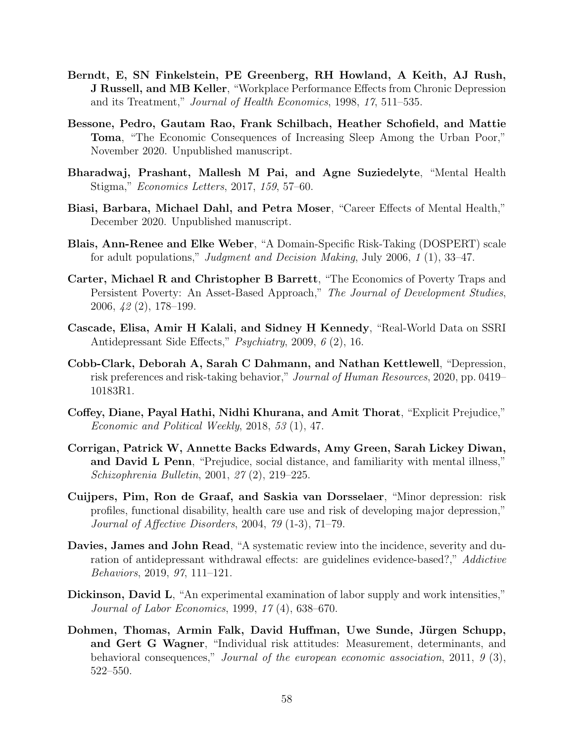- Berndt, E, SN Finkelstein, PE Greenberg, RH Howland, A Keith, AJ Rush, J Russell, and MB Keller, "Workplace Performance Effects from Chronic Depression and its Treatment," Journal of Health Economics, 1998, 17, 511–535.
- Bessone, Pedro, Gautam Rao, Frank Schilbach, Heather Schofield, and Mattie Toma, "The Economic Consequences of Increasing Sleep Among the Urban Poor," November 2020. Unpublished manuscript.
- Bharadwaj, Prashant, Mallesh M Pai, and Agne Suziedelyte, "Mental Health Stigma," Economics Letters, 2017, 159, 57–60.
- Biasi, Barbara, Michael Dahl, and Petra Moser, "Career Effects of Mental Health," December 2020. Unpublished manuscript.
- Blais, Ann-Renee and Elke Weber, "A Domain-Specific Risk-Taking (DOSPERT) scale for adult populations," Judgment and Decision Making, July 2006, 1 (1), 33–47.
- Carter, Michael R and Christopher B Barrett, "The Economics of Poverty Traps and Persistent Poverty: An Asset-Based Approach," The Journal of Development Studies, 2006, 42 (2), 178–199.
- Cascade, Elisa, Amir H Kalali, and Sidney H Kennedy, "Real-World Data on SSRI Antidepressant Side Effects," Psychiatry, 2009, 6 (2), 16.
- Cobb-Clark, Deborah A, Sarah C Dahmann, and Nathan Kettlewell, "Depression, risk preferences and risk-taking behavior," Journal of Human Resources, 2020, pp. 0419– 10183R1.
- Coffey, Diane, Payal Hathi, Nidhi Khurana, and Amit Thorat, "Explicit Prejudice," Economic and Political Weekly, 2018, 53 (1), 47.
- Corrigan, Patrick W, Annette Backs Edwards, Amy Green, Sarah Lickey Diwan, and David L Penn, "Prejudice, social distance, and familiarity with mental illness," Schizophrenia Bulletin, 2001, 27 (2), 219–225.
- Cuijpers, Pim, Ron de Graaf, and Saskia van Dorsselaer, "Minor depression: risk profiles, functional disability, health care use and risk of developing major depression," Journal of Affective Disorders, 2004, 79 (1-3), 71–79.
- Davies, James and John Read, "A systematic review into the incidence, severity and duration of antidepressant withdrawal effects: are guidelines evidence-based?," Addictive Behaviors, 2019, 97, 111–121.
- Dickinson, David L, "An experimental examination of labor supply and work intensities," Journal of Labor Economics, 1999, 17 (4), 638–670.
- Dohmen, Thomas, Armin Falk, David Huffman, Uwe Sunde, Jürgen Schupp, and Gert G Wagner, "Individual risk attitudes: Measurement, determinants, and behavioral consequences," Journal of the european economic association, 2011, 9 (3), 522–550.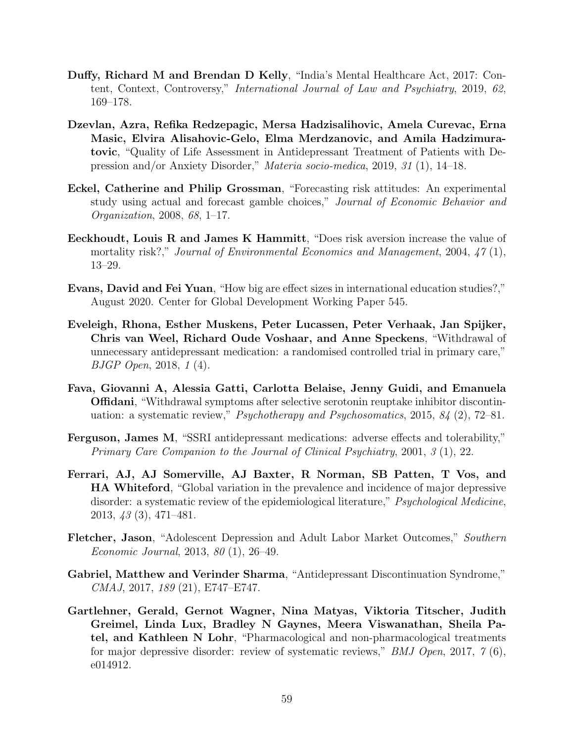- Duffy, Richard M and Brendan D Kelly, "India's Mental Healthcare Act, 2017: Content, Context, Controversy," International Journal of Law and Psychiatry, 2019, 62, 169–178.
- Dzevlan, Azra, Refika Redzepagic, Mersa Hadzisalihovic, Amela Curevac, Erna Masic, Elvira Alisahovic-Gelo, Elma Merdzanovic, and Amila Hadzimuratovic, "Quality of Life Assessment in Antidepressant Treatment of Patients with Depression and/or Anxiety Disorder," Materia socio-medica, 2019, 31 (1), 14–18.
- Eckel, Catherine and Philip Grossman, "Forecasting risk attitudes: An experimental study using actual and forecast gamble choices," Journal of Economic Behavior and Organization, 2008, 68, 1–17.
- Eeckhoudt, Louis R and James K Hammitt, "Does risk aversion increase the value of mortality risk?," Journal of Environmental Economics and Management, 2004, 47(1), 13–29.
- Evans, David and Fei Yuan, "How big are effect sizes in international education studies?," August 2020. Center for Global Development Working Paper 545.
- Eveleigh, Rhona, Esther Muskens, Peter Lucassen, Peter Verhaak, Jan Spijker, Chris van Weel, Richard Oude Voshaar, and Anne Speckens, "Withdrawal of unnecessary antidepressant medication: a randomised controlled trial in primary care," BJGP Open, 2018, 1 (4).
- Fava, Giovanni A, Alessia Gatti, Carlotta Belaise, Jenny Guidi, and Emanuela Offidani, "Withdrawal symptoms after selective serotonin reuptake inhibitor discontinuation: a systematic review," *Psychotherapy and Psychosomatics*, 2015,  $84$  (2), 72–81.
- Ferguson, James M, "SSRI antidepressant medications: adverse effects and tolerability," Primary Care Companion to the Journal of Clinical Psychiatry, 2001, 3 (1), 22.
- Ferrari, AJ, AJ Somerville, AJ Baxter, R Norman, SB Patten, T Vos, and HA Whiteford, "Global variation in the prevalence and incidence of major depressive disorder: a systematic review of the epidemiological literature," Psychological Medicine, 2013, 43 (3), 471–481.
- Fletcher, Jason, "Adolescent Depression and Adult Labor Market Outcomes," Southern Economic Journal, 2013, 80 (1), 26–49.
- Gabriel, Matthew and Verinder Sharma, "Antidepressant Discontinuation Syndrome," CMAJ, 2017, 189 (21), E747–E747.
- Gartlehner, Gerald, Gernot Wagner, Nina Matyas, Viktoria Titscher, Judith Greimel, Linda Lux, Bradley N Gaynes, Meera Viswanathan, Sheila Patel, and Kathleen N Lohr, "Pharmacological and non-pharmacological treatments for major depressive disorder: review of systematic reviews," BMJ Open, 2017, 7 (6), e014912.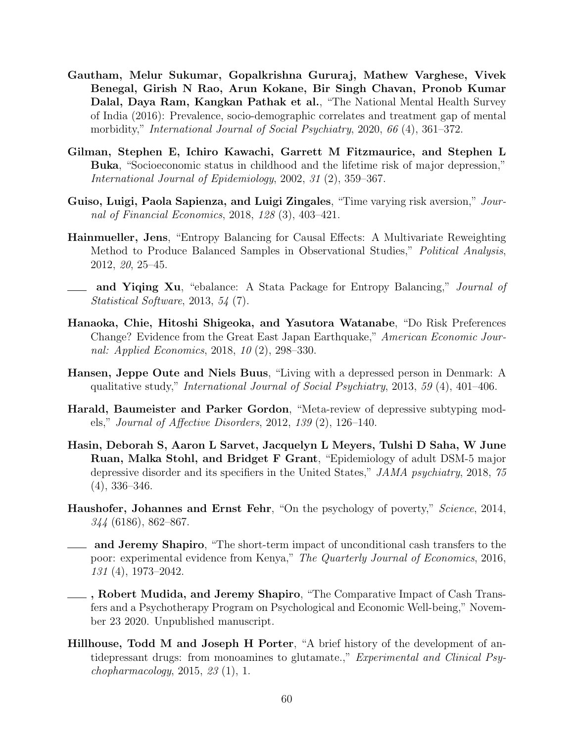- Gautham, Melur Sukumar, Gopalkrishna Gururaj, Mathew Varghese, Vivek Benegal, Girish N Rao, Arun Kokane, Bir Singh Chavan, Pronob Kumar Dalal, Daya Ram, Kangkan Pathak et al., "The National Mental Health Survey of India (2016): Prevalence, socio-demographic correlates and treatment gap of mental morbidity," International Journal of Social Psychiatry, 2020, 66 (4), 361–372.
- Gilman, Stephen E, Ichiro Kawachi, Garrett M Fitzmaurice, and Stephen L Buka, "Socioeconomic status in childhood and the lifetime risk of major depression," International Journal of Epidemiology, 2002, 31 (2), 359–367.
- Guiso, Luigi, Paola Sapienza, and Luigi Zingales, "Time varying risk aversion," Journal of Financial Economics, 2018, 128 (3), 403–421.
- Hainmueller, Jens, "Entropy Balancing for Causal Effects: A Multivariate Reweighting Method to Produce Balanced Samples in Observational Studies," Political Analysis, 2012, 20, 25–45.
- <sub>1</sub> and Yiqing Xu, "ebalance: A Stata Package for Entropy Balancing," *Journal of* Statistical Software, 2013, 54 (7).
- Hanaoka, Chie, Hitoshi Shigeoka, and Yasutora Watanabe, "Do Risk Preferences Change? Evidence from the Great East Japan Earthquake," American Economic Journal: Applied Economics, 2018, 10 (2), 298–330.
- Hansen, Jeppe Oute and Niels Buus, "Living with a depressed person in Denmark: A qualitative study," International Journal of Social Psychiatry, 2013, 59 (4), 401–406.
- Harald, Baumeister and Parker Gordon, "Meta-review of depressive subtyping models," Journal of Affective Disorders, 2012, 139 (2), 126–140.
- Hasin, Deborah S, Aaron L Sarvet, Jacquelyn L Meyers, Tulshi D Saha, W June Ruan, Malka Stohl, and Bridget F Grant, "Epidemiology of adult DSM-5 major depressive disorder and its specifiers in the United States," JAMA psychiatry, 2018, 75 (4), 336–346.
- Haushofer, Johannes and Ernst Fehr, "On the psychology of poverty," Science, 2014, 344 (6186), 862–867.
- and Jeremy Shapiro, "The short-term impact of unconditional cash transfers to the poor: experimental evidence from Kenya," The Quarterly Journal of Economics, 2016, 131 (4), 1973–2042.
- **Lacks**, Robert Mudida, and Jeremy Shapiro, "The Comparative Impact of Cash Transfers and a Psychotherapy Program on Psychological and Economic Well-being," November 23 2020. Unpublished manuscript.
- Hillhouse, Todd M and Joseph H Porter, "A brief history of the development of antidepressant drugs: from monoamines to glutamate.," Experimental and Clinical Psy $chopharmacology, 2015, 23 (1), 1.$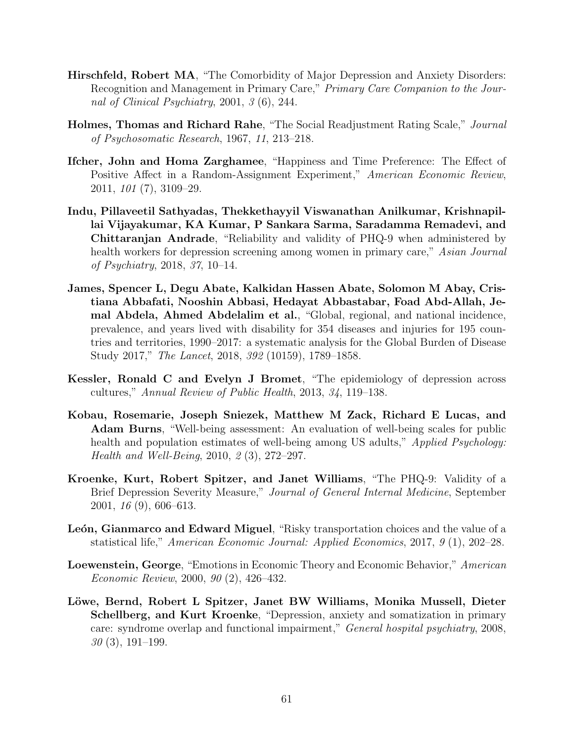- Hirschfeld, Robert MA, "The Comorbidity of Major Depression and Anxiety Disorders: Recognition and Management in Primary Care," Primary Care Companion to the Journal of Clinical Psychiatry, 2001, 3 (6), 244.
- Holmes, Thomas and Richard Rahe, "The Social Readjustment Rating Scale," Journal of Psychosomatic Research, 1967, 11, 213–218.
- Ifcher, John and Homa Zarghamee, "Happiness and Time Preference: The Effect of Positive Affect in a Random-Assignment Experiment," American Economic Review, 2011, 101 (7), 3109–29.
- Indu, Pillaveetil Sathyadas, Thekkethayyil Viswanathan Anilkumar, Krishnapillai Vijayakumar, KA Kumar, P Sankara Sarma, Saradamma Remadevi, and Chittaranjan Andrade, "Reliability and validity of PHQ-9 when administered by health workers for depression screening among women in primary care," Asian Journal of Psychiatry, 2018, 37, 10–14.
- James, Spencer L, Degu Abate, Kalkidan Hassen Abate, Solomon M Abay, Cristiana Abbafati, Nooshin Abbasi, Hedayat Abbastabar, Foad Abd-Allah, Jemal Abdela, Ahmed Abdelalim et al., "Global, regional, and national incidence, prevalence, and years lived with disability for 354 diseases and injuries for 195 countries and territories, 1990–2017: a systematic analysis for the Global Burden of Disease Study 2017," The Lancet, 2018, 392 (10159), 1789–1858.
- Kessler, Ronald C and Evelyn J Bromet, "The epidemiology of depression across cultures," Annual Review of Public Health, 2013, 34, 119–138.
- Kobau, Rosemarie, Joseph Sniezek, Matthew M Zack, Richard E Lucas, and Adam Burns, "Well-being assessment: An evaluation of well-being scales for public health and population estimates of well-being among US adults," *Applied Psychology:* Health and Well-Being, 2010, 2 (3), 272–297.
- Kroenke, Kurt, Robert Spitzer, and Janet Williams, "The PHQ-9: Validity of a Brief Depression Severity Measure," Journal of General Internal Medicine, September 2001, 16 (9), 606–613.
- León, Gianmarco and Edward Miguel, "Risky transportation choices and the value of a statistical life," American Economic Journal: Applied Economics, 2017, 9 (1), 202–28.
- Loewenstein, George, "Emotions in Economic Theory and Economic Behavior," American Economic Review, 2000, 90 (2), 426–432.
- Löwe, Bernd, Robert L Spitzer, Janet BW Williams, Monika Mussell, Dieter Schellberg, and Kurt Kroenke, "Depression, anxiety and somatization in primary care: syndrome overlap and functional impairment," General hospital psychiatry, 2008,  $30(3)$ , 191–199.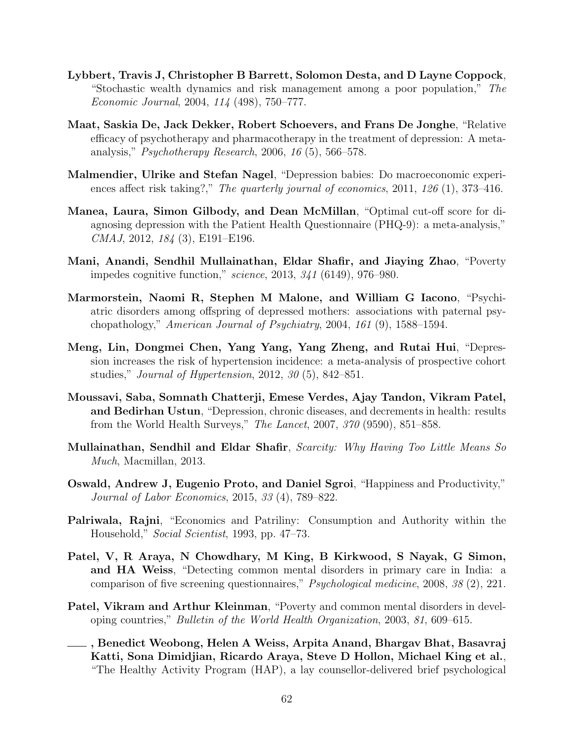- Lybbert, Travis J, Christopher B Barrett, Solomon Desta, and D Layne Coppock, "Stochastic wealth dynamics and risk management among a poor population," The Economic Journal, 2004, 114 (498), 750–777.
- Maat, Saskia De, Jack Dekker, Robert Schoevers, and Frans De Jonghe, "Relative efficacy of psychotherapy and pharmacotherapy in the treatment of depression: A metaanalysis," Psychotherapy Research, 2006, 16 (5), 566–578.
- Malmendier, Ulrike and Stefan Nagel, "Depression babies: Do macroeconomic experiences affect risk taking?," The quarterly journal of economics, 2011, 126 (1), 373-416.
- Manea, Laura, Simon Gilbody, and Dean McMillan, "Optimal cut-off score for diagnosing depression with the Patient Health Questionnaire (PHQ-9): a meta-analysis," CMAJ, 2012, 184 (3), E191–E196.
- Mani, Anandi, Sendhil Mullainathan, Eldar Shafir, and Jiaying Zhao, "Poverty impedes cognitive function," science, 2013, 341 (6149), 976–980.
- Marmorstein, Naomi R, Stephen M Malone, and William G Iacono, "Psychiatric disorders among offspring of depressed mothers: associations with paternal psychopathology," American Journal of Psychiatry, 2004, 161 (9), 1588–1594.
- Meng, Lin, Dongmei Chen, Yang Yang, Yang Zheng, and Rutai Hui, "Depression increases the risk of hypertension incidence: a meta-analysis of prospective cohort studies," Journal of Hypertension, 2012, 30 (5), 842–851.
- Moussavi, Saba, Somnath Chatterji, Emese Verdes, Ajay Tandon, Vikram Patel, and Bedirhan Ustun, "Depression, chronic diseases, and decrements in health: results from the World Health Surveys," The Lancet, 2007, 370 (9590), 851–858.
- Mullainathan, Sendhil and Eldar Shafir, Scarcity: Why Having Too Little Means So Much, Macmillan, 2013.
- Oswald, Andrew J, Eugenio Proto, and Daniel Sgroi, "Happiness and Productivity," Journal of Labor Economics, 2015, 33 (4), 789–822.
- Palriwala, Rajni, "Economics and Patriliny: Consumption and Authority within the Household," Social Scientist, 1993, pp. 47–73.
- Patel, V, R Araya, N Chowdhary, M King, B Kirkwood, S Nayak, G Simon, and HA Weiss, "Detecting common mental disorders in primary care in India: a comparison of five screening questionnaires," Psychological medicine, 2008, 38 (2), 221.
- Patel, Vikram and Arthur Kleinman, "Poverty and common mental disorders in developing countries," Bulletin of the World Health Organization, 2003, 81, 609–615.
- , Benedict Weobong, Helen A Weiss, Arpita Anand, Bhargav Bhat, Basavraj Katti, Sona Dimidjian, Ricardo Araya, Steve D Hollon, Michael King et al., "The Healthy Activity Program (HAP), a lay counsellor-delivered brief psychological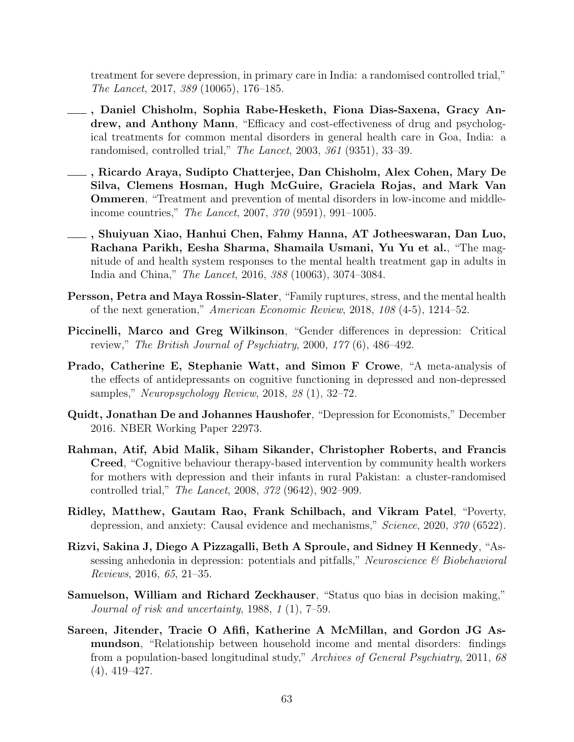treatment for severe depression, in primary care in India: a randomised controlled trial," The Lancet, 2017, 389 (10065), 176–185.

- , Daniel Chisholm, Sophia Rabe-Hesketh, Fiona Dias-Saxena, Gracy Andrew, and Anthony Mann, "Efficacy and cost-effectiveness of drug and psychological treatments for common mental disorders in general health care in Goa, India: a randomised, controlled trial," The Lancet, 2003, 361 (9351), 33–39.
- , Ricardo Araya, Sudipto Chatterjee, Dan Chisholm, Alex Cohen, Mary De Silva, Clemens Hosman, Hugh McGuire, Graciela Rojas, and Mark Van Ommeren, "Treatment and prevention of mental disorders in low-income and middleincome countries," The Lancet, 2007, 370 (9591), 991–1005.
- , Shuiyuan Xiao, Hanhui Chen, Fahmy Hanna, AT Jotheeswaran, Dan Luo, Rachana Parikh, Eesha Sharma, Shamaila Usmani, Yu Yu et al., "The magnitude of and health system responses to the mental health treatment gap in adults in India and China," The Lancet, 2016, 388 (10063), 3074–3084.
- Persson, Petra and Maya Rossin-Slater, "Family ruptures, stress, and the mental health of the next generation," American Economic Review, 2018, 108 (4-5), 1214–52.
- Piccinelli, Marco and Greg Wilkinson, "Gender differences in depression: Critical review," The British Journal of Psychiatry, 2000, 177 (6), 486–492.
- Prado, Catherine E, Stephanie Watt, and Simon F Crowe, "A meta-analysis of the effects of antidepressants on cognitive functioning in depressed and non-depressed samples," Neuropsychology Review, 2018, 28 (1), 32–72.
- Quidt, Jonathan De and Johannes Haushofer, "Depression for Economists," December 2016. NBER Working Paper 22973.
- Rahman, Atif, Abid Malik, Siham Sikander, Christopher Roberts, and Francis Creed, "Cognitive behaviour therapy-based intervention by community health workers for mothers with depression and their infants in rural Pakistan: a cluster-randomised controlled trial," The Lancet, 2008, 372 (9642), 902–909.
- Ridley, Matthew, Gautam Rao, Frank Schilbach, and Vikram Patel, "Poverty, depression, and anxiety: Causal evidence and mechanisms," Science, 2020, 370 (6522).
- Rizvi, Sakina J, Diego A Pizzagalli, Beth A Sproule, and Sidney H Kennedy, "Assessing anhedonia in depression: potentials and pitfalls," Neuroscience  $\mathscr B$  Biobehavioral Reviews, 2016, 65, 21–35.
- Samuelson, William and Richard Zeckhauser, "Status quo bias in decision making," Journal of risk and uncertainty, 1988, 1 (1), 7–59.
- Sareen, Jitender, Tracie O Afifi, Katherine A McMillan, and Gordon JG Asmundson, "Relationship between household income and mental disorders: findings from a population-based longitudinal study," Archives of General Psychiatry, 2011, 68 (4), 419–427.